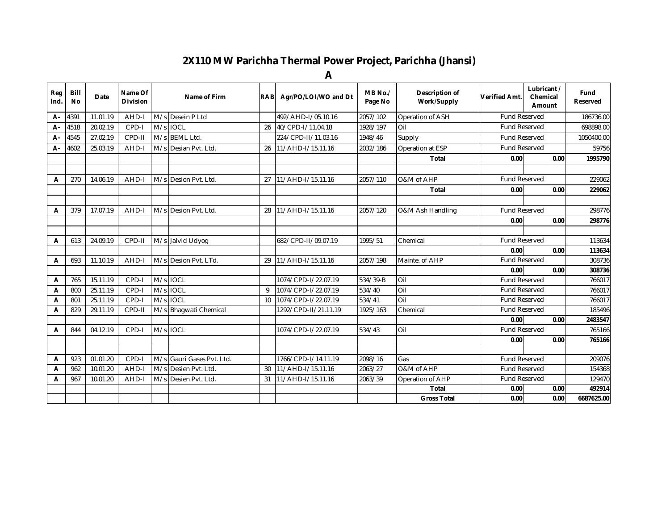## **2X110 MW Parichha Thermal Power Project, Parichha (Jhansi)**

**A**

| Reg<br>Ind. | <b>Bill</b><br><b>No</b> | Date     | Name Of<br><b>Division</b> |     | Name of Firm              | <b>RAB</b>   | Agr/PO/LOI/WO and Dt | MB No./<br>Page No | Description of<br>Work/Supply | Verified Amt.                | Lubricant /<br>Chemical<br>Amount |      | Fund<br><b>Reserved</b> |
|-------------|--------------------------|----------|----------------------------|-----|---------------------------|--------------|----------------------|--------------------|-------------------------------|------------------------------|-----------------------------------|------|-------------------------|
| А-          | 4391                     | 11.01.19 | AHD-I                      |     | M/s Desein P Ltd          |              | 492/AHD-I/05.10.16   | 2057/102           | Operation of ASH              | <b>Fund Reserved</b>         |                                   |      | 186736.00               |
| А-          | 4518                     | 20.02.19 | CPD-I                      |     | M/s IOCL                  | 26           | 40/CPD-I/11.04.18    | 1928/197           | Oil                           | <b>Fund Reserved</b>         |                                   |      | 698898.00               |
| А-          | 4545                     | 27.02.19 | CPD-II                     |     | M/s BEML Ltd.             |              | 224/CPD-II/11.03.16  | 1948/46            | Supply                        | <b>Fund Reserved</b>         |                                   |      | 1050400.00              |
| А-          | 4602                     | 25.03.19 | AHD-I                      | M/s | Desian Pvt. Ltd.          | 26           | 11/AHD-I/15.11.16    | 2032/186           | Operation at ESP              | <b>Fund Reserved</b>         |                                   |      | 59756                   |
|             |                          |          |                            |     |                           |              |                      |                    | <b>Total</b>                  | 0.00                         |                                   | 0.00 | 1995790                 |
|             |                          |          |                            |     |                           |              |                      |                    |                               |                              |                                   |      |                         |
| A           | 270                      | 14.06.19 | AHD-I                      | M/s | Desion Pvt. Ltd.          | 27           | 11/AHD-I/15.11.16    | 2057/110           | O&M of AHP                    | <b>Fund Reserved</b>         |                                   |      | 229062                  |
|             |                          |          |                            |     |                           |              |                      |                    | <b>Total</b>                  | 0.00                         |                                   | 0.00 | 229062                  |
|             |                          |          |                            |     |                           |              |                      |                    |                               |                              |                                   |      |                         |
| A           | 379                      | 17.07.19 | AHD-I                      |     | M/s Desion Pyt. Ltd.      | 28           | 11/AHD-I/15.11.16    | 2057/120           | O&M Ash Handling              | <b>Fund Reserved</b>         |                                   |      | 298776                  |
|             |                          |          |                            |     |                           |              |                      |                    |                               | 0.00                         |                                   | 0.00 | 298776                  |
|             |                          |          |                            |     |                           |              |                      |                    |                               |                              |                                   |      |                         |
| A           | 613                      | 24.09.19 | CPD-II                     |     | M/s Jalvid Udyog          |              | 682/CPD-II/09.07.19  | 1995/51            | Chemical                      | <b>Fund Reserved</b>         |                                   |      | 113634                  |
|             |                          |          |                            |     |                           |              |                      |                    |                               | 0.00                         |                                   | 0.00 | 113634                  |
| A           | 693                      | 11.10.19 | AHD-I                      |     | M/s Desion Pvt. LTd.      | 29           | 11/AHD-I/15.11.16    | 2057/198           | Mainte, of AHP                | <b>Fund Reserved</b>         |                                   |      | 308736                  |
|             |                          |          |                            |     |                           |              |                      |                    |                               | 0.00                         |                                   | 0.00 | 308736                  |
| A           | 765                      | 15.11.19 | CPD-I                      |     | M/s IOCL                  |              | 1074/CPD-I/22.07.19  | 534/39-B           | Oil                           | <b>Fund Reserved</b>         |                                   |      | 766017                  |
| A           | 800                      | 25.11.19 | CPD-I                      | M/s | <b>IOCL</b>               | $\mathsf{Q}$ | 1074/CPD-I/22.07.19  | 534/40             | Oil                           | <b>Fund Reserved</b>         |                                   |      | 766017                  |
| A           | 801                      | 25.11.19 | CPD-I                      |     | M/s IOCL                  | 10           | 1074/CPD-I/22.07.19  | 534/41             | Oil                           | <b>Fund Reserved</b>         |                                   |      | 766017                  |
| A           | 829                      | 29.11.19 | CPD-II                     |     | M/s Bhagwati Chemical     |              | 1292/CPD-II/21.11.19 | 1925/163           | Chemical                      | <b>Fund Reserved</b>         |                                   |      | 185496                  |
|             |                          |          |                            |     |                           |              |                      |                    |                               | 0.00<br><b>Fund Reserved</b> |                                   | 0.00 | 2483547                 |
| A           | 844                      | 04.12.19 | CPD-I                      |     | M/s IOCL                  |              | 1074/CPD-I/22.07.19  | 534/43             | Oil                           |                              |                                   |      | 765166                  |
|             |                          |          |                            |     |                           |              |                      |                    |                               | 0.00                         |                                   | 0.00 | 765166                  |
| A           | 923                      | 01.01.20 | CPD-I                      |     | M/s Gauri Gases Pyt. Ltd. |              | 1766/CPD-I/14.11.19  | 2098/16            | Gas                           | <b>Fund Reserved</b>         |                                   |      | 209076                  |
| A           | 962                      | 10.01.20 | AHD-I                      |     | M/s Desien Pyt. Ltd       | 30           | 11/AHD-I/15.11.16    | 2063/27            | O&M of AHP                    | <b>Fund Reserved</b>         |                                   |      | 154368                  |
| A           | 967                      | 10.01.20 | AHD-I                      |     | M/s Desien Pvt. Ltd.      | 31           | 11/AHD-I/15.11.16    | 2063/39            | Operation of AHP              | Fund Reserved                |                                   |      | 129470                  |
|             |                          |          |                            |     |                           |              |                      |                    | <b>Total</b>                  | 0.00                         |                                   | 0.00 | 492914                  |
|             |                          |          |                            |     |                           |              |                      |                    | <b>Gross Total</b>            | 0.00                         |                                   | 0.00 | 6687625.00              |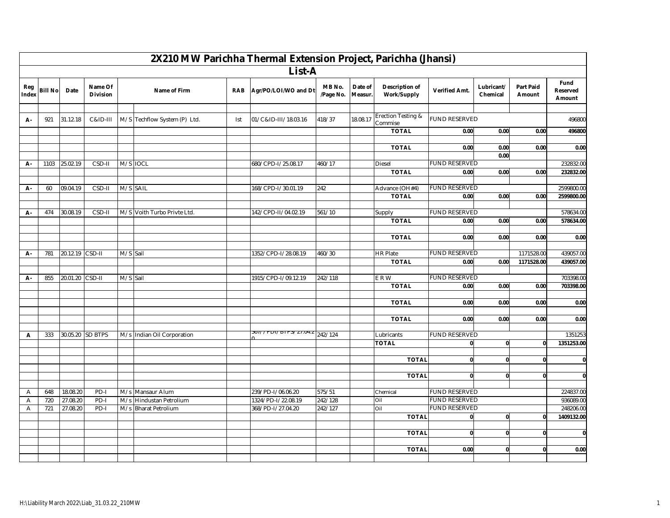|                |                |                      |                            |          |                                             |            | 2X210 MW Parichha Thermal Extension Project, Parichha (Jhansi) |                     |                    |                                      |                      |                        |                            |                                   |
|----------------|----------------|----------------------|----------------------------|----------|---------------------------------------------|------------|----------------------------------------------------------------|---------------------|--------------------|--------------------------------------|----------------------|------------------------|----------------------------|-----------------------------------|
|                |                |                      |                            |          |                                             |            | List-A                                                         |                     |                    |                                      |                      |                        |                            |                                   |
| Reg<br>Index   | <b>Bill No</b> | Date                 | Name Of<br><b>Division</b> |          | Name of Firm                                | <b>RAB</b> | Agr/PO/LOI/WO and Dt                                           | MB No.<br>/Page No. | Date of<br>Measur. | <b>Description of</b><br>Work/Supply | Verified Amt.        | Lubricant/<br>Chemical | <b>Part Paid</b><br>Amount | Fund<br><b>Reserved</b><br>Amount |
|                |                |                      |                            |          |                                             |            |                                                                |                     |                    |                                      |                      |                        |                            |                                   |
| А-             | 921            | 31.12.18             | C&ID-III                   |          | M/S Techflow System (P) Ltd.                | Ist        | 01/C&ID-III/18.03.16                                           | 418/37              | 18.08.17           | Erection Testing &<br>Commise        | <b>FUND RESERVED</b> |                        |                            | 496800                            |
|                |                |                      |                            |          |                                             |            |                                                                |                     |                    | <b>TOTAL</b>                         | 0.00                 | 0.00                   | 0.00                       | 496800                            |
|                |                |                      |                            |          |                                             |            |                                                                |                     |                    | <b>TOTAL</b>                         |                      | 0.00                   |                            |                                   |
|                |                |                      |                            |          |                                             |            |                                                                |                     |                    |                                      | 0.00                 | 0.00                   | 0.00                       | 0.00                              |
| А-             | 1103           | 25.02.19             | CSD-II                     | M/S IOCL |                                             |            | 680/CPD-I/25.08.17                                             | 460/17              |                    | <b>Diesel</b>                        | <b>FUND RESERVED</b> |                        |                            | 232832.00                         |
|                |                |                      |                            |          |                                             |            |                                                                |                     |                    | <b>TOTAL</b>                         | 0.00                 | 0.00                   | 0.00                       | 232832.00                         |
|                |                |                      |                            |          |                                             |            |                                                                |                     |                    |                                      |                      |                        |                            |                                   |
| А-             | 60             | 09.04.19             | CSD-II                     | M/S SAIL |                                             |            | 168/CPD-I/30.01.19                                             | 242                 |                    | Advance (OH#4)                       | <b>FUND RESERVED</b> |                        |                            | 2599800.00                        |
|                |                |                      |                            |          |                                             |            |                                                                |                     |                    | <b>TOTAL</b>                         | 0.00                 | 0.00                   | 0.00                       | 2599800.00                        |
|                |                |                      |                            |          |                                             |            |                                                                |                     |                    |                                      |                      |                        |                            |                                   |
| А-             | 474            | 30.08.19             | CSD-II                     |          | M/S Voith Turbo Privte Ltd.                 |            | 142/CPD-II/04.02.19                                            | 561/10              |                    | Supply                               | <b>FUND RESERVED</b> |                        |                            | 578634.00                         |
|                |                |                      |                            |          |                                             |            |                                                                |                     |                    | <b>TOTAL</b>                         | 0.00                 | 0.00                   | 0.00                       | 578634.00                         |
|                |                |                      |                            |          |                                             |            |                                                                |                     |                    |                                      |                      |                        |                            |                                   |
|                |                |                      |                            |          |                                             |            |                                                                |                     |                    | <b>TOTAL</b>                         | 0.00                 | 0.00                   | 0.00                       | 0.00                              |
|                | 781            |                      | CSD-II                     |          |                                             |            | 1352/CPD-I/28.08.19                                            |                     |                    |                                      | <b>FUND RESERVED</b> |                        |                            |                                   |
| А-             |                | 20.12.19             |                            | M/S Sail |                                             |            |                                                                | 460/30              |                    | <b>HR Plate</b><br><b>TOTAL</b>      | 0.00                 | 0.00                   | 1171528.00<br>1171528.00   | 439057.00<br>439057.00            |
|                |                |                      |                            |          |                                             |            |                                                                |                     |                    |                                      |                      |                        |                            |                                   |
| А-             | 855            | 20.01.20             | CSD-II                     | M/S Sail |                                             |            | 1915/CPD-I/09.12.19                                            | 242/118             |                    | E R W                                | <b>FUND RESERVED</b> |                        |                            | 703398.00                         |
|                |                |                      |                            |          |                                             |            |                                                                |                     |                    | <b>TOTAL</b>                         | 0.00                 | 0.00                   | 0.00                       | 703398.00                         |
|                |                |                      |                            |          |                                             |            |                                                                |                     |                    |                                      |                      |                        |                            |                                   |
|                |                |                      |                            |          |                                             |            |                                                                |                     |                    | <b>TOTAL</b>                         | 0.00                 | 0.00                   | 0.00                       | 0.00                              |
|                |                |                      |                            |          |                                             |            |                                                                |                     |                    |                                      |                      |                        |                            |                                   |
|                |                |                      |                            |          |                                             |            |                                                                |                     |                    | <b>TOTAL</b>                         | 0.00                 | 0.00                   | 0.00                       | 0.00                              |
|                |                |                      |                            |          |                                             |            |                                                                |                     |                    |                                      |                      |                        |                            |                                   |
| Α              | 333            |                      | 30.05.20 SD BTPS           |          | M/s Indian Oil Corporation                  |            | 90777 F DT7 DTF 37 27.04                                       | 242/124             |                    | Lubricants                           | <b>FUND RESERVED</b> |                        |                            | 1351253                           |
|                |                |                      |                            |          |                                             |            |                                                                |                     |                    | <b>TOTAL</b>                         | $\mathbf{0}$         | $\mathbf{0}$           | $\mathbf{0}$               | 1351253.00                        |
|                |                |                      |                            |          |                                             |            |                                                                |                     |                    |                                      |                      |                        |                            |                                   |
|                |                |                      |                            |          |                                             |            |                                                                |                     |                    | <b>TOTAL</b>                         | $\mathbf{0}$         | $\mathbf{0}$           | $\mathbf{0}$               | $\mathbf{0}$                      |
|                |                |                      |                            |          |                                             |            |                                                                |                     |                    |                                      |                      |                        |                            |                                   |
|                |                |                      |                            |          |                                             |            |                                                                |                     |                    | <b>TOTAL</b>                         | $\mathbf{0}$         | $\mathbf{0}$           | $\mathbf 0$                | $\mathbf{0}$                      |
|                |                |                      |                            |          |                                             |            |                                                                | 575/51              |                    |                                      | <b>FUND RESERVED</b> |                        |                            | 224837.00                         |
| Α<br>Α         | 648<br>720     | 18.08.20<br>27.08.20 | PD-I<br>PD-I               |          | M/s Mansaur Alum<br>M/s Hindustan Petrolium |            | 239/PD-I/06.06.20<br>1324/PD-I/22.08.19                        | 242/128             |                    | Chemical<br>Oil                      | <b>FUND RESERVED</b> |                        |                            | 936089.00                         |
| $\overline{A}$ | 721            | 27.08.20             | PD-I                       |          | M/s Bharat Petrolium                        |            | 368/PD-I/27.04.20                                              | 242/127             |                    | Oil                                  | <b>FUND RESERVED</b> |                        |                            | 248206.00                         |
|                |                |                      |                            |          |                                             |            |                                                                |                     |                    | <b>TOTAL</b>                         | $\bf{0}$             | $\mathbf{0}$           | $\mathbf 0$                | 1409132.00                        |
|                |                |                      |                            |          |                                             |            |                                                                |                     |                    |                                      |                      |                        |                            |                                   |
|                |                |                      |                            |          |                                             |            |                                                                |                     |                    | <b>TOTAL</b>                         | $\mathbf{0}$         | $\mathbf{0}$           | $\mathbf{0}$               | $\mathbf{0}$                      |
|                |                |                      |                            |          |                                             |            |                                                                |                     |                    |                                      |                      |                        |                            |                                   |
|                |                |                      |                            |          |                                             |            |                                                                |                     |                    | <b>TOTAL</b>                         | 0.00                 | $\mathbf{0}$           | $\mathbf{0}$               | 0.00                              |
|                |                |                      |                            |          |                                             |            |                                                                |                     |                    |                                      |                      |                        |                            |                                   |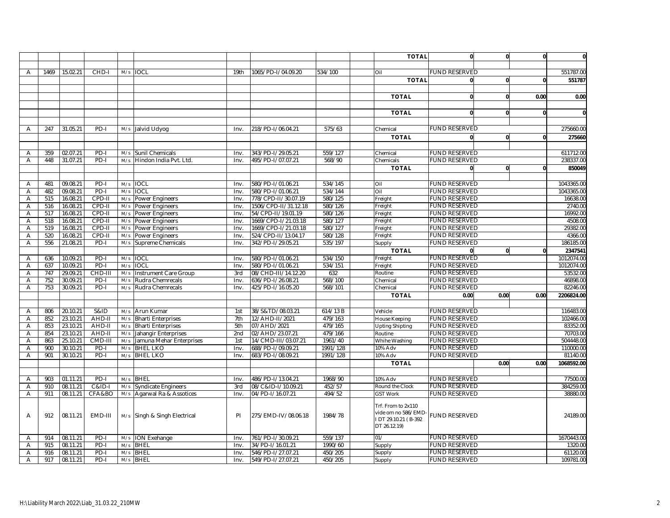|                |      |          |                   |     |                              |                  |                      |          | <b>TOTAL</b>                                                                     | $\mathbf{0}$         | $\mathbf{0}$ | $\mathbf{0}$ | $\mathbf{0}$ |
|----------------|------|----------|-------------------|-----|------------------------------|------------------|----------------------|----------|----------------------------------------------------------------------------------|----------------------|--------------|--------------|--------------|
|                |      |          |                   |     |                              |                  |                      |          |                                                                                  |                      |              |              |              |
| $\overline{A}$ | 1469 | 15.02.21 | CHD-I             |     | M/s IOCL                     | 19 <sub>th</sub> | 1065/PD-I/04.09.20   | 534/100  | Oil                                                                              | <b>FUND RESERVED</b> |              |              | 551787.00    |
|                |      |          |                   |     |                              |                  |                      |          | <b>TOTAL</b>                                                                     | $\mathbf{0}$         | $\mathbf{0}$ | $\mathbf{0}$ | 551787       |
|                |      |          |                   |     |                              |                  |                      |          |                                                                                  |                      |              |              |              |
|                |      |          |                   |     |                              |                  |                      |          | <b>TOTAL</b>                                                                     | $\mathbf{0}$         | $\mathbf{0}$ | 0.00         | 0.00         |
|                |      |          |                   |     |                              |                  |                      |          |                                                                                  |                      |              |              |              |
|                |      |          |                   |     |                              |                  |                      |          | <b>TOTAL</b>                                                                     | $\mathbf{0}$         | $\mathbf{0}$ | $\mathbf{0}$ | $\mathbf{0}$ |
|                |      |          |                   |     |                              |                  |                      |          |                                                                                  |                      |              |              |              |
| $\overline{A}$ | 247  | 31.05.21 | PD-I              |     | M/s Jalvid Udyog             | Inv.             | 218/PD-I/06.04.21    | 575/63   | Chemical                                                                         | <b>FUND RESERVED</b> |              |              | 275660.00    |
|                |      |          |                   |     |                              |                  |                      |          | <b>TOTAL</b>                                                                     | $\mathbf{0}$         | 0            | $\mathbf{0}$ | 275660       |
|                |      |          |                   |     |                              |                  |                      |          |                                                                                  |                      |              |              |              |
| Α              | 359  | 02.07.21 | PD-I              | M/s | <b>Sunil Chemicals</b>       | Inv.             | 343/PD-I/29.05.21    | 559/127  | Chemical                                                                         | <b>FUND RESERVED</b> |              |              | 611712.00    |
| Α              | 448  | 31.07.21 | PD-I              | M/s | Hindon India Pvt. Ltd.       | Inv.             | 495/PD-I/07.07.21    | 568/90   | Chemicals                                                                        | <b>FUND RESERVED</b> |              |              | 238337.00    |
|                |      |          |                   |     |                              |                  |                      |          | <b>TOTAL</b>                                                                     | $\mathbf{0}$         | $\mathbf{0}$ | $\mathbf{0}$ | 850049       |
|                |      |          |                   |     |                              |                  |                      |          |                                                                                  |                      |              |              |              |
| A              | 481  | 09.08.21 | PD-I              | M/s | <b>IOCL</b>                  | Inv.             | 580/PD-I/01.06.21    | 534/145  | Oil                                                                              | <b>FUND RESERVED</b> |              |              | 1043365.00   |
| $\overline{A}$ | 482  | 09.08.21 | $PD-I$            | M/s | <b>IOCL</b>                  | Inv.             | 580/PD-I/01.06.21    | 534/144  | Oil                                                                              | <b>FUND RESERVED</b> |              |              | 1043365.00   |
| $\overline{A}$ | 515  | 16.08.21 | CPD-II            | M/s | Power Engineers              | Inv.             | 778/CPD-II/30.07.19  | 580/125  | Freight                                                                          | <b>FUND RESERVED</b> |              |              | 16638.00     |
| Α              | 516  | 16.08.21 | CPD-II            | M/s | Power Engineers              | Inv.             | 1506/CPD-II/31.12.18 | 580/126  | Freight                                                                          | <b>FUND RESERVED</b> |              |              | 2740.00      |
| A              | 517  | 16.08.21 | CPD-II            | M/s | <b>Power Engineers</b>       | Inv.             | 54/CPD-II/19.01.19   | 580/126  | Freight                                                                          | <b>FUND RESERVED</b> |              |              | 16992.00     |
| $\overline{A}$ | 518  | 16.08.21 | CPD-II            | M/s | Power Engineers              | Inv.             | 1669/CPD-I/21.03.18  | 580/127  | Freight                                                                          | <b>FUND RESERVED</b> |              |              | 4508.00      |
| Α              | 519  | 16.08.21 | CPD-II            | M/s | Power Engineers              | Inv.             | 1669/CPD-I/21.03.18  | 580/127  | Freight                                                                          | <b>FUND RESERVED</b> |              |              | 29382.00     |
| Α              | 520  | 16.08.21 | CPD-II            | M/s | Power Engineers              | Inv.             | 524/CPD-II/13.04.17  | 580/128  | Freight                                                                          | <b>FUND RESERVED</b> |              |              | 4366.00      |
| A              | 556  | 21.08.21 | PD-I              | M/s | Supreme Chemicals            | Inv.             | 342/PD-I/29.05.21    | 535/197  | Supply                                                                           | <b>FUND RESERVED</b> |              |              | 186185.00    |
|                |      |          |                   |     |                              |                  |                      |          | <b>TOTAL</b>                                                                     | $\mathbf{0}$         | $\mathbf{0}$ | $\mathbf{0}$ | 2347541      |
| A              | 636  | 10.09.21 | $PD-I$            | M/s | <b>IOCL</b>                  | Inv.             | 580/PD-I/01.06.21    | 534/150  | Freight                                                                          | <b>FUND RESERVED</b> |              |              | 1012074.00   |
| Α              | 637  | 10.09.21 | $PD-I$            | M/s | <b>IOCL</b>                  | Inv.             | 580/PD-I/01.06.21    | 534/151  | Freight                                                                          | <b>FUND RESERVED</b> |              |              | 1012074.00   |
| Α              | 747  | 29.09.21 | CHD-II            | M/s | Instrument Care Group        | 3rd              | 08/CHD-III/14.12.20  | 632      | Routine                                                                          | <b>FUND RESERVED</b> |              |              | 53532.00     |
| A              | 752  | 30.09.21 | PD-I              | M/s | Rudra Chemrecals             | Inv.             | 636/PD-I/26.08.21    | 568/100  | Chemical                                                                         | <b>FUND RESERVED</b> |              |              | 46898.00     |
| $\overline{A}$ | 753  | 30.09.21 | $PD-I$            | M/s | Rudra Chemrecals             | Inv.             | 425/PD-I/16.05.20    | 568/101  | Chemical                                                                         | <b>FUND RESERVED</b> |              |              | 82246.00     |
|                |      |          |                   |     |                              |                  |                      |          | <b>TOTAL</b>                                                                     | 0.00                 | 0.00         | 0.00         | 2206824.00   |
|                | 806  | 20.10.21 | <b>S&amp;ID</b>   |     | M/s Arun Kumar               | 1st              | 38/S&TD/08.03.21     | 614/13 B | Vehicle                                                                          | <b>FUND RESERVED</b> |              |              | 116483.00    |
| Α<br>A         | 852  | 23.10.21 | AHD-II            | M/s | <b>Bharti Enterprises</b>    | 7th              | 12/AHD-II/2021       | 479/163  | House Keeping                                                                    | <b>FUND RESERVED</b> |              |              | 102466.00    |
| $\overline{A}$ | 853  | 23.10.21 | AHD-II            | M/s | <b>Bharti Enterprises</b>    | 5th              | 07/AHD/2021          | 479/165  | <b>Upting Shipting</b>                                                           | <b>FUND RESERVED</b> |              |              | 83352.00     |
| Α              | 854  | 23.10.21 | AHD-II            | M/s | Jahangir Enterprises         | 2nd              | 02/AHD/23.07.21      | 479/166  | Routine                                                                          | <b>FUND RESERVED</b> |              |              | 70703.00     |
| Α              | 863  | 25.10.21 | CMD-III           | M/s | Jamuna Mehar Enterprises     | 1st              | 14/CMD-III/03.07.21  | 1961/40  | Whihe Washing                                                                    | <b>FUND RESERVED</b> |              |              | 504448.00    |
| Α              | 900  | 30.10.21 | $PD-I$            | M/s | <b>BHEL LKO</b>              | Inv.             | 688/PD-I/09.09.21    | 1991/128 | 10% Adv                                                                          | <b>FUND RESERVED</b> |              |              | 110000.00    |
| A              | 901  | 30.10.21 | $PD-I$            |     | M/s BHEL LKO                 | Inv.             | 683/PD-I/08.09.21    | 1991/128 | 10% Adv                                                                          | <b>FUND RESERVED</b> |              |              | 81140.00     |
|                |      |          |                   |     |                              |                  |                      |          | <b>TOTAL</b>                                                                     |                      | 0.00         | 0.00         | 1068592.00   |
|                |      |          |                   |     |                              |                  |                      |          |                                                                                  |                      |              |              |              |
| A              | 903  | 01.11.21 | PD-I              |     | M/s BHEL                     | Inv.             | 486/PD-I/13.04.21    | 1968/90  | 10% Adv                                                                          | <b>FUND RESERVED</b> |              |              | 77500.00     |
| Α              | 910  | 08.11.21 | <b>C&amp;ID-I</b> | M/s | <b>Syndicate Engineers</b>   | 3rd              | 08/C&ID-I/10.09.21   | 452/57   | Round the Clock                                                                  | <b>FUND RESERVED</b> |              |              | 384259.00    |
| A              | 911  | 08.11.21 | CFA&BO            | M/s | Agarwal Ra & Assotices       | Inv.             | 04/PD-I/16.07.21     | 494/52   | <b>GST Work</b>                                                                  | <b>FUND RESERVED</b> |              |              | 38880.00     |
| Α              | 912  | 08.11.21 | EMD-III           |     | M/s Singh & Singh Electrical | PI               | 275/EMD-IV/08.06.18  | 1984/78  | Trf. From to 2x110<br>vide om no 586/EMD-<br>IDT 29.10.21 (B-392<br>DT 26.12.19) | <b>FUND RESERVED</b> |              |              | 24189.00     |
| $\overline{A}$ | 914  | 08.11.21 | PD-I              | M/s | <b>ION Exehange</b>          | Inv.             | 761/PD-I/30.09.21    | 559/137  | 01/                                                                              | <b>FUND RESERVED</b> |              |              | 1670443.00   |
| A              | 915  | 08.11.21 | PD-I              | M/s | <b>BHEL</b>                  | Inv.             | 34/PD-I/16.01.21     | 1990/60  | Supply                                                                           | <b>FUND RESERVED</b> |              |              | 1320.00      |
| Α              | 916  | 08.11.21 | $PD-I$            | M/s | <b>BHEL</b>                  | Inv.             | 546/PD-I/27.07.21    | 450/205  | Supply                                                                           | <b>FUND RESERVED</b> |              |              | 61120.00     |
| Α              | 917  | 08.11.21 | PD-I              | M/s | <b>BHEL</b>                  | Inv.             | 549/PD-I/27.07.21    | 450/205  | Supply                                                                           | <b>FUND RESERVED</b> |              |              | 109781.00    |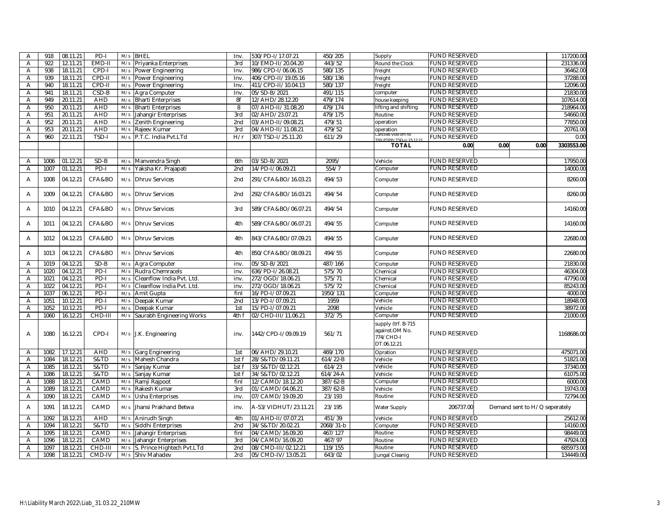| $\overline{\mathsf{A}}$ | 918  | 08.11.21 | $PD-I$     | M/s | <b>BHEL</b>                | Inv             | 530/PD-I/17.07.21    | 450/205      | Supply                                                           | <b>FUND RESERVED</b> |                               | 117200.00  |
|-------------------------|------|----------|------------|-----|----------------------------|-----------------|----------------------|--------------|------------------------------------------------------------------|----------------------|-------------------------------|------------|
| A                       | 922  | 12.11.21 | EMD-II     | M/s | Priyanka Enterprises       | 3rd             | 10/EMD-II/20.04.20   | 443/52       | Round the Clock                                                  | <b>FUND RESERVED</b> |                               | 231336.00  |
| A                       | 938  | 18.11.21 | CPD-I      | M/s | Power Engineering          | Inv.            | 986/CPD-I/06.06.15   | 580/135      | freight                                                          | FUND RESERVED        |                               | 36462.00   |
| Α                       | 939  | 18.11.21 | CPD-II     | M/s | Power Engineering          | Inv.            | 406/CPD-II/19.05.16  | 580/136      | freight                                                          | <b>FUND RESERVED</b> |                               | 37288.00   |
| A                       | 940  | 18.11.21 | CPD-II     | M/s | Power Engineering          | Inv.            | 411/CPD-II/10.04.13  | 580/137      | freight                                                          | <b>FUND RESERVED</b> |                               | 12096.00   |
| Α                       | 941  | 18.11.21 | $CSD-B$    | M/s | Agra Computer              | Inv.            | 05/SD-B/2021         | 491/115      | computer                                                         | FUND RESERVED        |                               | 21830.00   |
| A                       | 949  | 20.11.21 | <b>AHD</b> | M/s | <b>Bharti Enterprises</b>  | 8f              | 12/AHD/28.12.20      | 479/174      | house keeping                                                    | <b>FUND RESERVED</b> |                               | 107614.00  |
| A                       | 950  | 20.11.21 | <b>AHD</b> | M/s | <b>Bharti Enterprises</b>  | 8               | 07/AHD-II/31.08.20   | 479/174      | lifting and shifting                                             | <b>FUND RESERVED</b> |                               | 218964.00  |
| Α                       | 951  | 20.11.21 | <b>AHD</b> | M/s | Jahangir Enterprises       | 3rd             | 02/AHD/23.07.21      | 479/175      | Routine                                                          | FUND RESERVED        |                               | 54660.00   |
| A                       | 952  | 20.11.21 | <b>AHD</b> | M/s | Zenith Engineering         | 2nd             | 03/AHD-II/09.08.21   | 479/51       | operation                                                        | <b>FUND RESERVED</b> |                               | 77850.00   |
| $\overline{A}$          | 953  | 20.11.21 | AHD        | M/s | Rajeev Kumar               | 3rd             | 04/AHD-II/11.08.21   | 479/52       | operation                                                        | <b>FUND RESERVED</b> |                               | 20761.00   |
| A                       | 960  | 22.11.21 | TSD-I      | M/s | P.T.C. India Pvt.LTd       | H/r             | 307/TSD-I/25.11.20   | 611/29       | 20/PTPP/TSD-1/15.12.21                                           | <b>FUND RESERVED</b> |                               | 0.00       |
|                         |      |          |            |     |                            |                 |                      |              | <b>TOTAL</b>                                                     | 0.00                 | 0.00<br>0.00                  | 3303553.00 |
|                         |      |          |            |     |                            |                 |                      |              |                                                                  |                      |                               |            |
| $\overline{\mathsf{A}}$ | 1006 | 01.12.21 | $SD-B$     | M/s | Manvendra Singh            | 6th             | 03/SD-B/2021         | 2095/        | Vehicle                                                          | <b>FUND RESERVED</b> |                               | 17950.00   |
| A                       | 1007 | 01.12.21 | $PD-I$     | M/s | Yaksha Kr. Prajapati       | 2nd             | 14/PD-I/06.09.21     | 554/7        | Computer                                                         | UND RESERVED         |                               | 14000.00   |
|                         |      |          |            |     |                            |                 |                      |              |                                                                  |                      |                               |            |
| Α                       | 1008 | 04.12.21 | CFA&BO     | M/s | <b>Dhruv Services</b>      | 2nd             | 291/CFA&BO/16.03.21  | 494/53       | Computer                                                         | <b>FUND RESERVED</b> |                               | 8260.00    |
| A                       | 1009 | 04.12.21 | CFA&BO     | M/s | <b>Dhruv Services</b>      | 2 <sub>nd</sub> | 292/CFA&BO/16.03.21  | 494/54       | Computer                                                         | FUND RESERVED        |                               | 8260.00    |
| $\overline{A}$          | 1010 | 04.12.21 | CFA&BO     | M/s | <b>Dhruv Services</b>      | 3rd             | 589/CFA&BO/06.07.21  | 494/54       | Computer                                                         | <b>FUND RESERVED</b> |                               | 14160.00   |
| A                       | 1011 | 04.12.21 | CFA&BO     | M/s | <b>Dhruv Services</b>      | 4th             | 589/CFA&BO/06.07.21  | 494/55       | Computer                                                         | <b>FUND RESERVED</b> |                               | 14160.00   |
| A                       | 1012 | 04.12.21 | CFA&BO     | M/s | <b>Dhruv Services</b>      | 4th             | 843/CFA&BO/07.09.21  | 494/55       | Computer                                                         | <b>FUND RESERVED</b> |                               | 22680.00   |
| Α                       | 1013 | 04.12.21 | CFA&BO     | M/s | <b>Dhruv Services</b>      | 4th             | 850/CFA&BO/08.09.21  | 494/55       | Computer                                                         | <b>FUND RESERVED</b> |                               | 22680.00   |
| Α                       | 1019 | 04.12.21 | $SD-B$     | M/s | Agra Computer              | inv.            | 05/SD-B/2021         | 487/166      | Computer                                                         | <b>FUND RESERVED</b> |                               | 21830.00   |
| A                       | 1020 | 04.12.21 | PD-I       | M/s | Rudra Chemracels           | inv.            | 636/PD-I/26.08.21    | 575/70       | Chemical                                                         | <b>FUND RESERVED</b> |                               | 46304.00   |
| $\overline{A}$          | 1021 | 04.12.21 | $PD-I$     | M/s | Cleanflow India Pvt. Ltd.  | inv.            | 272/OGD/18.06.21     | 575/71       | Chemical                                                         | <b>FUND RESERVED</b> |                               | 47790.00   |
| Α                       | 1022 | 04.12.21 | PD-I       | M/s | Cleanflow India Pvt. Ltd.  | inv.            | 272/OGD/18.06.21     | 575/72       | Chemical                                                         | <b>FUND RESERVED</b> |                               | 85243.00   |
| Α                       | 1037 | 06.12.21 | $PD-I$     | M/s | Amit Gupta                 | finl            | 16/PD-I/07.09.21     | 1950/131     | Computer                                                         | <b>FUND RESERVED</b> |                               | 4000.00    |
| $\overline{A}$          | 1051 | 10.12.21 | $PD-I$     | M/s | Deepak Kumar               | 2 <sub>nd</sub> | 13/PD-I/07.09.21     | 1959         | Vehicle                                                          | <b>FUND RESERVED</b> |                               | 18948.00   |
| Α                       | 1052 | 10.12.21 | $PD-I$     | M/s | Deepak Kumar               | 1st             | 15/PD-I/07.09.21     | 2098         | Vehicle                                                          | <b>FUND RESERVED</b> |                               | 38972.00   |
| A                       | 1060 | 16.12.21 | CHD-III    | M/s | Saurabh Engineering Works  | 4th f           | 02/CHD-III/11.06.21  | 372/75       | Computer                                                         | <b>FUND RESERVED</b> |                               | 21000.00   |
| Α                       | 1080 | 16.12.21 | CPD-I      |     | M/s J.K. Engineering       | inv.            | 1442/CPD-I/09.09.19  | 561/71       | supply (trf. B-715<br>against.OM No.<br>774/CHD-I<br>DT.06.12.21 | <b>FUND RESERVED</b> |                               | 1168686.00 |
| $\overline{A}$          | 1082 | 17.12.21 | AHD        | M/s | Garg Engineering           | 1st             | 06/AHD/29.10.21      | 469/170      | Opration                                                         | <b>FUND RESERVED</b> |                               | 475071.00  |
| Α                       | 1084 | 18.12.21 | S&TD       | M/s | Mahesh Chandra             | 1st f           | 28/S&TD/09.11.21     | 614/22-B     | Vehicle                                                          | <b>FUND RESERVED</b> |                               | 51821.00   |
| $\overline{A}$          | 1085 | 18.12.21 | S&TD       | M/s | Sanjay Kumar               | 1st f           | 33/S&TD/02.12.21     | 614/23       | Vehicle                                                          | <b>FUND RESERVED</b> |                               | 37340.00   |
| $\overline{A}$          | 1086 | 18.12.21 | S&TD       | M/s | Sanjay Kumar               | 1st f           | 34/S&TD/02.12.21     | $614/24 - A$ | Vehicle                                                          | <b>FUND RESERVED</b> |                               | 61075.00   |
| A                       | 1088 | 18.12.21 | CAMD       | M/s | Ramji Rajpoot              | finl            | 12/CAMD/18.12.20     | 387/62-B     | Computer                                                         | <b>FUND RESERVED</b> |                               | 6000.00    |
| Α                       | 1089 | 18.12.21 | CAMD       | M/s | Rakesh Kumar               | 3rd             | 01/CAMD/04.06.21     | 387/62-B     | Vehicle                                                          | <b>FUND RESERVED</b> |                               | 19743.00   |
| A                       | 1090 | 18.12.21 | CAMD       | M/s | Usha Enterprises           | inv.            | 07/CAMD/19.09.20     | 23/193       | Routine                                                          | <b>FUND RESERVED</b> |                               | 72794.00   |
| Α                       | 1091 | 18.12.21 | CAMD       | M/s | Jhansi Prakhand Betwa      | inv.            | A-53/VIDHUT/23.11.21 | 23/195       | Water Supply                                                     | 206737.00            | Demand sent to H/Q seperately |            |
| $\overline{\mathsf{A}}$ | 1092 | 18.12.21 | <b>AHD</b> | M/s | Anirudh Singh              | 4th             | 01/AHD-II/07.07.21   | 451/39       | Vehicle                                                          | <b>FUND RESERVED</b> |                               | 25612.00   |
| Α                       | 1094 | 18.12.21 | S&TD       | M/s | Siddhi Enterprises         | 2nd             | 34/S&TD/20.02.21     | 2068/31-b    | Computer                                                         | <b>FUND RESERVED</b> |                               | 14160.00   |
| A                       | 1095 | 18.12.21 | CAMD       | M/s | Jahangir Enterprises       | finl            | 04/CAMD/16.09.20     | 467/127      | Routine                                                          | <b>FUND RESERVED</b> |                               | 98449.00   |
| $\overline{A}$          | 1096 | 18.12.21 | CAMD       | M/s | Jahangir Enterprises       | 3rd             | 04/CAMD/16.09.20     | 467/97       | Routine                                                          | <b>FUND RESERVED</b> |                               | 47924.00   |
| Α                       | 1097 | 18.12.21 | CHD-III    | M/s | S. Prince Hightech Pvt.LTd | 2nd             | 08/CMD-III/02.12.21  | 119/155      | Routine                                                          | <b>FUND RESERVED</b> |                               | 685973.00  |
| A                       | 1098 | 18.12.21 | CMD-IV     | M/s | Shiv Mahadev               | 2rd             | 05/CMD-IV/13.05.21   | 643/02       | Jungal Cleanig                                                   | <b>FUND RESERVED</b> |                               | 134449.00  |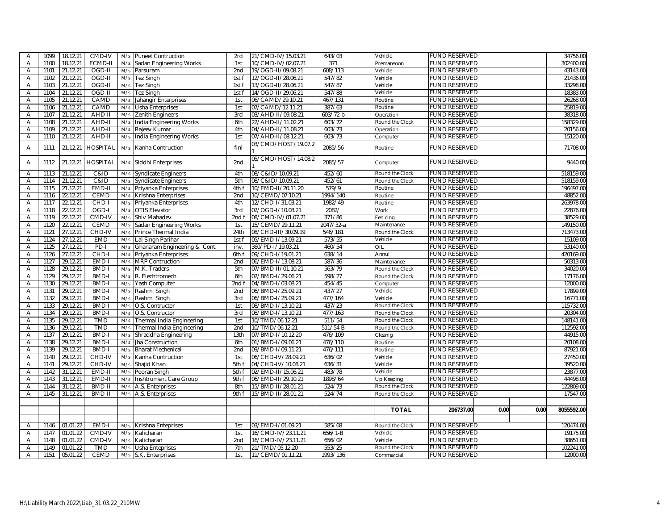| 302400.00<br>A<br>1100<br>18.12.21<br>ECMD-II<br>1st<br>10/CMD-IV/02.07.21<br>371<br><b>FUND RESERVED</b><br>M/s<br>Sadan Engineering Works<br>Premansoon<br>608/113<br>1101<br>21.12.21<br>OGD-II<br>2nd<br>19/OGD-II/09.08.21<br><b>FUND RESERVED</b><br>43143.00<br>Α<br>M/s<br>Parsuram<br>Vehicle<br><b>FUND RESERVED</b><br>21.12.21<br>OGD-II<br>12/OGD-II/28.06.21<br>547/82<br>Vehicle<br>21436.00<br>1102<br>M/s<br>Tez Singh<br>1st f<br>Α<br>OGD-II<br>M/s<br>547/87<br>Vehicle<br><b>FUND RESERVED</b><br>33298.00<br>A<br>1103<br>21.12.21<br>Tez Singh<br>1st f<br>13/OGD-II/28.06.21<br>OGD-II<br>547/88<br>Vehicle<br><b>FUND RESERVED</b><br>18383.00<br>1104<br>21.12.21<br>Tez Singh<br>1st f<br>14/OGD-II/29.06.21<br>Α<br>M/s<br>26268.00<br>21.12.21<br>CAMD<br>Jahangir Enterprises<br>467/131<br><b>FUND RESERVED</b><br>1105<br>M/s<br>1st<br>06/CAMD/29.10.21<br>Routine<br>Α<br>$\overline{A}$<br>21.12.21<br>CAMD<br>M/s<br>387/63<br><b>FUND RESERVED</b><br>25819.00<br>1106<br><b>Usha Enterprises</b><br>1st<br>07/CAMD/12.11.21<br>Routine<br>AHD-II<br>$603/72-b$<br>38318.00<br>1107<br>21.12.21<br>3rd<br>03/AHD-II/09.08.21<br><b>FUND RESERVED</b><br>Α<br>M/s<br>Zenith Engineers<br>Operation<br>158329.00<br>21.12.21<br>AHD-II<br>603/72<br><b>FUND RESERVED</b><br>1108<br>India Engineering Works<br>6th<br>22/AHD-II/11.02.21<br>Round the Clock<br>Α<br>M/s<br><b>FUND RESERVED</b><br>$\overline{A}$<br>1109<br>21.12.21<br>AHD-II<br>M/s<br>04/AHD-II/11.08.21<br>603/73<br>20156.00<br>Rajeev Kumar<br>4th<br>Operation<br>21.12.21<br>AHD-II<br><b>FUND RESERVED</b><br>1110<br>India Engineering Works<br>1st<br>07/AHD-II/08.12.21<br>603/73<br>Computer<br>$\overline{\mathsf{A}}$<br>M/s<br>03/CMD/HOST/19.07.2<br><b>FUND RESERVED</b><br>21.12.21<br><b>HOSPITAL</b><br>finl<br>2085/56<br>Routine<br>Α<br>1111<br>M/s<br>Kanha Contruction<br>05/CMD/HOST/14.08.2<br>21.12.21<br><b>HOSPITAL</b><br><b>FUND RESERVED</b><br>1112<br>Siddhi Enterprises<br>2nd<br>2085/57<br>M/s<br>Computer<br>A<br>21.12.21<br>C&ID<br>452/60<br><b>FUND RESERVED</b><br>518159.00<br>1113<br>Syndicate Engineers<br>4th<br>08/C&ID/10.09.21<br>Round the Clock<br>A<br>M/s<br>C&ID<br>452/61<br>Round the Clock<br><b>FUND RESERVED</b><br>1114<br>21.12.21<br>M/s<br><b>Syndicate Engineers</b><br>5th<br>08/C&ID/10.09.21<br>A<br>579/9<br><b>FUND RESERVED</b><br>A<br>1115<br>21.12.21<br>EMD-II<br>M/s<br>Priyanka Enterprises<br>4th f<br>10/EMD-II/20.11.20<br>Routine<br>1994/140<br><b>FUND RESERVED</b><br>$\overline{A}$<br>1116<br>22.12.21<br><b>CEMD</b><br>2nd<br>10/CEMD/07.10.21<br>M/s<br>Krishna Enterprises<br>Routine<br>CHD-I<br>1982/49<br>1117<br>22.12.21<br>M/s<br>Priyanka Enterprises<br>4th<br>12/CHD-I/31.03.21<br>Routine<br><b>FUND RESERVED</b><br>A<br>A<br>1118<br>22.12.21<br>OGD-I<br>M/s<br><b>OTIS Elevator</b><br>3rd<br>02/OGD-I/10.08.21<br>2082/<br>Work<br>FUND RESERVED<br>371/86<br><b>FUND RESERVED</b><br>38529.00<br>A<br>1119<br>22.12.21<br>CMD-IV<br>M/s<br>Shiv Mahadev<br>2nd f<br>08/CMD-IV/01.07.21<br>Fenicing<br>1120<br>22.12.21<br><b>CEMD</b><br>Sadan Engineering Works<br>2047/32-a<br>Maintenance<br><b>FUND RESERVED</b><br>149150.00<br>$\overline{A}$<br>M/s<br>1st<br>15/CEMD/29.11.21<br>1121<br>27.12.21<br>CHD-IV<br>Prince Thermal India<br>24th<br>546/181<br><b>FUND RESERVED</b><br>713473.00<br>$\overline{A}$<br>M/s<br>08/CHD-III/30.09.19<br>Round the Clock<br>27.12.21<br>Lal Singh Parihar<br>573/55<br><b>FUND RESERVED</b><br>15109.00<br>1124<br><b>EMD</b><br>M/s<br>05/EMD-I/13.09.21<br>Α<br>1st f<br>Vehicle<br>1125<br>27.12.21<br>$PD-I$<br>460/54<br><b>FUND RESERVED</b><br>53140.00<br>$\overline{A}$<br>M/s<br>Ghanaram Engineering & Cont.<br>inv.<br>360/PD-I/19.03.21<br>OIL<br>1126<br>27.12.21<br>CHD-I<br>638/14<br><b>FUND RESERVED</b><br>$\overline{A}$<br>M/s<br>Priyanka Enterprises<br>6th f<br>09/CHD-I/19.01.21<br>Annul<br>50313.00<br>EMD-I<br>587/36<br>1127<br>29.12.21<br><b>MRP Contruction</b><br>2nd<br>06/EMD-I/13.08.21<br><b>FUND RESERVED</b><br>Α<br>M/s<br>Maintenance<br>29.12.21<br>563/79<br><b>FUND RESERVED</b><br>$\overline{A}$<br>1128<br><b>BMD-I</b><br>M/s<br>M.K. Traders<br>5th<br>07/BMD-II/01.10.21<br>Round the Clock<br>34020.00<br>598/27<br>29.12.21<br>BMD-I<br>Round the Clock<br><b>FUND RESERVED</b><br>$\overline{A}$<br>1129<br>M/s<br>R. Elechtromech<br>6th<br>02/BMD-I/29.06.21<br>12000.00<br>454/45<br><b>FUND RESERVED</b><br>1130<br>29.12.21<br><b>BMD-I</b><br>M/s<br>Yash Computer<br>2nd f<br>04/BMD-I/03.08.21<br>Computer<br>Α<br>437/27<br>17899.00<br>1131<br>29.12.21<br><b>BMD-I</b><br>Rashmi Singh<br>2nd<br>06/BMD-I/25.09.21<br>Vehicle<br><b>FUND RESERVED</b><br>Α<br>M/s<br>29.12.21<br>BMD-I<br>477/164<br><b>FUND RESERVED</b><br>$\overline{\mathsf{A}}$<br>1132<br>M/s<br>Rashmi Singh<br>3rd<br>06/BMD-I/25.09.21<br>Vehicle<br>115732.00<br>437/23<br><b>FUND RESERVED</b><br>1133<br>29.12.21<br><b>BMD-I</b><br>O.S. Contructor<br>1st<br>08/BMD-I/13.10.21<br>Α<br>M/s<br>Round the Clock<br>1134<br>29.12.21<br><b>BMD-I</b><br>477/163<br><b>FUND RESERVED</b><br>20304.00<br>M/s<br>O.S. Contructor<br>3rd<br>08/BMD-I/13.10.21<br>Round the Clock<br>Α<br><b>TMD</b><br>511/54<br>148141.00<br>$\overline{A}$<br>29.12.21<br>10/TMD/06.12.21<br>Round the Clock<br><b>FUND RESERVED</b><br>1135<br>M/s<br>Thermal India Engineering<br>1st<br><b>TMD</b><br>$511/54-B$<br>Round the Clock<br><b>FUND RESERVED</b><br>112592.00<br>A<br>1136<br>29.12.21<br>M/s<br>Thermal India Engineering<br>2nd<br>10/TMD/06.12.21<br>BMD-I<br>476/109<br><b>FUND RESERVED</b><br>44915.00<br>1137<br>29.12.21<br>Shraddha Engineering<br>13th<br>07/BMD-I/10.12.20<br>Α<br>M/s<br>Cleanig<br><b>BMD-I</b><br>1138<br>29.12.21<br>01/BMD-I/09.06.21<br>476/110<br><b>FUND RESERVED</b><br>$\overline{\mathsf{A}}$<br>M/s<br>Jha Construction<br>6th<br>Routine<br>1139<br>29.12.21<br>BMD-I<br>476/111<br>A<br>M/s<br><b>Bharat Mechenical</b><br>2nd<br>09/BMD-I/09.11.21<br>Routine<br><b>FUND RESERVED</b><br>1140<br>29.12.21<br>CHD-IV<br>636/02<br><b>FUND RESERVED</b><br>27450.00<br>Kanha Contruction<br>1st<br>06/CHD-IV/28.09.21<br>Vehicle<br>Α<br>M/s<br>636/31<br>Vehicle<br><b>FUND RESERVED</b><br>39520.00<br>A<br>1141<br>29.12.21<br>CHD-IV<br>M/s<br>Shajid Khan<br>5th f<br>04/CHD-IV/10.08.21<br>1142<br>31.12.21<br>EMD-II<br>M/s<br>Pooran Singh<br>5th f<br>02/EMD-II/15.06.21<br>483/78<br>Vehicle<br><b>FUND RESERVED</b><br>23877.00<br>$\overline{A}$<br><b>FUND RESERVED</b><br>44498.00<br>1898/64<br>1143<br>31.12.21<br>EMD-II<br>M/s<br>Inshtrument Care Group<br>9th f<br>06/EMD-II/29.10.21<br>Up Keeping<br>Α<br>$\overline{A}$<br>1144<br>31.12.21<br>BMD-II<br>M/s<br>8th<br>15/BMD-II/28.01.21<br>524/73<br><b>FUND RESERVED</b><br>122809.00<br>A.S. Enterprises<br>Round the Clock<br>1145<br>31.12.21<br>BMD-II<br>9th f<br>15/BMD-II/28.01.21<br>524/74<br><b>FUND RESERVED</b><br>M/s<br>A.S. Enterprises<br>Round the Clock<br>Α<br><b>TOTAL</b><br>206737.00<br>0.00<br>0.00<br>01.01.22<br>EMD-I<br>585/68<br><b>FUND RESERVED</b><br>1146<br>03/EMD-I/01.09.21<br>Round the Clock<br>A<br>M/s<br>Krishna Enteprises<br>1st<br>1147<br>01.01.22<br>CMD-IV<br>Kalicharan<br>1st<br>$656/1-B$<br>Vehicle<br><b>FUND RESERVED</b><br>$\overline{A}$<br>M/s<br>16/CMD-IV/23.11.21<br>1148<br>01.01.22<br>656/02<br><b>FUND RESERVED</b><br>A<br>CMD-IV<br>M/s<br>Kalicharan<br>2nd<br>16/CMD-IV/23.11.21<br>Vehicle<br><b>TMD</b><br>553/25<br>1149<br>01.01.22<br>M/s<br>7th<br>21/TMD/05.12.20<br><b>FUND RESERVED</b><br>Α<br><b>Usha Enteprises</b><br>Round the Clock<br>1151<br>05.01.22<br><b>CEMD</b><br>1993/136<br><b>FUND RESERVED</b><br>Α<br>M/s<br>S.K. Enterprises<br>1st<br>11/CEMD/01.11.21<br>Commarcial | $\overline{A}$ | 1099 | 18.12.21 | CMD-IV | M/s | <b>Puneet Contruction</b> | 2rd | 21/CMD-IV/15.03.21 | 643/03 | Vehicle | <b>FUND RESERVED</b> | 34756.00 |
|------------------------------------------------------------------------------------------------------------------------------------------------------------------------------------------------------------------------------------------------------------------------------------------------------------------------------------------------------------------------------------------------------------------------------------------------------------------------------------------------------------------------------------------------------------------------------------------------------------------------------------------------------------------------------------------------------------------------------------------------------------------------------------------------------------------------------------------------------------------------------------------------------------------------------------------------------------------------------------------------------------------------------------------------------------------------------------------------------------------------------------------------------------------------------------------------------------------------------------------------------------------------------------------------------------------------------------------------------------------------------------------------------------------------------------------------------------------------------------------------------------------------------------------------------------------------------------------------------------------------------------------------------------------------------------------------------------------------------------------------------------------------------------------------------------------------------------------------------------------------------------------------------------------------------------------------------------------------------------------------------------------------------------------------------------------------------------------------------------------------------------------------------------------------------------------------------------------------------------------------------------------------------------------------------------------------------------------------------------------------------------------------------------------------------------------------------------------------------------------------------------------------------------------------------------------------------------------------------------------------------------------------------------------------------------------------------------------------------------------------------------------------------------------------------------------------------------------------------------------------------------------------------------------------------------------------------------------------------------------------------------------------------------------------------------------------------------------------------------------------------------------------------------------------------------------------------------------------------------------------------------------------------------------------------------------------------------------------------------------------------------------------------------------------------------------------------------------------------------------------------------------------------------------------------------------------------------------------------------------------------------------------------------------------------------------------------------------------------------------------------------------------------------------------------------------------------------------------------------------------------------------------------------------------------------------------------------------------------------------------------------------------------------------------------------------------------------------------------------------------------------------------------------------------------------------------------------------------------------------------------------------------------------------------------------------------------------------------------------------------------------------------------------------------------------------------------------------------------------------------------------------------------------------------------------------------------------------------------------------------------------------------------------------------------------------------------------------------------------------------------------------------------------------------------------------------------------------------------------------------------------------------------------------------------------------------------------------------------------------------------------------------------------------------------------------------------------------------------------------------------------------------------------------------------------------------------------------------------------------------------------------------------------------------------------------------------------------------------------------------------------------------------------------------------------------------------------------------------------------------------------------------------------------------------------------------------------------------------------------------------------------------------------------------------------------------------------------------------------------------------------------------------------------------------------------------------------------------------------------------------------------------------------------------------------------------------------------------------------------------------------------------------------------------------------------------------------------------------------------------------------------------------------------------------------------------------------------------------------------------------------------------------------------------------------------------------------------------------------------------------------------------------------------------------------------------------------------------------------------------------------------------------------------------------------------------------------------------------------------------------------------------------------------------------------------------------------------------------------------------------------------------------------------------------------------------------------------------------------------------------------------------------------------------------------------------------------------------------------------------------------------------------------------------------------------------------------------------------------------------------------------------------------------------------------------------------------------------------------------------------------------------------------------------------------------------------------------------------------------------------------------------------------------------------------------------------------------------------------------------------------------------------------------------------------------------------------------------------------------------------------------------------------------------------------------------------------------------------------------------------------------------------------------------------------------------------------------------------------------------------------------------|----------------|------|----------|--------|-----|---------------------------|-----|--------------------|--------|---------|----------------------|----------|
|                                                                                                                                                                                                                                                                                                                                                                                                                                                                                                                                                                                                                                                                                                                                                                                                                                                                                                                                                                                                                                                                                                                                                                                                                                                                                                                                                                                                                                                                                                                                                                                                                                                                                                                                                                                                                                                                                                                                                                                                                                                                                                                                                                                                                                                                                                                                                                                                                                                                                                                                                                                                                                                                                                                                                                                                                                                                                                                                                                                                                                                                                                                                                                                                                                                                                                                                                                                                                                                                                                                                                                                                                                                                                                                                                                                                                                                                                                                                                                                                                                                                                                                                                                                                                                                                                                                                                                                                                                                                                                                                                                                                                                                                                                                                                                                                                                                                                                                                                                                                                                                                                                                                                                                                                                                                                                                                                                                                                                                                                                                                                                                                                                                                                                                                                                                                                                                                                                                                                                                                                                                                                                                                                                                                                                                                                                                                                                                                                                                                                                                                                                                                                                                                                                                                                                                                                                                                                                                                                                                                                                                                                                                                                                                                                                                                                                                                                                                                                                                                                                                                                                                                                                                                                                                                                                                                                                                                                                |                |      |          |        |     |                           |     |                    |        |         |                      |          |
|                                                                                                                                                                                                                                                                                                                                                                                                                                                                                                                                                                                                                                                                                                                                                                                                                                                                                                                                                                                                                                                                                                                                                                                                                                                                                                                                                                                                                                                                                                                                                                                                                                                                                                                                                                                                                                                                                                                                                                                                                                                                                                                                                                                                                                                                                                                                                                                                                                                                                                                                                                                                                                                                                                                                                                                                                                                                                                                                                                                                                                                                                                                                                                                                                                                                                                                                                                                                                                                                                                                                                                                                                                                                                                                                                                                                                                                                                                                                                                                                                                                                                                                                                                                                                                                                                                                                                                                                                                                                                                                                                                                                                                                                                                                                                                                                                                                                                                                                                                                                                                                                                                                                                                                                                                                                                                                                                                                                                                                                                                                                                                                                                                                                                                                                                                                                                                                                                                                                                                                                                                                                                                                                                                                                                                                                                                                                                                                                                                                                                                                                                                                                                                                                                                                                                                                                                                                                                                                                                                                                                                                                                                                                                                                                                                                                                                                                                                                                                                                                                                                                                                                                                                                                                                                                                                                                                                                                                                |                |      |          |        |     |                           |     |                    |        |         |                      |          |
| 15120.00<br>71708.00<br>9440.00<br>518159.00<br>196497.00<br>48852.00<br>263978.00<br>22876.00<br>420169.00<br>17176.00<br>16771.00<br>20108.00<br>87921.00<br>17547.00<br>8055592.00<br>120474.00<br>19175.00<br>38651.00<br>102241.00<br>12000.00                                                                                                                                                                                                                                                                                                                                                                                                                                                                                                                                                                                                                                                                                                                                                                                                                                                                                                                                                                                                                                                                                                                                                                                                                                                                                                                                                                                                                                                                                                                                                                                                                                                                                                                                                                                                                                                                                                                                                                                                                                                                                                                                                                                                                                                                                                                                                                                                                                                                                                                                                                                                                                                                                                                                                                                                                                                                                                                                                                                                                                                                                                                                                                                                                                                                                                                                                                                                                                                                                                                                                                                                                                                                                                                                                                                                                                                                                                                                                                                                                                                                                                                                                                                                                                                                                                                                                                                                                                                                                                                                                                                                                                                                                                                                                                                                                                                                                                                                                                                                                                                                                                                                                                                                                                                                                                                                                                                                                                                                                                                                                                                                                                                                                                                                                                                                                                                                                                                                                                                                                                                                                                                                                                                                                                                                                                                                                                                                                                                                                                                                                                                                                                                                                                                                                                                                                                                                                                                                                                                                                                                                                                                                                                                                                                                                                                                                                                                                                                                                                                                                                                                                                                            |                |      |          |        |     |                           |     |                    |        |         |                      |          |
|                                                                                                                                                                                                                                                                                                                                                                                                                                                                                                                                                                                                                                                                                                                                                                                                                                                                                                                                                                                                                                                                                                                                                                                                                                                                                                                                                                                                                                                                                                                                                                                                                                                                                                                                                                                                                                                                                                                                                                                                                                                                                                                                                                                                                                                                                                                                                                                                                                                                                                                                                                                                                                                                                                                                                                                                                                                                                                                                                                                                                                                                                                                                                                                                                                                                                                                                                                                                                                                                                                                                                                                                                                                                                                                                                                                                                                                                                                                                                                                                                                                                                                                                                                                                                                                                                                                                                                                                                                                                                                                                                                                                                                                                                                                                                                                                                                                                                                                                                                                                                                                                                                                                                                                                                                                                                                                                                                                                                                                                                                                                                                                                                                                                                                                                                                                                                                                                                                                                                                                                                                                                                                                                                                                                                                                                                                                                                                                                                                                                                                                                                                                                                                                                                                                                                                                                                                                                                                                                                                                                                                                                                                                                                                                                                                                                                                                                                                                                                                                                                                                                                                                                                                                                                                                                                                                                                                                                                                |                |      |          |        |     |                           |     |                    |        |         |                      |          |
|                                                                                                                                                                                                                                                                                                                                                                                                                                                                                                                                                                                                                                                                                                                                                                                                                                                                                                                                                                                                                                                                                                                                                                                                                                                                                                                                                                                                                                                                                                                                                                                                                                                                                                                                                                                                                                                                                                                                                                                                                                                                                                                                                                                                                                                                                                                                                                                                                                                                                                                                                                                                                                                                                                                                                                                                                                                                                                                                                                                                                                                                                                                                                                                                                                                                                                                                                                                                                                                                                                                                                                                                                                                                                                                                                                                                                                                                                                                                                                                                                                                                                                                                                                                                                                                                                                                                                                                                                                                                                                                                                                                                                                                                                                                                                                                                                                                                                                                                                                                                                                                                                                                                                                                                                                                                                                                                                                                                                                                                                                                                                                                                                                                                                                                                                                                                                                                                                                                                                                                                                                                                                                                                                                                                                                                                                                                                                                                                                                                                                                                                                                                                                                                                                                                                                                                                                                                                                                                                                                                                                                                                                                                                                                                                                                                                                                                                                                                                                                                                                                                                                                                                                                                                                                                                                                                                                                                                                                |                |      |          |        |     |                           |     |                    |        |         |                      |          |
|                                                                                                                                                                                                                                                                                                                                                                                                                                                                                                                                                                                                                                                                                                                                                                                                                                                                                                                                                                                                                                                                                                                                                                                                                                                                                                                                                                                                                                                                                                                                                                                                                                                                                                                                                                                                                                                                                                                                                                                                                                                                                                                                                                                                                                                                                                                                                                                                                                                                                                                                                                                                                                                                                                                                                                                                                                                                                                                                                                                                                                                                                                                                                                                                                                                                                                                                                                                                                                                                                                                                                                                                                                                                                                                                                                                                                                                                                                                                                                                                                                                                                                                                                                                                                                                                                                                                                                                                                                                                                                                                                                                                                                                                                                                                                                                                                                                                                                                                                                                                                                                                                                                                                                                                                                                                                                                                                                                                                                                                                                                                                                                                                                                                                                                                                                                                                                                                                                                                                                                                                                                                                                                                                                                                                                                                                                                                                                                                                                                                                                                                                                                                                                                                                                                                                                                                                                                                                                                                                                                                                                                                                                                                                                                                                                                                                                                                                                                                                                                                                                                                                                                                                                                                                                                                                                                                                                                                                                |                |      |          |        |     |                           |     |                    |        |         |                      |          |
|                                                                                                                                                                                                                                                                                                                                                                                                                                                                                                                                                                                                                                                                                                                                                                                                                                                                                                                                                                                                                                                                                                                                                                                                                                                                                                                                                                                                                                                                                                                                                                                                                                                                                                                                                                                                                                                                                                                                                                                                                                                                                                                                                                                                                                                                                                                                                                                                                                                                                                                                                                                                                                                                                                                                                                                                                                                                                                                                                                                                                                                                                                                                                                                                                                                                                                                                                                                                                                                                                                                                                                                                                                                                                                                                                                                                                                                                                                                                                                                                                                                                                                                                                                                                                                                                                                                                                                                                                                                                                                                                                                                                                                                                                                                                                                                                                                                                                                                                                                                                                                                                                                                                                                                                                                                                                                                                                                                                                                                                                                                                                                                                                                                                                                                                                                                                                                                                                                                                                                                                                                                                                                                                                                                                                                                                                                                                                                                                                                                                                                                                                                                                                                                                                                                                                                                                                                                                                                                                                                                                                                                                                                                                                                                                                                                                                                                                                                                                                                                                                                                                                                                                                                                                                                                                                                                                                                                                                                |                |      |          |        |     |                           |     |                    |        |         |                      |          |
|                                                                                                                                                                                                                                                                                                                                                                                                                                                                                                                                                                                                                                                                                                                                                                                                                                                                                                                                                                                                                                                                                                                                                                                                                                                                                                                                                                                                                                                                                                                                                                                                                                                                                                                                                                                                                                                                                                                                                                                                                                                                                                                                                                                                                                                                                                                                                                                                                                                                                                                                                                                                                                                                                                                                                                                                                                                                                                                                                                                                                                                                                                                                                                                                                                                                                                                                                                                                                                                                                                                                                                                                                                                                                                                                                                                                                                                                                                                                                                                                                                                                                                                                                                                                                                                                                                                                                                                                                                                                                                                                                                                                                                                                                                                                                                                                                                                                                                                                                                                                                                                                                                                                                                                                                                                                                                                                                                                                                                                                                                                                                                                                                                                                                                                                                                                                                                                                                                                                                                                                                                                                                                                                                                                                                                                                                                                                                                                                                                                                                                                                                                                                                                                                                                                                                                                                                                                                                                                                                                                                                                                                                                                                                                                                                                                                                                                                                                                                                                                                                                                                                                                                                                                                                                                                                                                                                                                                                                |                |      |          |        |     |                           |     |                    |        |         |                      |          |
|                                                                                                                                                                                                                                                                                                                                                                                                                                                                                                                                                                                                                                                                                                                                                                                                                                                                                                                                                                                                                                                                                                                                                                                                                                                                                                                                                                                                                                                                                                                                                                                                                                                                                                                                                                                                                                                                                                                                                                                                                                                                                                                                                                                                                                                                                                                                                                                                                                                                                                                                                                                                                                                                                                                                                                                                                                                                                                                                                                                                                                                                                                                                                                                                                                                                                                                                                                                                                                                                                                                                                                                                                                                                                                                                                                                                                                                                                                                                                                                                                                                                                                                                                                                                                                                                                                                                                                                                                                                                                                                                                                                                                                                                                                                                                                                                                                                                                                                                                                                                                                                                                                                                                                                                                                                                                                                                                                                                                                                                                                                                                                                                                                                                                                                                                                                                                                                                                                                                                                                                                                                                                                                                                                                                                                                                                                                                                                                                                                                                                                                                                                                                                                                                                                                                                                                                                                                                                                                                                                                                                                                                                                                                                                                                                                                                                                                                                                                                                                                                                                                                                                                                                                                                                                                                                                                                                                                                                                |                |      |          |        |     |                           |     |                    |        |         |                      |          |
|                                                                                                                                                                                                                                                                                                                                                                                                                                                                                                                                                                                                                                                                                                                                                                                                                                                                                                                                                                                                                                                                                                                                                                                                                                                                                                                                                                                                                                                                                                                                                                                                                                                                                                                                                                                                                                                                                                                                                                                                                                                                                                                                                                                                                                                                                                                                                                                                                                                                                                                                                                                                                                                                                                                                                                                                                                                                                                                                                                                                                                                                                                                                                                                                                                                                                                                                                                                                                                                                                                                                                                                                                                                                                                                                                                                                                                                                                                                                                                                                                                                                                                                                                                                                                                                                                                                                                                                                                                                                                                                                                                                                                                                                                                                                                                                                                                                                                                                                                                                                                                                                                                                                                                                                                                                                                                                                                                                                                                                                                                                                                                                                                                                                                                                                                                                                                                                                                                                                                                                                                                                                                                                                                                                                                                                                                                                                                                                                                                                                                                                                                                                                                                                                                                                                                                                                                                                                                                                                                                                                                                                                                                                                                                                                                                                                                                                                                                                                                                                                                                                                                                                                                                                                                                                                                                                                                                                                                                |                |      |          |        |     |                           |     |                    |        |         |                      |          |
|                                                                                                                                                                                                                                                                                                                                                                                                                                                                                                                                                                                                                                                                                                                                                                                                                                                                                                                                                                                                                                                                                                                                                                                                                                                                                                                                                                                                                                                                                                                                                                                                                                                                                                                                                                                                                                                                                                                                                                                                                                                                                                                                                                                                                                                                                                                                                                                                                                                                                                                                                                                                                                                                                                                                                                                                                                                                                                                                                                                                                                                                                                                                                                                                                                                                                                                                                                                                                                                                                                                                                                                                                                                                                                                                                                                                                                                                                                                                                                                                                                                                                                                                                                                                                                                                                                                                                                                                                                                                                                                                                                                                                                                                                                                                                                                                                                                                                                                                                                                                                                                                                                                                                                                                                                                                                                                                                                                                                                                                                                                                                                                                                                                                                                                                                                                                                                                                                                                                                                                                                                                                                                                                                                                                                                                                                                                                                                                                                                                                                                                                                                                                                                                                                                                                                                                                                                                                                                                                                                                                                                                                                                                                                                                                                                                                                                                                                                                                                                                                                                                                                                                                                                                                                                                                                                                                                                                                                                |                |      |          |        |     |                           |     |                    |        |         |                      |          |
|                                                                                                                                                                                                                                                                                                                                                                                                                                                                                                                                                                                                                                                                                                                                                                                                                                                                                                                                                                                                                                                                                                                                                                                                                                                                                                                                                                                                                                                                                                                                                                                                                                                                                                                                                                                                                                                                                                                                                                                                                                                                                                                                                                                                                                                                                                                                                                                                                                                                                                                                                                                                                                                                                                                                                                                                                                                                                                                                                                                                                                                                                                                                                                                                                                                                                                                                                                                                                                                                                                                                                                                                                                                                                                                                                                                                                                                                                                                                                                                                                                                                                                                                                                                                                                                                                                                                                                                                                                                                                                                                                                                                                                                                                                                                                                                                                                                                                                                                                                                                                                                                                                                                                                                                                                                                                                                                                                                                                                                                                                                                                                                                                                                                                                                                                                                                                                                                                                                                                                                                                                                                                                                                                                                                                                                                                                                                                                                                                                                                                                                                                                                                                                                                                                                                                                                                                                                                                                                                                                                                                                                                                                                                                                                                                                                                                                                                                                                                                                                                                                                                                                                                                                                                                                                                                                                                                                                                                                |                |      |          |        |     |                           |     |                    |        |         |                      |          |
|                                                                                                                                                                                                                                                                                                                                                                                                                                                                                                                                                                                                                                                                                                                                                                                                                                                                                                                                                                                                                                                                                                                                                                                                                                                                                                                                                                                                                                                                                                                                                                                                                                                                                                                                                                                                                                                                                                                                                                                                                                                                                                                                                                                                                                                                                                                                                                                                                                                                                                                                                                                                                                                                                                                                                                                                                                                                                                                                                                                                                                                                                                                                                                                                                                                                                                                                                                                                                                                                                                                                                                                                                                                                                                                                                                                                                                                                                                                                                                                                                                                                                                                                                                                                                                                                                                                                                                                                                                                                                                                                                                                                                                                                                                                                                                                                                                                                                                                                                                                                                                                                                                                                                                                                                                                                                                                                                                                                                                                                                                                                                                                                                                                                                                                                                                                                                                                                                                                                                                                                                                                                                                                                                                                                                                                                                                                                                                                                                                                                                                                                                                                                                                                                                                                                                                                                                                                                                                                                                                                                                                                                                                                                                                                                                                                                                                                                                                                                                                                                                                                                                                                                                                                                                                                                                                                                                                                                                                |                |      |          |        |     |                           |     |                    |        |         |                      |          |
|                                                                                                                                                                                                                                                                                                                                                                                                                                                                                                                                                                                                                                                                                                                                                                                                                                                                                                                                                                                                                                                                                                                                                                                                                                                                                                                                                                                                                                                                                                                                                                                                                                                                                                                                                                                                                                                                                                                                                                                                                                                                                                                                                                                                                                                                                                                                                                                                                                                                                                                                                                                                                                                                                                                                                                                                                                                                                                                                                                                                                                                                                                                                                                                                                                                                                                                                                                                                                                                                                                                                                                                                                                                                                                                                                                                                                                                                                                                                                                                                                                                                                                                                                                                                                                                                                                                                                                                                                                                                                                                                                                                                                                                                                                                                                                                                                                                                                                                                                                                                                                                                                                                                                                                                                                                                                                                                                                                                                                                                                                                                                                                                                                                                                                                                                                                                                                                                                                                                                                                                                                                                                                                                                                                                                                                                                                                                                                                                                                                                                                                                                                                                                                                                                                                                                                                                                                                                                                                                                                                                                                                                                                                                                                                                                                                                                                                                                                                                                                                                                                                                                                                                                                                                                                                                                                                                                                                                                                |                |      |          |        |     |                           |     |                    |        |         |                      |          |
|                                                                                                                                                                                                                                                                                                                                                                                                                                                                                                                                                                                                                                                                                                                                                                                                                                                                                                                                                                                                                                                                                                                                                                                                                                                                                                                                                                                                                                                                                                                                                                                                                                                                                                                                                                                                                                                                                                                                                                                                                                                                                                                                                                                                                                                                                                                                                                                                                                                                                                                                                                                                                                                                                                                                                                                                                                                                                                                                                                                                                                                                                                                                                                                                                                                                                                                                                                                                                                                                                                                                                                                                                                                                                                                                                                                                                                                                                                                                                                                                                                                                                                                                                                                                                                                                                                                                                                                                                                                                                                                                                                                                                                                                                                                                                                                                                                                                                                                                                                                                                                                                                                                                                                                                                                                                                                                                                                                                                                                                                                                                                                                                                                                                                                                                                                                                                                                                                                                                                                                                                                                                                                                                                                                                                                                                                                                                                                                                                                                                                                                                                                                                                                                                                                                                                                                                                                                                                                                                                                                                                                                                                                                                                                                                                                                                                                                                                                                                                                                                                                                                                                                                                                                                                                                                                                                                                                                                                                |                |      |          |        |     |                           |     |                    |        |         |                      |          |
|                                                                                                                                                                                                                                                                                                                                                                                                                                                                                                                                                                                                                                                                                                                                                                                                                                                                                                                                                                                                                                                                                                                                                                                                                                                                                                                                                                                                                                                                                                                                                                                                                                                                                                                                                                                                                                                                                                                                                                                                                                                                                                                                                                                                                                                                                                                                                                                                                                                                                                                                                                                                                                                                                                                                                                                                                                                                                                                                                                                                                                                                                                                                                                                                                                                                                                                                                                                                                                                                                                                                                                                                                                                                                                                                                                                                                                                                                                                                                                                                                                                                                                                                                                                                                                                                                                                                                                                                                                                                                                                                                                                                                                                                                                                                                                                                                                                                                                                                                                                                                                                                                                                                                                                                                                                                                                                                                                                                                                                                                                                                                                                                                                                                                                                                                                                                                                                                                                                                                                                                                                                                                                                                                                                                                                                                                                                                                                                                                                                                                                                                                                                                                                                                                                                                                                                                                                                                                                                                                                                                                                                                                                                                                                                                                                                                                                                                                                                                                                                                                                                                                                                                                                                                                                                                                                                                                                                                                                |                |      |          |        |     |                           |     |                    |        |         |                      |          |
|                                                                                                                                                                                                                                                                                                                                                                                                                                                                                                                                                                                                                                                                                                                                                                                                                                                                                                                                                                                                                                                                                                                                                                                                                                                                                                                                                                                                                                                                                                                                                                                                                                                                                                                                                                                                                                                                                                                                                                                                                                                                                                                                                                                                                                                                                                                                                                                                                                                                                                                                                                                                                                                                                                                                                                                                                                                                                                                                                                                                                                                                                                                                                                                                                                                                                                                                                                                                                                                                                                                                                                                                                                                                                                                                                                                                                                                                                                                                                                                                                                                                                                                                                                                                                                                                                                                                                                                                                                                                                                                                                                                                                                                                                                                                                                                                                                                                                                                                                                                                                                                                                                                                                                                                                                                                                                                                                                                                                                                                                                                                                                                                                                                                                                                                                                                                                                                                                                                                                                                                                                                                                                                                                                                                                                                                                                                                                                                                                                                                                                                                                                                                                                                                                                                                                                                                                                                                                                                                                                                                                                                                                                                                                                                                                                                                                                                                                                                                                                                                                                                                                                                                                                                                                                                                                                                                                                                                                                |                |      |          |        |     |                           |     |                    |        |         |                      |          |
|                                                                                                                                                                                                                                                                                                                                                                                                                                                                                                                                                                                                                                                                                                                                                                                                                                                                                                                                                                                                                                                                                                                                                                                                                                                                                                                                                                                                                                                                                                                                                                                                                                                                                                                                                                                                                                                                                                                                                                                                                                                                                                                                                                                                                                                                                                                                                                                                                                                                                                                                                                                                                                                                                                                                                                                                                                                                                                                                                                                                                                                                                                                                                                                                                                                                                                                                                                                                                                                                                                                                                                                                                                                                                                                                                                                                                                                                                                                                                                                                                                                                                                                                                                                                                                                                                                                                                                                                                                                                                                                                                                                                                                                                                                                                                                                                                                                                                                                                                                                                                                                                                                                                                                                                                                                                                                                                                                                                                                                                                                                                                                                                                                                                                                                                                                                                                                                                                                                                                                                                                                                                                                                                                                                                                                                                                                                                                                                                                                                                                                                                                                                                                                                                                                                                                                                                                                                                                                                                                                                                                                                                                                                                                                                                                                                                                                                                                                                                                                                                                                                                                                                                                                                                                                                                                                                                                                                                                                |                |      |          |        |     |                           |     |                    |        |         |                      |          |
|                                                                                                                                                                                                                                                                                                                                                                                                                                                                                                                                                                                                                                                                                                                                                                                                                                                                                                                                                                                                                                                                                                                                                                                                                                                                                                                                                                                                                                                                                                                                                                                                                                                                                                                                                                                                                                                                                                                                                                                                                                                                                                                                                                                                                                                                                                                                                                                                                                                                                                                                                                                                                                                                                                                                                                                                                                                                                                                                                                                                                                                                                                                                                                                                                                                                                                                                                                                                                                                                                                                                                                                                                                                                                                                                                                                                                                                                                                                                                                                                                                                                                                                                                                                                                                                                                                                                                                                                                                                                                                                                                                                                                                                                                                                                                                                                                                                                                                                                                                                                                                                                                                                                                                                                                                                                                                                                                                                                                                                                                                                                                                                                                                                                                                                                                                                                                                                                                                                                                                                                                                                                                                                                                                                                                                                                                                                                                                                                                                                                                                                                                                                                                                                                                                                                                                                                                                                                                                                                                                                                                                                                                                                                                                                                                                                                                                                                                                                                                                                                                                                                                                                                                                                                                                                                                                                                                                                                                                |                |      |          |        |     |                           |     |                    |        |         |                      |          |
|                                                                                                                                                                                                                                                                                                                                                                                                                                                                                                                                                                                                                                                                                                                                                                                                                                                                                                                                                                                                                                                                                                                                                                                                                                                                                                                                                                                                                                                                                                                                                                                                                                                                                                                                                                                                                                                                                                                                                                                                                                                                                                                                                                                                                                                                                                                                                                                                                                                                                                                                                                                                                                                                                                                                                                                                                                                                                                                                                                                                                                                                                                                                                                                                                                                                                                                                                                                                                                                                                                                                                                                                                                                                                                                                                                                                                                                                                                                                                                                                                                                                                                                                                                                                                                                                                                                                                                                                                                                                                                                                                                                                                                                                                                                                                                                                                                                                                                                                                                                                                                                                                                                                                                                                                                                                                                                                                                                                                                                                                                                                                                                                                                                                                                                                                                                                                                                                                                                                                                                                                                                                                                                                                                                                                                                                                                                                                                                                                                                                                                                                                                                                                                                                                                                                                                                                                                                                                                                                                                                                                                                                                                                                                                                                                                                                                                                                                                                                                                                                                                                                                                                                                                                                                                                                                                                                                                                                                                |                |      |          |        |     |                           |     |                    |        |         |                      |          |
|                                                                                                                                                                                                                                                                                                                                                                                                                                                                                                                                                                                                                                                                                                                                                                                                                                                                                                                                                                                                                                                                                                                                                                                                                                                                                                                                                                                                                                                                                                                                                                                                                                                                                                                                                                                                                                                                                                                                                                                                                                                                                                                                                                                                                                                                                                                                                                                                                                                                                                                                                                                                                                                                                                                                                                                                                                                                                                                                                                                                                                                                                                                                                                                                                                                                                                                                                                                                                                                                                                                                                                                                                                                                                                                                                                                                                                                                                                                                                                                                                                                                                                                                                                                                                                                                                                                                                                                                                                                                                                                                                                                                                                                                                                                                                                                                                                                                                                                                                                                                                                                                                                                                                                                                                                                                                                                                                                                                                                                                                                                                                                                                                                                                                                                                                                                                                                                                                                                                                                                                                                                                                                                                                                                                                                                                                                                                                                                                                                                                                                                                                                                                                                                                                                                                                                                                                                                                                                                                                                                                                                                                                                                                                                                                                                                                                                                                                                                                                                                                                                                                                                                                                                                                                                                                                                                                                                                                                                |                |      |          |        |     |                           |     |                    |        |         |                      |          |
|                                                                                                                                                                                                                                                                                                                                                                                                                                                                                                                                                                                                                                                                                                                                                                                                                                                                                                                                                                                                                                                                                                                                                                                                                                                                                                                                                                                                                                                                                                                                                                                                                                                                                                                                                                                                                                                                                                                                                                                                                                                                                                                                                                                                                                                                                                                                                                                                                                                                                                                                                                                                                                                                                                                                                                                                                                                                                                                                                                                                                                                                                                                                                                                                                                                                                                                                                                                                                                                                                                                                                                                                                                                                                                                                                                                                                                                                                                                                                                                                                                                                                                                                                                                                                                                                                                                                                                                                                                                                                                                                                                                                                                                                                                                                                                                                                                                                                                                                                                                                                                                                                                                                                                                                                                                                                                                                                                                                                                                                                                                                                                                                                                                                                                                                                                                                                                                                                                                                                                                                                                                                                                                                                                                                                                                                                                                                                                                                                                                                                                                                                                                                                                                                                                                                                                                                                                                                                                                                                                                                                                                                                                                                                                                                                                                                                                                                                                                                                                                                                                                                                                                                                                                                                                                                                                                                                                                                                                |                |      |          |        |     |                           |     |                    |        |         |                      |          |
|                                                                                                                                                                                                                                                                                                                                                                                                                                                                                                                                                                                                                                                                                                                                                                                                                                                                                                                                                                                                                                                                                                                                                                                                                                                                                                                                                                                                                                                                                                                                                                                                                                                                                                                                                                                                                                                                                                                                                                                                                                                                                                                                                                                                                                                                                                                                                                                                                                                                                                                                                                                                                                                                                                                                                                                                                                                                                                                                                                                                                                                                                                                                                                                                                                                                                                                                                                                                                                                                                                                                                                                                                                                                                                                                                                                                                                                                                                                                                                                                                                                                                                                                                                                                                                                                                                                                                                                                                                                                                                                                                                                                                                                                                                                                                                                                                                                                                                                                                                                                                                                                                                                                                                                                                                                                                                                                                                                                                                                                                                                                                                                                                                                                                                                                                                                                                                                                                                                                                                                                                                                                                                                                                                                                                                                                                                                                                                                                                                                                                                                                                                                                                                                                                                                                                                                                                                                                                                                                                                                                                                                                                                                                                                                                                                                                                                                                                                                                                                                                                                                                                                                                                                                                                                                                                                                                                                                                                                |                |      |          |        |     |                           |     |                    |        |         |                      |          |
|                                                                                                                                                                                                                                                                                                                                                                                                                                                                                                                                                                                                                                                                                                                                                                                                                                                                                                                                                                                                                                                                                                                                                                                                                                                                                                                                                                                                                                                                                                                                                                                                                                                                                                                                                                                                                                                                                                                                                                                                                                                                                                                                                                                                                                                                                                                                                                                                                                                                                                                                                                                                                                                                                                                                                                                                                                                                                                                                                                                                                                                                                                                                                                                                                                                                                                                                                                                                                                                                                                                                                                                                                                                                                                                                                                                                                                                                                                                                                                                                                                                                                                                                                                                                                                                                                                                                                                                                                                                                                                                                                                                                                                                                                                                                                                                                                                                                                                                                                                                                                                                                                                                                                                                                                                                                                                                                                                                                                                                                                                                                                                                                                                                                                                                                                                                                                                                                                                                                                                                                                                                                                                                                                                                                                                                                                                                                                                                                                                                                                                                                                                                                                                                                                                                                                                                                                                                                                                                                                                                                                                                                                                                                                                                                                                                                                                                                                                                                                                                                                                                                                                                                                                                                                                                                                                                                                                                                                                |                |      |          |        |     |                           |     |                    |        |         |                      |          |
|                                                                                                                                                                                                                                                                                                                                                                                                                                                                                                                                                                                                                                                                                                                                                                                                                                                                                                                                                                                                                                                                                                                                                                                                                                                                                                                                                                                                                                                                                                                                                                                                                                                                                                                                                                                                                                                                                                                                                                                                                                                                                                                                                                                                                                                                                                                                                                                                                                                                                                                                                                                                                                                                                                                                                                                                                                                                                                                                                                                                                                                                                                                                                                                                                                                                                                                                                                                                                                                                                                                                                                                                                                                                                                                                                                                                                                                                                                                                                                                                                                                                                                                                                                                                                                                                                                                                                                                                                                                                                                                                                                                                                                                                                                                                                                                                                                                                                                                                                                                                                                                                                                                                                                                                                                                                                                                                                                                                                                                                                                                                                                                                                                                                                                                                                                                                                                                                                                                                                                                                                                                                                                                                                                                                                                                                                                                                                                                                                                                                                                                                                                                                                                                                                                                                                                                                                                                                                                                                                                                                                                                                                                                                                                                                                                                                                                                                                                                                                                                                                                                                                                                                                                                                                                                                                                                                                                                                                                |                |      |          |        |     |                           |     |                    |        |         |                      |          |
|                                                                                                                                                                                                                                                                                                                                                                                                                                                                                                                                                                                                                                                                                                                                                                                                                                                                                                                                                                                                                                                                                                                                                                                                                                                                                                                                                                                                                                                                                                                                                                                                                                                                                                                                                                                                                                                                                                                                                                                                                                                                                                                                                                                                                                                                                                                                                                                                                                                                                                                                                                                                                                                                                                                                                                                                                                                                                                                                                                                                                                                                                                                                                                                                                                                                                                                                                                                                                                                                                                                                                                                                                                                                                                                                                                                                                                                                                                                                                                                                                                                                                                                                                                                                                                                                                                                                                                                                                                                                                                                                                                                                                                                                                                                                                                                                                                                                                                                                                                                                                                                                                                                                                                                                                                                                                                                                                                                                                                                                                                                                                                                                                                                                                                                                                                                                                                                                                                                                                                                                                                                                                                                                                                                                                                                                                                                                                                                                                                                                                                                                                                                                                                                                                                                                                                                                                                                                                                                                                                                                                                                                                                                                                                                                                                                                                                                                                                                                                                                                                                                                                                                                                                                                                                                                                                                                                                                                                                |                |      |          |        |     |                           |     |                    |        |         |                      |          |
|                                                                                                                                                                                                                                                                                                                                                                                                                                                                                                                                                                                                                                                                                                                                                                                                                                                                                                                                                                                                                                                                                                                                                                                                                                                                                                                                                                                                                                                                                                                                                                                                                                                                                                                                                                                                                                                                                                                                                                                                                                                                                                                                                                                                                                                                                                                                                                                                                                                                                                                                                                                                                                                                                                                                                                                                                                                                                                                                                                                                                                                                                                                                                                                                                                                                                                                                                                                                                                                                                                                                                                                                                                                                                                                                                                                                                                                                                                                                                                                                                                                                                                                                                                                                                                                                                                                                                                                                                                                                                                                                                                                                                                                                                                                                                                                                                                                                                                                                                                                                                                                                                                                                                                                                                                                                                                                                                                                                                                                                                                                                                                                                                                                                                                                                                                                                                                                                                                                                                                                                                                                                                                                                                                                                                                                                                                                                                                                                                                                                                                                                                                                                                                                                                                                                                                                                                                                                                                                                                                                                                                                                                                                                                                                                                                                                                                                                                                                                                                                                                                                                                                                                                                                                                                                                                                                                                                                                                                |                |      |          |        |     |                           |     |                    |        |         |                      |          |
|                                                                                                                                                                                                                                                                                                                                                                                                                                                                                                                                                                                                                                                                                                                                                                                                                                                                                                                                                                                                                                                                                                                                                                                                                                                                                                                                                                                                                                                                                                                                                                                                                                                                                                                                                                                                                                                                                                                                                                                                                                                                                                                                                                                                                                                                                                                                                                                                                                                                                                                                                                                                                                                                                                                                                                                                                                                                                                                                                                                                                                                                                                                                                                                                                                                                                                                                                                                                                                                                                                                                                                                                                                                                                                                                                                                                                                                                                                                                                                                                                                                                                                                                                                                                                                                                                                                                                                                                                                                                                                                                                                                                                                                                                                                                                                                                                                                                                                                                                                                                                                                                                                                                                                                                                                                                                                                                                                                                                                                                                                                                                                                                                                                                                                                                                                                                                                                                                                                                                                                                                                                                                                                                                                                                                                                                                                                                                                                                                                                                                                                                                                                                                                                                                                                                                                                                                                                                                                                                                                                                                                                                                                                                                                                                                                                                                                                                                                                                                                                                                                                                                                                                                                                                                                                                                                                                                                                                                                |                |      |          |        |     |                           |     |                    |        |         |                      |          |
|                                                                                                                                                                                                                                                                                                                                                                                                                                                                                                                                                                                                                                                                                                                                                                                                                                                                                                                                                                                                                                                                                                                                                                                                                                                                                                                                                                                                                                                                                                                                                                                                                                                                                                                                                                                                                                                                                                                                                                                                                                                                                                                                                                                                                                                                                                                                                                                                                                                                                                                                                                                                                                                                                                                                                                                                                                                                                                                                                                                                                                                                                                                                                                                                                                                                                                                                                                                                                                                                                                                                                                                                                                                                                                                                                                                                                                                                                                                                                                                                                                                                                                                                                                                                                                                                                                                                                                                                                                                                                                                                                                                                                                                                                                                                                                                                                                                                                                                                                                                                                                                                                                                                                                                                                                                                                                                                                                                                                                                                                                                                                                                                                                                                                                                                                                                                                                                                                                                                                                                                                                                                                                                                                                                                                                                                                                                                                                                                                                                                                                                                                                                                                                                                                                                                                                                                                                                                                                                                                                                                                                                                                                                                                                                                                                                                                                                                                                                                                                                                                                                                                                                                                                                                                                                                                                                                                                                                                                |                |      |          |        |     |                           |     |                    |        |         |                      |          |
|                                                                                                                                                                                                                                                                                                                                                                                                                                                                                                                                                                                                                                                                                                                                                                                                                                                                                                                                                                                                                                                                                                                                                                                                                                                                                                                                                                                                                                                                                                                                                                                                                                                                                                                                                                                                                                                                                                                                                                                                                                                                                                                                                                                                                                                                                                                                                                                                                                                                                                                                                                                                                                                                                                                                                                                                                                                                                                                                                                                                                                                                                                                                                                                                                                                                                                                                                                                                                                                                                                                                                                                                                                                                                                                                                                                                                                                                                                                                                                                                                                                                                                                                                                                                                                                                                                                                                                                                                                                                                                                                                                                                                                                                                                                                                                                                                                                                                                                                                                                                                                                                                                                                                                                                                                                                                                                                                                                                                                                                                                                                                                                                                                                                                                                                                                                                                                                                                                                                                                                                                                                                                                                                                                                                                                                                                                                                                                                                                                                                                                                                                                                                                                                                                                                                                                                                                                                                                                                                                                                                                                                                                                                                                                                                                                                                                                                                                                                                                                                                                                                                                                                                                                                                                                                                                                                                                                                                                                |                |      |          |        |     |                           |     |                    |        |         |                      |          |
|                                                                                                                                                                                                                                                                                                                                                                                                                                                                                                                                                                                                                                                                                                                                                                                                                                                                                                                                                                                                                                                                                                                                                                                                                                                                                                                                                                                                                                                                                                                                                                                                                                                                                                                                                                                                                                                                                                                                                                                                                                                                                                                                                                                                                                                                                                                                                                                                                                                                                                                                                                                                                                                                                                                                                                                                                                                                                                                                                                                                                                                                                                                                                                                                                                                                                                                                                                                                                                                                                                                                                                                                                                                                                                                                                                                                                                                                                                                                                                                                                                                                                                                                                                                                                                                                                                                                                                                                                                                                                                                                                                                                                                                                                                                                                                                                                                                                                                                                                                                                                                                                                                                                                                                                                                                                                                                                                                                                                                                                                                                                                                                                                                                                                                                                                                                                                                                                                                                                                                                                                                                                                                                                                                                                                                                                                                                                                                                                                                                                                                                                                                                                                                                                                                                                                                                                                                                                                                                                                                                                                                                                                                                                                                                                                                                                                                                                                                                                                                                                                                                                                                                                                                                                                                                                                                                                                                                                                                |                |      |          |        |     |                           |     |                    |        |         |                      |          |
|                                                                                                                                                                                                                                                                                                                                                                                                                                                                                                                                                                                                                                                                                                                                                                                                                                                                                                                                                                                                                                                                                                                                                                                                                                                                                                                                                                                                                                                                                                                                                                                                                                                                                                                                                                                                                                                                                                                                                                                                                                                                                                                                                                                                                                                                                                                                                                                                                                                                                                                                                                                                                                                                                                                                                                                                                                                                                                                                                                                                                                                                                                                                                                                                                                                                                                                                                                                                                                                                                                                                                                                                                                                                                                                                                                                                                                                                                                                                                                                                                                                                                                                                                                                                                                                                                                                                                                                                                                                                                                                                                                                                                                                                                                                                                                                                                                                                                                                                                                                                                                                                                                                                                                                                                                                                                                                                                                                                                                                                                                                                                                                                                                                                                                                                                                                                                                                                                                                                                                                                                                                                                                                                                                                                                                                                                                                                                                                                                                                                                                                                                                                                                                                                                                                                                                                                                                                                                                                                                                                                                                                                                                                                                                                                                                                                                                                                                                                                                                                                                                                                                                                                                                                                                                                                                                                                                                                                                                |                |      |          |        |     |                           |     |                    |        |         |                      |          |
|                                                                                                                                                                                                                                                                                                                                                                                                                                                                                                                                                                                                                                                                                                                                                                                                                                                                                                                                                                                                                                                                                                                                                                                                                                                                                                                                                                                                                                                                                                                                                                                                                                                                                                                                                                                                                                                                                                                                                                                                                                                                                                                                                                                                                                                                                                                                                                                                                                                                                                                                                                                                                                                                                                                                                                                                                                                                                                                                                                                                                                                                                                                                                                                                                                                                                                                                                                                                                                                                                                                                                                                                                                                                                                                                                                                                                                                                                                                                                                                                                                                                                                                                                                                                                                                                                                                                                                                                                                                                                                                                                                                                                                                                                                                                                                                                                                                                                                                                                                                                                                                                                                                                                                                                                                                                                                                                                                                                                                                                                                                                                                                                                                                                                                                                                                                                                                                                                                                                                                                                                                                                                                                                                                                                                                                                                                                                                                                                                                                                                                                                                                                                                                                                                                                                                                                                                                                                                                                                                                                                                                                                                                                                                                                                                                                                                                                                                                                                                                                                                                                                                                                                                                                                                                                                                                                                                                                                                                |                |      |          |        |     |                           |     |                    |        |         |                      |          |
|                                                                                                                                                                                                                                                                                                                                                                                                                                                                                                                                                                                                                                                                                                                                                                                                                                                                                                                                                                                                                                                                                                                                                                                                                                                                                                                                                                                                                                                                                                                                                                                                                                                                                                                                                                                                                                                                                                                                                                                                                                                                                                                                                                                                                                                                                                                                                                                                                                                                                                                                                                                                                                                                                                                                                                                                                                                                                                                                                                                                                                                                                                                                                                                                                                                                                                                                                                                                                                                                                                                                                                                                                                                                                                                                                                                                                                                                                                                                                                                                                                                                                                                                                                                                                                                                                                                                                                                                                                                                                                                                                                                                                                                                                                                                                                                                                                                                                                                                                                                                                                                                                                                                                                                                                                                                                                                                                                                                                                                                                                                                                                                                                                                                                                                                                                                                                                                                                                                                                                                                                                                                                                                                                                                                                                                                                                                                                                                                                                                                                                                                                                                                                                                                                                                                                                                                                                                                                                                                                                                                                                                                                                                                                                                                                                                                                                                                                                                                                                                                                                                                                                                                                                                                                                                                                                                                                                                                                                |                |      |          |        |     |                           |     |                    |        |         |                      |          |
|                                                                                                                                                                                                                                                                                                                                                                                                                                                                                                                                                                                                                                                                                                                                                                                                                                                                                                                                                                                                                                                                                                                                                                                                                                                                                                                                                                                                                                                                                                                                                                                                                                                                                                                                                                                                                                                                                                                                                                                                                                                                                                                                                                                                                                                                                                                                                                                                                                                                                                                                                                                                                                                                                                                                                                                                                                                                                                                                                                                                                                                                                                                                                                                                                                                                                                                                                                                                                                                                                                                                                                                                                                                                                                                                                                                                                                                                                                                                                                                                                                                                                                                                                                                                                                                                                                                                                                                                                                                                                                                                                                                                                                                                                                                                                                                                                                                                                                                                                                                                                                                                                                                                                                                                                                                                                                                                                                                                                                                                                                                                                                                                                                                                                                                                                                                                                                                                                                                                                                                                                                                                                                                                                                                                                                                                                                                                                                                                                                                                                                                                                                                                                                                                                                                                                                                                                                                                                                                                                                                                                                                                                                                                                                                                                                                                                                                                                                                                                                                                                                                                                                                                                                                                                                                                                                                                                                                                                                |                |      |          |        |     |                           |     |                    |        |         |                      |          |
|                                                                                                                                                                                                                                                                                                                                                                                                                                                                                                                                                                                                                                                                                                                                                                                                                                                                                                                                                                                                                                                                                                                                                                                                                                                                                                                                                                                                                                                                                                                                                                                                                                                                                                                                                                                                                                                                                                                                                                                                                                                                                                                                                                                                                                                                                                                                                                                                                                                                                                                                                                                                                                                                                                                                                                                                                                                                                                                                                                                                                                                                                                                                                                                                                                                                                                                                                                                                                                                                                                                                                                                                                                                                                                                                                                                                                                                                                                                                                                                                                                                                                                                                                                                                                                                                                                                                                                                                                                                                                                                                                                                                                                                                                                                                                                                                                                                                                                                                                                                                                                                                                                                                                                                                                                                                                                                                                                                                                                                                                                                                                                                                                                                                                                                                                                                                                                                                                                                                                                                                                                                                                                                                                                                                                                                                                                                                                                                                                                                                                                                                                                                                                                                                                                                                                                                                                                                                                                                                                                                                                                                                                                                                                                                                                                                                                                                                                                                                                                                                                                                                                                                                                                                                                                                                                                                                                                                                                                |                |      |          |        |     |                           |     |                    |        |         |                      |          |
|                                                                                                                                                                                                                                                                                                                                                                                                                                                                                                                                                                                                                                                                                                                                                                                                                                                                                                                                                                                                                                                                                                                                                                                                                                                                                                                                                                                                                                                                                                                                                                                                                                                                                                                                                                                                                                                                                                                                                                                                                                                                                                                                                                                                                                                                                                                                                                                                                                                                                                                                                                                                                                                                                                                                                                                                                                                                                                                                                                                                                                                                                                                                                                                                                                                                                                                                                                                                                                                                                                                                                                                                                                                                                                                                                                                                                                                                                                                                                                                                                                                                                                                                                                                                                                                                                                                                                                                                                                                                                                                                                                                                                                                                                                                                                                                                                                                                                                                                                                                                                                                                                                                                                                                                                                                                                                                                                                                                                                                                                                                                                                                                                                                                                                                                                                                                                                                                                                                                                                                                                                                                                                                                                                                                                                                                                                                                                                                                                                                                                                                                                                                                                                                                                                                                                                                                                                                                                                                                                                                                                                                                                                                                                                                                                                                                                                                                                                                                                                                                                                                                                                                                                                                                                                                                                                                                                                                                                                |                |      |          |        |     |                           |     |                    |        |         |                      |          |
|                                                                                                                                                                                                                                                                                                                                                                                                                                                                                                                                                                                                                                                                                                                                                                                                                                                                                                                                                                                                                                                                                                                                                                                                                                                                                                                                                                                                                                                                                                                                                                                                                                                                                                                                                                                                                                                                                                                                                                                                                                                                                                                                                                                                                                                                                                                                                                                                                                                                                                                                                                                                                                                                                                                                                                                                                                                                                                                                                                                                                                                                                                                                                                                                                                                                                                                                                                                                                                                                                                                                                                                                                                                                                                                                                                                                                                                                                                                                                                                                                                                                                                                                                                                                                                                                                                                                                                                                                                                                                                                                                                                                                                                                                                                                                                                                                                                                                                                                                                                                                                                                                                                                                                                                                                                                                                                                                                                                                                                                                                                                                                                                                                                                                                                                                                                                                                                                                                                                                                                                                                                                                                                                                                                                                                                                                                                                                                                                                                                                                                                                                                                                                                                                                                                                                                                                                                                                                                                                                                                                                                                                                                                                                                                                                                                                                                                                                                                                                                                                                                                                                                                                                                                                                                                                                                                                                                                                                                |                |      |          |        |     |                           |     |                    |        |         |                      |          |
|                                                                                                                                                                                                                                                                                                                                                                                                                                                                                                                                                                                                                                                                                                                                                                                                                                                                                                                                                                                                                                                                                                                                                                                                                                                                                                                                                                                                                                                                                                                                                                                                                                                                                                                                                                                                                                                                                                                                                                                                                                                                                                                                                                                                                                                                                                                                                                                                                                                                                                                                                                                                                                                                                                                                                                                                                                                                                                                                                                                                                                                                                                                                                                                                                                                                                                                                                                                                                                                                                                                                                                                                                                                                                                                                                                                                                                                                                                                                                                                                                                                                                                                                                                                                                                                                                                                                                                                                                                                                                                                                                                                                                                                                                                                                                                                                                                                                                                                                                                                                                                                                                                                                                                                                                                                                                                                                                                                                                                                                                                                                                                                                                                                                                                                                                                                                                                                                                                                                                                                                                                                                                                                                                                                                                                                                                                                                                                                                                                                                                                                                                                                                                                                                                                                                                                                                                                                                                                                                                                                                                                                                                                                                                                                                                                                                                                                                                                                                                                                                                                                                                                                                                                                                                                                                                                                                                                                                                                |                |      |          |        |     |                           |     |                    |        |         |                      |          |
|                                                                                                                                                                                                                                                                                                                                                                                                                                                                                                                                                                                                                                                                                                                                                                                                                                                                                                                                                                                                                                                                                                                                                                                                                                                                                                                                                                                                                                                                                                                                                                                                                                                                                                                                                                                                                                                                                                                                                                                                                                                                                                                                                                                                                                                                                                                                                                                                                                                                                                                                                                                                                                                                                                                                                                                                                                                                                                                                                                                                                                                                                                                                                                                                                                                                                                                                                                                                                                                                                                                                                                                                                                                                                                                                                                                                                                                                                                                                                                                                                                                                                                                                                                                                                                                                                                                                                                                                                                                                                                                                                                                                                                                                                                                                                                                                                                                                                                                                                                                                                                                                                                                                                                                                                                                                                                                                                                                                                                                                                                                                                                                                                                                                                                                                                                                                                                                                                                                                                                                                                                                                                                                                                                                                                                                                                                                                                                                                                                                                                                                                                                                                                                                                                                                                                                                                                                                                                                                                                                                                                                                                                                                                                                                                                                                                                                                                                                                                                                                                                                                                                                                                                                                                                                                                                                                                                                                                                                |                |      |          |        |     |                           |     |                    |        |         |                      |          |
|                                                                                                                                                                                                                                                                                                                                                                                                                                                                                                                                                                                                                                                                                                                                                                                                                                                                                                                                                                                                                                                                                                                                                                                                                                                                                                                                                                                                                                                                                                                                                                                                                                                                                                                                                                                                                                                                                                                                                                                                                                                                                                                                                                                                                                                                                                                                                                                                                                                                                                                                                                                                                                                                                                                                                                                                                                                                                                                                                                                                                                                                                                                                                                                                                                                                                                                                                                                                                                                                                                                                                                                                                                                                                                                                                                                                                                                                                                                                                                                                                                                                                                                                                                                                                                                                                                                                                                                                                                                                                                                                                                                                                                                                                                                                                                                                                                                                                                                                                                                                                                                                                                                                                                                                                                                                                                                                                                                                                                                                                                                                                                                                                                                                                                                                                                                                                                                                                                                                                                                                                                                                                                                                                                                                                                                                                                                                                                                                                                                                                                                                                                                                                                                                                                                                                                                                                                                                                                                                                                                                                                                                                                                                                                                                                                                                                                                                                                                                                                                                                                                                                                                                                                                                                                                                                                                                                                                                                                |                |      |          |        |     |                           |     |                    |        |         |                      |          |
|                                                                                                                                                                                                                                                                                                                                                                                                                                                                                                                                                                                                                                                                                                                                                                                                                                                                                                                                                                                                                                                                                                                                                                                                                                                                                                                                                                                                                                                                                                                                                                                                                                                                                                                                                                                                                                                                                                                                                                                                                                                                                                                                                                                                                                                                                                                                                                                                                                                                                                                                                                                                                                                                                                                                                                                                                                                                                                                                                                                                                                                                                                                                                                                                                                                                                                                                                                                                                                                                                                                                                                                                                                                                                                                                                                                                                                                                                                                                                                                                                                                                                                                                                                                                                                                                                                                                                                                                                                                                                                                                                                                                                                                                                                                                                                                                                                                                                                                                                                                                                                                                                                                                                                                                                                                                                                                                                                                                                                                                                                                                                                                                                                                                                                                                                                                                                                                                                                                                                                                                                                                                                                                                                                                                                                                                                                                                                                                                                                                                                                                                                                                                                                                                                                                                                                                                                                                                                                                                                                                                                                                                                                                                                                                                                                                                                                                                                                                                                                                                                                                                                                                                                                                                                                                                                                                                                                                                                                |                |      |          |        |     |                           |     |                    |        |         |                      |          |
|                                                                                                                                                                                                                                                                                                                                                                                                                                                                                                                                                                                                                                                                                                                                                                                                                                                                                                                                                                                                                                                                                                                                                                                                                                                                                                                                                                                                                                                                                                                                                                                                                                                                                                                                                                                                                                                                                                                                                                                                                                                                                                                                                                                                                                                                                                                                                                                                                                                                                                                                                                                                                                                                                                                                                                                                                                                                                                                                                                                                                                                                                                                                                                                                                                                                                                                                                                                                                                                                                                                                                                                                                                                                                                                                                                                                                                                                                                                                                                                                                                                                                                                                                                                                                                                                                                                                                                                                                                                                                                                                                                                                                                                                                                                                                                                                                                                                                                                                                                                                                                                                                                                                                                                                                                                                                                                                                                                                                                                                                                                                                                                                                                                                                                                                                                                                                                                                                                                                                                                                                                                                                                                                                                                                                                                                                                                                                                                                                                                                                                                                                                                                                                                                                                                                                                                                                                                                                                                                                                                                                                                                                                                                                                                                                                                                                                                                                                                                                                                                                                                                                                                                                                                                                                                                                                                                                                                                                                |                |      |          |        |     |                           |     |                    |        |         |                      |          |
|                                                                                                                                                                                                                                                                                                                                                                                                                                                                                                                                                                                                                                                                                                                                                                                                                                                                                                                                                                                                                                                                                                                                                                                                                                                                                                                                                                                                                                                                                                                                                                                                                                                                                                                                                                                                                                                                                                                                                                                                                                                                                                                                                                                                                                                                                                                                                                                                                                                                                                                                                                                                                                                                                                                                                                                                                                                                                                                                                                                                                                                                                                                                                                                                                                                                                                                                                                                                                                                                                                                                                                                                                                                                                                                                                                                                                                                                                                                                                                                                                                                                                                                                                                                                                                                                                                                                                                                                                                                                                                                                                                                                                                                                                                                                                                                                                                                                                                                                                                                                                                                                                                                                                                                                                                                                                                                                                                                                                                                                                                                                                                                                                                                                                                                                                                                                                                                                                                                                                                                                                                                                                                                                                                                                                                                                                                                                                                                                                                                                                                                                                                                                                                                                                                                                                                                                                                                                                                                                                                                                                                                                                                                                                                                                                                                                                                                                                                                                                                                                                                                                                                                                                                                                                                                                                                                                                                                                                                |                |      |          |        |     |                           |     |                    |        |         |                      |          |
|                                                                                                                                                                                                                                                                                                                                                                                                                                                                                                                                                                                                                                                                                                                                                                                                                                                                                                                                                                                                                                                                                                                                                                                                                                                                                                                                                                                                                                                                                                                                                                                                                                                                                                                                                                                                                                                                                                                                                                                                                                                                                                                                                                                                                                                                                                                                                                                                                                                                                                                                                                                                                                                                                                                                                                                                                                                                                                                                                                                                                                                                                                                                                                                                                                                                                                                                                                                                                                                                                                                                                                                                                                                                                                                                                                                                                                                                                                                                                                                                                                                                                                                                                                                                                                                                                                                                                                                                                                                                                                                                                                                                                                                                                                                                                                                                                                                                                                                                                                                                                                                                                                                                                                                                                                                                                                                                                                                                                                                                                                                                                                                                                                                                                                                                                                                                                                                                                                                                                                                                                                                                                                                                                                                                                                                                                                                                                                                                                                                                                                                                                                                                                                                                                                                                                                                                                                                                                                                                                                                                                                                                                                                                                                                                                                                                                                                                                                                                                                                                                                                                                                                                                                                                                                                                                                                                                                                                                                |                |      |          |        |     |                           |     |                    |        |         |                      |          |
|                                                                                                                                                                                                                                                                                                                                                                                                                                                                                                                                                                                                                                                                                                                                                                                                                                                                                                                                                                                                                                                                                                                                                                                                                                                                                                                                                                                                                                                                                                                                                                                                                                                                                                                                                                                                                                                                                                                                                                                                                                                                                                                                                                                                                                                                                                                                                                                                                                                                                                                                                                                                                                                                                                                                                                                                                                                                                                                                                                                                                                                                                                                                                                                                                                                                                                                                                                                                                                                                                                                                                                                                                                                                                                                                                                                                                                                                                                                                                                                                                                                                                                                                                                                                                                                                                                                                                                                                                                                                                                                                                                                                                                                                                                                                                                                                                                                                                                                                                                                                                                                                                                                                                                                                                                                                                                                                                                                                                                                                                                                                                                                                                                                                                                                                                                                                                                                                                                                                                                                                                                                                                                                                                                                                                                                                                                                                                                                                                                                                                                                                                                                                                                                                                                                                                                                                                                                                                                                                                                                                                                                                                                                                                                                                                                                                                                                                                                                                                                                                                                                                                                                                                                                                                                                                                                                                                                                                                                |                |      |          |        |     |                           |     |                    |        |         |                      |          |
|                                                                                                                                                                                                                                                                                                                                                                                                                                                                                                                                                                                                                                                                                                                                                                                                                                                                                                                                                                                                                                                                                                                                                                                                                                                                                                                                                                                                                                                                                                                                                                                                                                                                                                                                                                                                                                                                                                                                                                                                                                                                                                                                                                                                                                                                                                                                                                                                                                                                                                                                                                                                                                                                                                                                                                                                                                                                                                                                                                                                                                                                                                                                                                                                                                                                                                                                                                                                                                                                                                                                                                                                                                                                                                                                                                                                                                                                                                                                                                                                                                                                                                                                                                                                                                                                                                                                                                                                                                                                                                                                                                                                                                                                                                                                                                                                                                                                                                                                                                                                                                                                                                                                                                                                                                                                                                                                                                                                                                                                                                                                                                                                                                                                                                                                                                                                                                                                                                                                                                                                                                                                                                                                                                                                                                                                                                                                                                                                                                                                                                                                                                                                                                                                                                                                                                                                                                                                                                                                                                                                                                                                                                                                                                                                                                                                                                                                                                                                                                                                                                                                                                                                                                                                                                                                                                                                                                                                                                |                |      |          |        |     |                           |     |                    |        |         |                      |          |
|                                                                                                                                                                                                                                                                                                                                                                                                                                                                                                                                                                                                                                                                                                                                                                                                                                                                                                                                                                                                                                                                                                                                                                                                                                                                                                                                                                                                                                                                                                                                                                                                                                                                                                                                                                                                                                                                                                                                                                                                                                                                                                                                                                                                                                                                                                                                                                                                                                                                                                                                                                                                                                                                                                                                                                                                                                                                                                                                                                                                                                                                                                                                                                                                                                                                                                                                                                                                                                                                                                                                                                                                                                                                                                                                                                                                                                                                                                                                                                                                                                                                                                                                                                                                                                                                                                                                                                                                                                                                                                                                                                                                                                                                                                                                                                                                                                                                                                                                                                                                                                                                                                                                                                                                                                                                                                                                                                                                                                                                                                                                                                                                                                                                                                                                                                                                                                                                                                                                                                                                                                                                                                                                                                                                                                                                                                                                                                                                                                                                                                                                                                                                                                                                                                                                                                                                                                                                                                                                                                                                                                                                                                                                                                                                                                                                                                                                                                                                                                                                                                                                                                                                                                                                                                                                                                                                                                                                                                |                |      |          |        |     |                           |     |                    |        |         |                      |          |
|                                                                                                                                                                                                                                                                                                                                                                                                                                                                                                                                                                                                                                                                                                                                                                                                                                                                                                                                                                                                                                                                                                                                                                                                                                                                                                                                                                                                                                                                                                                                                                                                                                                                                                                                                                                                                                                                                                                                                                                                                                                                                                                                                                                                                                                                                                                                                                                                                                                                                                                                                                                                                                                                                                                                                                                                                                                                                                                                                                                                                                                                                                                                                                                                                                                                                                                                                                                                                                                                                                                                                                                                                                                                                                                                                                                                                                                                                                                                                                                                                                                                                                                                                                                                                                                                                                                                                                                                                                                                                                                                                                                                                                                                                                                                                                                                                                                                                                                                                                                                                                                                                                                                                                                                                                                                                                                                                                                                                                                                                                                                                                                                                                                                                                                                                                                                                                                                                                                                                                                                                                                                                                                                                                                                                                                                                                                                                                                                                                                                                                                                                                                                                                                                                                                                                                                                                                                                                                                                                                                                                                                                                                                                                                                                                                                                                                                                                                                                                                                                                                                                                                                                                                                                                                                                                                                                                                                                                                |                |      |          |        |     |                           |     |                    |        |         |                      |          |
|                                                                                                                                                                                                                                                                                                                                                                                                                                                                                                                                                                                                                                                                                                                                                                                                                                                                                                                                                                                                                                                                                                                                                                                                                                                                                                                                                                                                                                                                                                                                                                                                                                                                                                                                                                                                                                                                                                                                                                                                                                                                                                                                                                                                                                                                                                                                                                                                                                                                                                                                                                                                                                                                                                                                                                                                                                                                                                                                                                                                                                                                                                                                                                                                                                                                                                                                                                                                                                                                                                                                                                                                                                                                                                                                                                                                                                                                                                                                                                                                                                                                                                                                                                                                                                                                                                                                                                                                                                                                                                                                                                                                                                                                                                                                                                                                                                                                                                                                                                                                                                                                                                                                                                                                                                                                                                                                                                                                                                                                                                                                                                                                                                                                                                                                                                                                                                                                                                                                                                                                                                                                                                                                                                                                                                                                                                                                                                                                                                                                                                                                                                                                                                                                                                                                                                                                                                                                                                                                                                                                                                                                                                                                                                                                                                                                                                                                                                                                                                                                                                                                                                                                                                                                                                                                                                                                                                                                                                |                |      |          |        |     |                           |     |                    |        |         |                      |          |
|                                                                                                                                                                                                                                                                                                                                                                                                                                                                                                                                                                                                                                                                                                                                                                                                                                                                                                                                                                                                                                                                                                                                                                                                                                                                                                                                                                                                                                                                                                                                                                                                                                                                                                                                                                                                                                                                                                                                                                                                                                                                                                                                                                                                                                                                                                                                                                                                                                                                                                                                                                                                                                                                                                                                                                                                                                                                                                                                                                                                                                                                                                                                                                                                                                                                                                                                                                                                                                                                                                                                                                                                                                                                                                                                                                                                                                                                                                                                                                                                                                                                                                                                                                                                                                                                                                                                                                                                                                                                                                                                                                                                                                                                                                                                                                                                                                                                                                                                                                                                                                                                                                                                                                                                                                                                                                                                                                                                                                                                                                                                                                                                                                                                                                                                                                                                                                                                                                                                                                                                                                                                                                                                                                                                                                                                                                                                                                                                                                                                                                                                                                                                                                                                                                                                                                                                                                                                                                                                                                                                                                                                                                                                                                                                                                                                                                                                                                                                                                                                                                                                                                                                                                                                                                                                                                                                                                                                                                |                |      |          |        |     |                           |     |                    |        |         |                      |          |
|                                                                                                                                                                                                                                                                                                                                                                                                                                                                                                                                                                                                                                                                                                                                                                                                                                                                                                                                                                                                                                                                                                                                                                                                                                                                                                                                                                                                                                                                                                                                                                                                                                                                                                                                                                                                                                                                                                                                                                                                                                                                                                                                                                                                                                                                                                                                                                                                                                                                                                                                                                                                                                                                                                                                                                                                                                                                                                                                                                                                                                                                                                                                                                                                                                                                                                                                                                                                                                                                                                                                                                                                                                                                                                                                                                                                                                                                                                                                                                                                                                                                                                                                                                                                                                                                                                                                                                                                                                                                                                                                                                                                                                                                                                                                                                                                                                                                                                                                                                                                                                                                                                                                                                                                                                                                                                                                                                                                                                                                                                                                                                                                                                                                                                                                                                                                                                                                                                                                                                                                                                                                                                                                                                                                                                                                                                                                                                                                                                                                                                                                                                                                                                                                                                                                                                                                                                                                                                                                                                                                                                                                                                                                                                                                                                                                                                                                                                                                                                                                                                                                                                                                                                                                                                                                                                                                                                                                                                |                |      |          |        |     |                           |     |                    |        |         |                      |          |
|                                                                                                                                                                                                                                                                                                                                                                                                                                                                                                                                                                                                                                                                                                                                                                                                                                                                                                                                                                                                                                                                                                                                                                                                                                                                                                                                                                                                                                                                                                                                                                                                                                                                                                                                                                                                                                                                                                                                                                                                                                                                                                                                                                                                                                                                                                                                                                                                                                                                                                                                                                                                                                                                                                                                                                                                                                                                                                                                                                                                                                                                                                                                                                                                                                                                                                                                                                                                                                                                                                                                                                                                                                                                                                                                                                                                                                                                                                                                                                                                                                                                                                                                                                                                                                                                                                                                                                                                                                                                                                                                                                                                                                                                                                                                                                                                                                                                                                                                                                                                                                                                                                                                                                                                                                                                                                                                                                                                                                                                                                                                                                                                                                                                                                                                                                                                                                                                                                                                                                                                                                                                                                                                                                                                                                                                                                                                                                                                                                                                                                                                                                                                                                                                                                                                                                                                                                                                                                                                                                                                                                                                                                                                                                                                                                                                                                                                                                                                                                                                                                                                                                                                                                                                                                                                                                                                                                                                                                |                |      |          |        |     |                           |     |                    |        |         |                      |          |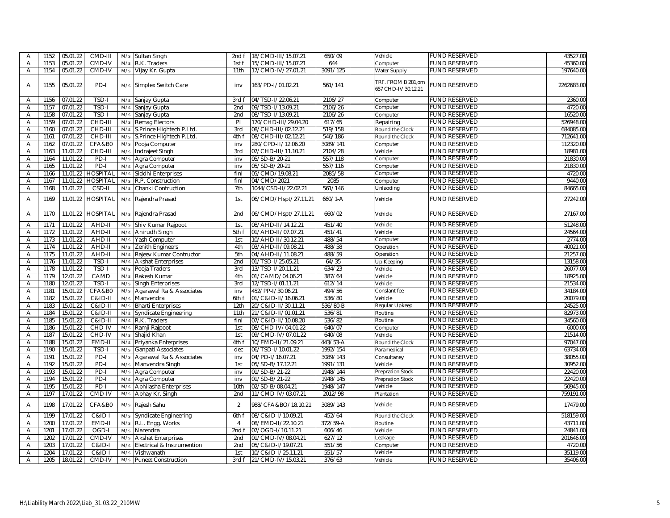| A                       | 1152 | 05.01.22 | CMD-III           | M/s | <b>Sultan Singh</b>          | 2nd f          | 18/CMD-III/15.07.21  | 650/09    | Vehicle                                   | <b>FUND RESERVED</b> | 43527.00   |
|-------------------------|------|----------|-------------------|-----|------------------------------|----------------|----------------------|-----------|-------------------------------------------|----------------------|------------|
| A                       | 1153 | 05.01.22 | CMD-IV            | M/s | R.K. Traders                 | 1st f          | 15/CMD-III/15.07.21  | 644       | Computer                                  | <b>FUND RESERVED</b> | 45360.00   |
| $\overline{\mathsf{A}}$ | 1154 | 05.01.22 | CMD-IV            | M/s | Vijay Kr. Gupta              | 11th           | 17/CMD-IV/27.01.21   | 3091/125  | Water Supply                              | <b>FUND RESERVED</b> | 197640.00  |
| A                       | 1155 | 05.01.22 | PD-I              | M/s | Simplex Switch Care          | inv            | 163/PD-I/01.02.21    | 561/141   | TRF. FROM B 281,om<br>657 CHD-IV 30.12.21 | <b>FUND RESERVED</b> | 2262683.00 |
| Α                       | 1156 | 07.01.22 | TSD-I             | M/s | Sanjay Gupta                 | 3rd1           | 04/TSD-I/22.06.21    | 2106/27   | Computer                                  | <b>FUND RESERVED</b> | 2360.00    |
| A                       | 1157 | 07.01.22 | TSD-I             | M/s | Sanjay Gupta                 | 2nd            | 09/TSD-I/13.09.21    | 2106/26   | Computer                                  | <b>FUND RESERVED</b> | 4720.00    |
| Α                       | 1158 | 07.01.22 | TSD-I             | M/s | Sanjay Gupta                 | 2nd            | 08/TSD-I/13.09.21    | 2106/26   | Computer                                  | <b>FUND RESERVED</b> | 16520.00   |
| Α                       | 1159 | 07.01.22 | CHD-III           | M/s | Remag Electors               | PI             | 170/CHD-III/29.04.20 | 617/65    | Repairing                                 | <b>FUND RESERVED</b> | 526948.00  |
| A                       | 1160 | 07.01.22 | CHD-III           | M/s | S.Prince Hightech P.Ltd.     | 3rd            | 08/CHD-III/02.12.21  | 519/158   | Round the Clock                           | <b>FUND RESERVED</b> | 684085.00  |
| Α                       | 1161 | 07.01.22 | CHD-III           | M/s | S.Prince Hightech P.Ltd.     | 4th f          | 08/CHD-III/02.12.21  | 546/186   | Round the Clock                           | <b>FUND RESERVED</b> | 712641.00  |
| Α                       | 1162 | 07.01.22 | CFA&B0            | M/s | Pooja Computer               | inv            | 280/CPD-II/12.06.20  | 3089/141  | Computer                                  | <b>FUND RESERVED</b> | 112320.00  |
| A                       | 1163 | 11.01.22 | CHD-III           | M/s | Indrajeet Singh              | 3rd            | 07/CHD-III/11.10.21  | 2104/28   | Vehicle                                   | <b>FUND RESERVED</b> | 18981.00   |
| A                       | 1164 | 11.01.22 | PD-I              | M/s | Agra Computer                | inv            | 05/SD-B/20-21        | 557/118   | Computer                                  | <b>FUND RESERVED</b> | 21830.00   |
| A                       | 1165 | 11.01.22 | PD-I              | M/s | Agra Computer                | inv            | 05/SD-B/20-21        | 557/116   | Computer                                  | <b>FUND RESERVED</b> | 21830.00   |
| $\overline{A}$          | 1166 | 11.01.22 | <b>HOSPITAL</b>   | M/s | Siddhi Enterprises           | finl           | 05/CMD/19.08.21      | 2085/58   | Computer                                  | <b>FUND RESERVED</b> | 4720.00    |
| A                       | 1167 | 11.01.22 | <b>HOSPITAL</b>   | M/s | R.P. Construction            | finl           | 04/CMD/2021          | 2085      | Computer                                  | <b>FUND RESERVED</b> | 9440.00    |
| A                       | 1168 | 11.01.22 | CSD-II            | M/s | Chanki Contruction           | 7th            | 1044/CSD-II/22.02.21 | 561/146   | Unlaoding                                 | <b>FUND RESERVED</b> | 84665.00   |
| $\overline{A}$          | 1169 | 11.01.22 | <b>HOSPITAL</b>   | M/s | Rajendra Prasad              | 1st            | 06/CMD/Hspt/27.11.21 | $660/1-A$ | Vehicle                                   | <b>FUND RESERVED</b> | 27242.00   |
| A                       | 1170 | 11.01.22 | <b>HOSPITAL</b>   | M/s | Rajendra Prasad              | 2nd            | 06/CMD/Hspt/27.11.21 | 660/02    | Vehicle                                   | <b>FUND RESERVED</b> | 27167.00   |
| Α                       | 1171 | 11.01.22 | AHD-II            | M/s | Shiv Kumar Rajpoot           | 1st            | 08/AHD-II/14.12.21   | 451/40    | Vehicle                                   | <b>FUND RESERVED</b> | 51248.00   |
| Α                       | 1172 | 11.01.22 | AHD-II            | M/s | Anirudh Singh                | 5th f          | 01/AHD-II/07.07.21   | 451/41    | Vehicle                                   | <b>FUND RESERVED</b> | 24564.00   |
| Α                       | 1173 | 11.01.22 | AHD-II            | M/s | Yash Computer                | 1st            | 10/AHD-II/30.12.21   | 488/54    | Computer                                  | <b>FUND RESERVED</b> | 2774.00    |
| A                       | 1174 | 11.01.22 | AHD-II            | M/s | Zenith Engineers             | 4th            | 03/AHD-II/09.08.21   | 488/58    | Operation                                 | <b>FUND RESERVED</b> | 40021.00   |
| $\overline{A}$          | 1175 | 11.01.22 | AHD-II            | M/s | Rajeev Kumar Contructor      | 5th            | 04/AHD-II/11.08.21   | 488/59    | Operation                                 | <b>FUND RESERVED</b> | 21257.00   |
| A                       | 1176 | 11.01.22 | TSD-I             | M/s | <b>Akshat Enterprises</b>    | 2nd            | 01/TSD-I/25.05.21    | 64/35     | Up Keeping                                | <b>FUND RESERVED</b> | 13158.00   |
| A                       | 1178 | 11.01.22 | TSD-I             | M/s | Pooja Traders                | 3rd            | 13/TSD-I/20.11.21    | 634/23    | Vehicle                                   | <b>FUND RESERVED</b> | 26077.00   |
| $\overline{A}$          | 1179 | 12.01.22 | CAMD              | M/s | Rakesh Kumar                 | 4th            | 01/CAMD/04.06.21     | 387/64    | Vehicle                                   | <b>FUND RESERVED</b> | 18925.00   |
| Α                       | 1180 | 12.01.22 | TSD-I             | M/s | Singh Enterprises            | 3rd            | 12/TSD-I/01.11.21    | 612/14    | Vehicle                                   | <b>FUND RESERVED</b> | 21534.00   |
| A                       | 1181 | 15.01.22 | <b>CFA&amp;B0</b> | M/s | Agarawal Ra & Associates     | inv            | 452/PP-1/30.06.21    | 494/56    | Conslant fee                              | <b>FUND RESERVED</b> | 34184.00   |
| Α                       | 1182 | 15.01.22 | C&ID-II           | M/s | Manvendra                    | 6th f          | 01/C&ID-II/16.06.21  | 536/80    | Vehicle                                   | <b>FUND RESERVED</b> | 20079.00   |
| A                       | 1183 | 15.01.22 | C&ID-II           | M/s | <b>Bharti Enterprises</b>    | 12th           | 20/C&ID-II/30.11.21  | 536/80-B  | Regular Upkeep                            | <b>FUND RESERVED</b> | 24525.00   |
| $\overline{A}$          | 1184 | 15.01.22 | C&ID-II           | M/s | <b>Syndicate Engineering</b> | 11th           | 21/C&ID-II/01.01.21  | 536/81    | Routine                                   | <b>FUND RESERVED</b> | 82973.00   |
| A                       | 1185 | 15.01.22 | C&ID-II           | M/s | R.K. Traders                 | finl           | 07/C&ID-II/10.08.20  | 536/82    | Routine                                   | <b>FUND RESERVED</b> | 34560.00   |
| Α                       | 1186 | 15.01.22 | CHD-IV            | M/s | Ramji Rajpoot                | 1st            | 08/CHD-IV/04.01.22   | 640/07    | Computer                                  | <b>FUND RESERVED</b> | 6000.00    |
| A                       | 1187 | 15.01.22 | CHD-IV            | M/s | Shajid Khan                  | 1st            | 09/CMD-IV/07.01.22   | 640/08    | Vehicle                                   | <b>FUND RESERVED</b> | 21514.00   |
| Α                       | 1188 | 15.01.22 | EMD-II            | M/s | Priyanka Enterprises         | 4th f          | 10/EMD-II/21.09.21   | 443/53-A  | Round the Clock                           | <b>FUND RESERVED</b> | 97047.00   |
| Α                       | 1190 | 15.01.22 | TSD-I             | M/s | <b>Ganpati Associates</b>    | dec            | 06/TSD-I/10.01.22    | 1992/154  | Paramedical                               | <b>FUND RESERVED</b> | 63734.00   |
| $\overline{A}$          | 1191 | 15.01.22 | PD-I              | M/s | Agarawal Ra & Associates     | inv            | 04/PD-I/16.07.21     | 3089/143  | Consultaney                               | <b>FUND RESERVED</b> | 38055.00   |
| Α                       | 1192 | 15.01.22 | PD-I              | M/s | Manvendra Singh              | 1st            | 05/SD-B/17.12.21     | 1991/131  | Vehicle                                   | <b>FUND RESERVED</b> | 30952.00   |
| Α                       | 1193 | 15.01.22 | PD-I              | M/s | Agra Computer                | inv            | 01/SD-B/21-22        | 1948/144  | <b>Prepration Stock</b>                   | <b>FUND RESERVED</b> | 22420.00   |
| A                       | 1194 | 15.01.22 | $PD-I$            | M/s | Agra Computer                | inv            | 01/SD-B/21-22        | 1948/145  | <b>Prepration Stock</b>                   | <b>FUND RESERVED</b> | 22420.00   |
| A                       | 1195 | 15.01.22 | PD-I              | M/s | Abhilasha Enterprises        | 10th           | 02/SD-B/08.04.21     | 1948/147  | Vehicle                                   | <b>FUND RESERVED</b> | 50945.00   |
| A                       | 1197 | 17.01.22 | CMD-IV            | M/s | Abhay Kr. Singh              | 2nd            | 11/CMD-IV/03.07.21   | 2012/98   | Plantation                                | <b>FUND RESERVED</b> | 759191.00  |
| A                       | 1198 | 17.01.22 | CFA&B0            | M/s | Rajesh Sahu                  | $\overline{2}$ | 988/CFA&BO/18.10.21  | 3089/143  | Vehicle                                   | <b>FUND RESERVED</b> | 17479.00   |
| A                       | 1199 | 17.01.22 | $C&ID-I$          | M/s | Syndicate Engineering        | 6th f          | 08/C&ID-I/10.09.21   | 452/64    | Round the Clock                           | <b>FUND RESERVED</b> | 518159.00  |
| $\overline{A}$          | 1200 | 17.01.22 | EMD-II            | M/s | R.L. Engg. Works             | $\overline{4}$ | 08/EMD-II/22.10.21   | 372/59-A  | Routine                                   | <b>FUND RESERVED</b> | 43711.00   |
| Α                       | 1201 | 17.01.22 | OGD-I             | M/s | Narendra                     | 2ndf           | 07/OGD-I/10.11.21    | 606/46    | Vehicle                                   | <b>FUND RESERVED</b> | 24841.00   |
| A                       | 1202 | 17.01.22 | CMD-IV            | M/s | <b>Akshat Enterprises</b>    | 2nd            | 01/CMD-IV/08.04.21   | 627/12    | Leakage                                   | <b>FUND RESERVED</b> | 201646.00  |
| $\overline{A}$          | 1203 | 17.01.22 | $C&ID-I$          | M/s | Electrical & Instrumention   | 2nd            | 05/C&ID-I/19.07.21   | 551/56    | Computer                                  | <b>FUND RESERVED</b> | 4720.00    |
| A                       | 1204 | 17.01.22 | C&ID-             | M/s | Vishwanath                   | 1st            | 10/C&ID-I/25.11.21   | 551/57    | Vehicle                                   | <b>FUND RESERVED</b> | 35119.00   |
| A                       | 1205 | 18.01.22 | CMD-IV            | M/s | <b>Puneet Construction</b>   | 3rd f          | 21/CMD-IV/15.03.21   | 376/63    | Vehicle                                   | <b>FUND RESERVED</b> | 35406.00   |
|                         |      |          |                   |     |                              |                |                      |           |                                           |                      |            |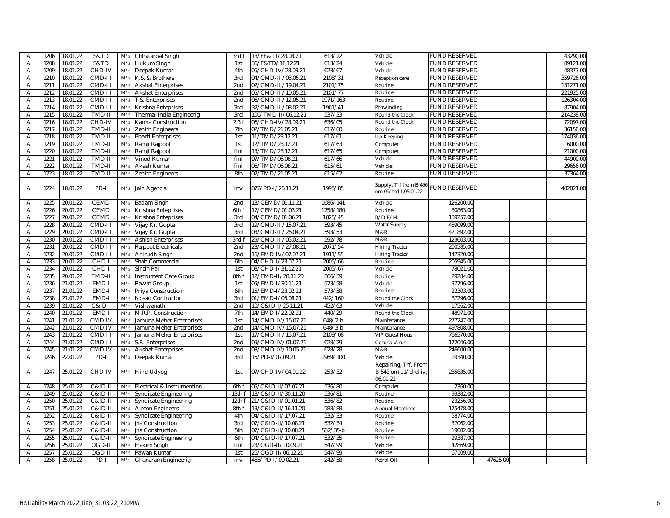| $\overline{A}$          | 1206 | 18.01.22 | S&TD              | M/s | Chhatarpal Singh             | 3rd f           | 18/FF&ID/28.08.21   | 613/22                  | Vehicle                                                 | <b>FUND RESERVED</b> |          | 43290.00  |
|-------------------------|------|----------|-------------------|-----|------------------------------|-----------------|---------------------|-------------------------|---------------------------------------------------------|----------------------|----------|-----------|
| Α                       | 1208 | 18.01.22 | S&TD              | M/s | Hukum Singh                  | 1st             | 36/F&TD/18.12.21    | 613/24                  | Vehicle                                                 | <b>FUND RESERVED</b> |          | 89121.00  |
| $\overline{A}$          | 1209 | 18.01.22 | CHD-IV            | M/s | Deepak Kumar                 | 4th             | 05/CHD-IV/28.09.21  | 623/67                  | Vehicle                                                 | FUND RESERVED        |          | 48377.00  |
| $\overline{A}$          | 1210 | 18.01.22 | CMD-III           | M/s | K.S. & Brothers              | 3rd             | 04/CMD-III/03.05.21 | 2108/31                 | Reception care                                          | <b>FUND RESERVED</b> |          | 359726.00 |
| A                       | 1211 | 18.01.22 | CMD-III           | M/s | <b>Akshat Enterprises</b>    | 2nd             | 02/CMD-III/19.04.21 | 2101/75                 | Routine                                                 | <b>FUND RESERVED</b> |          | 131271.00 |
| $\overline{A}$          | 1212 | 18.01.22 | CMD-III           | M/s | <b>Akshat Enterprises</b>    | 2 <sub>nd</sub> | 05/CMD-III/10.05.21 | 2101/77                 | Routine                                                 | <b>FUND RESERVED</b> |          | 221925.00 |
| Α                       | 1213 | 18.01.22 | CMD-III           | M/s | T.S. Enterprises             | 2nd             | 06/CMD-III/12.05.21 | 1971/163                | Routine                                                 | <b>FUND RESERVED</b> |          | 126304.00 |
| Α                       | 1214 | 18.01.22 | CMD-III           | M/s | Krishna Enteprises           | 3rd             | 32/CMD-III/08.02.21 | 1961/41                 | Prowinding                                              | <b>FUND RESERVED</b> |          | 87904.00  |
| $\overline{A}$          | 1215 | 18.01.22 | TMD-II            | M/s | Thermal India Engineerig     | 3rd             | 100/TMD-II/06.12.21 | 537/33                  | Round the Clock                                         | FUND RESERVED        |          | 214238.00 |
| Α                       | 1216 | 18.01.22 | CHD-IV            | M/s | Kanha Construction           | 2.3f            | 06/CHD-IV/28.09.21  | 636/05                  | Round the Clock                                         | <b>FUND RESERVED</b> |          | 72097.00  |
| Α                       | 1217 | 18.01.22 | TMD-II            | M/s | Zenith Engineers             | 7th             | 02/TMD/21.05.21     | 617/60                  | Routine                                                 | <b>FUND RESERVED</b> |          | 36158.00  |
| Α                       | 1218 | 18.01.22 | TMD-II            | M/s | <b>Bharti Enterprises</b>    | 1st             | 11/TMD/28.12.21     | 617/61                  | Up Keeping                                              | <b>FUND RESERVED</b> |          | 174036.00 |
| Α                       | 1219 | 18.01.22 | TMD-II            | M/s | Ramji Rajpoot                | 1st             | 12/TMD/28.12.21     | 617/63                  | Computer                                                | <b>FUND RESERVED</b> |          | 6000.00   |
| A                       | 1220 | 18.01.22 | TMD-II            | M/s | Ramji Rajpoot                | finl            | 13/TMD/28.12.21     | 617/65                  | Computer                                                | <b>FUND RESERVED</b> |          | 21000.00  |
| A                       | 1221 | 18.01.22 | TMD-II            | M/s | Vinod Kumar                  | finl            | 07/TMD/06.08.21     | 617/66                  | Vehicle                                                 | FUND RESERVED        |          | 44900.00  |
| Α                       | 1222 | 18.01.22 | TMD-II            | M/s | Akash Kumar                  | finl            | 06/TMD/06.08.21     | 615/61                  | Vehicle                                                 | <b>FUND RESERVED</b> |          | 29656.00  |
| $\overline{A}$          | 1223 | 18.01.22 | TMD-II            | M/s | Zenith Engineers             | 8th             | 02/TMD/21.05.21     | 615/62                  | Routine                                                 | <b>FUND RESERVED</b> |          | 37364.00  |
| A                       | 1224 | 18.01.22 | PD-I              |     | M/s Jain Agencis             | inv             | 872/PD-1/25.11.21   | 1995/85                 | Supply, Trf from B 456<br>om 09/tsd-1,05.01.22          | <b>FUND RESERVED</b> |          | 482821.00 |
| A                       | 1225 | 20.01.22 | <b>CEMD</b>       | M/s | <b>Badam Singh</b>           | 2nd             | 13/CEMD/01.11.21    | 1686/141                | Vehicle                                                 | 126200.00            |          |           |
| $\overline{\mathsf{A}}$ | 1226 | 20.01.22 | <b>CEMD</b>       | M/s | Krishna Enteprises           | 6th f           | 17/CEMD/01.03.21    | 1758/180                | Routine                                                 | 30863.00             |          |           |
| $\overline{A}$          | 1227 | 20.01.22 | CEMD              | M/s | Krishna Enteprises           | 3rd             | 04/CEMD/01.06.21    | 1825/45                 | B/D P/M                                                 | 189257.00            |          |           |
| Α                       | 1228 | 20.01.22 | CMD-III           | M/s | Vijay Kr. Gupta              | 3rd             | 19/CMD-III/15.07.21 | 593/45                  | Water Supply                                            | 459099.00            |          |           |
| A                       | 1229 | 20.01.22 | CMD-III           | M/s | Vijay Kr. Gupta              | 3rd             | 03/CMD-III/26.04.21 | 593/53                  | M&R                                                     | 421892.00            |          |           |
| $\overline{A}$          | 1230 | 20.01.22 | CMD-III           | M/s | <b>Ashish Enterprises</b>    | 3rd f           | 29/CMD-III/05.02.21 | 592/78                  | M&R                                                     | 123603.00            |          |           |
| Α                       | 1231 | 20.01.22 | CMD-III           | M/s | Rajpoot Electricals          | 2nd             | 23/CMD-III/27.08.21 | 2071/54                 | <b>Hiring Tractor</b>                                   | 200585.00            |          |           |
| Α                       | 1232 | 20.01.22 | CMD-III           | M/s | Anirudh Singh                | 2 <sub>nd</sub> | 16/EMD-IV/07.07.21  | 1911/55                 | <b>Hiring Tractor</b>                                   | 147320.00            |          |           |
| A                       | 1233 | 20.01.22 | CHD-I             | M/s | Shah Commercial              | 6th             | 04/CHD-I/23.07.21   | 2005/66                 | Routine                                                 | 205945.00            |          |           |
| A                       | 1234 | 20.01.22 | CHD-I             | M/s | Sindh Pal                    | 1st             | 08/CHD-I/31.12.21   | 2005/67                 | Vehicle                                                 | 78021.00             |          |           |
| Α                       | 1235 | 20.01.22 | EMD-II            | M/s | Instrument Care Group        | 8th f           | 12/EMD-II/28.11.20  | 366/39                  | Routine                                                 | 29284.00             |          |           |
| $\overline{A}$          | 1236 | 21.01.22 | EMD-I             | M/s | Rawat Group                  | 1st             | 09/EMD-I/30.11.21   | 573/58                  | Vehicle                                                 | 37796.00             |          |           |
| Α                       | 1237 | 21.01.22 | EMD-I             | M/s | Priya Constructioin          | 6th             | 15/EMD-I/23.02.21   | 573/58                  | Routine                                                 | 22303.00             |          |           |
| A                       | 1238 | 21.01.22 | EMD-I             | M/s | Nosad Contructor             | 3rd             | 01/EMD-I/05.08.21   | 442/160                 | Round the Clock                                         | 87296.00             |          |           |
| A                       | 1239 | 21.01.22 | <b>C&amp;ID-I</b> | M/s | Vishwanath                   | 2nd             | 10/C&ID-I/25.11.21  | 452/63                  | Vehicle                                                 | 17562.00             |          |           |
| Α                       | 1240 | 21.01.22 | EMD-I             | M/s | M.R.P. Construction          | 7th             | 14/EMD-I/22.02.21   | 440/29                  | Round the Clock                                         | 48971.00             |          |           |
| A                       | 1241 | 21.01.22 | CMD-IV            | M/s | Jamuna Meher Enterprises     | 1st             | 14/CMD-IV/15.07.21  | $648/2-b$               | Maintenance                                             | 277247.00            |          |           |
| $\overline{A}$          | 1242 | 21.01.22 | CMD-IV            | M/s | Jamuna Meher Enterprises     | 2nd             | 14/CMD-IV/15.07.21  | $648/3-b$               | Maintenance                                             | 497808.00            |          |           |
| Α                       | 1243 | 21.01.22 | CMD-III           | M/s | Jamuna Meher Enterprises     | 1st             | 17/CMD-III/15.07.21 | 2109/08                 | <b>VIP Guest Hous</b>                                   | 766570.00            |          |           |
| A                       | 1244 | 21.01.22 | CMD-III           | M/s | S.R. Enterprises             | 2 <sub>nd</sub> | 09/CMD-IV/01.07.21  | 628/29                  | Corona Virus                                            | 172046.00            |          |           |
| A                       | 1245 | 21.01.22 | CMD-IV            | M/s | <b>Akshat Enterprises</b>    | 2nd             | 03/CMD-IV/10.05.21  | 628/28                  | M&R                                                     | 246600.00            |          |           |
| A                       | 1246 | 22.01.22 | PD-I              | M/s | Deepak Kumar                 | 3rd             | 15/PD-I/07.09.21    | 1969/100                | Vehicle                                                 | 19340.00             |          |           |
| A                       | 1247 | 25.01.22 | CHD-IV            |     | M/s Hind Udyog               | 1st             | 07/CHD-IV/04.01.22  | 253/32                  | Repairing, Trf. From<br>B-543 om 11/chd-iv,<br>06.01.22 | 285835.00            |          |           |
| $\overline{A}$          | 1248 | 25.01.22 | $C&ID-II$         | M/s | Electrical & Instrumention   | 6th f           | 05/C&ID-II/07.07.21 | 536/80                  | Computer                                                | 2360.00              |          |           |
| A                       | 1249 | 25.01.22 | C&ID-II           | M/s | Syndicate Engineering        | 13th f          | 18/C&ID-II/30.11.20 | 536/81                  | Routine                                                 | 93382.00             |          |           |
| Α                       | 1250 | 25.01.22 | C&ID-II           | M/s | Syndicate Engineering        | 12th f          | 21/C&ID-II/01.01.21 | 536/82                  | Routine                                                 | 23256.00             |          |           |
| $\overline{A}$          | 1251 | 25.01.22 | C&ID-II           | M/s | <b>Aircon Engineers</b>      | 8th f           | 13/C&ID-II/16.11.20 | 588/88                  | <b>Annual Mantinec</b>                                  | 175478.00            |          |           |
| $\overline{\mathsf{A}}$ | 1252 | 25.01.22 | C&ID-II           | M/s | <b>Syndicate Engineering</b> | 4th             | 04/C&ID-II/17.07.21 | 532/33                  | Routine                                                 | 58774.00             |          |           |
| Α                       | 1253 | 25.01.22 | $C&ID-II$         | M/s | jha Construction             | 3rd             | 07/C&ID-II/10.08.21 | 532/34                  | Routine                                                 | 37062.00             |          |           |
| A                       | 1254 | 25.01.22 | C&ID-II           | M/s | ha Construction              | 5th             | 07/C&ID-II/10.08.21 | $\overline{532}/35 - b$ | Routine                                                 | 19082.00             |          |           |
| A                       | 1255 | 25.01.22 | C&ID-II           | M/s | Syndicate Engineering        | 6th             | 04/C&ID-II/17.07.21 | 532/35                  | Routine                                                 | 29387.00             |          |           |
| Α                       | 1256 | 25.01.22 | OGD-II            | M/s | Hakim Singh                  | finl            | 23/OGD-II/10.09.21  | 547/99                  | Vehicle                                                 | 42869.00             |          |           |
| Α                       | 1257 | 25.01.22 | OGD-II            | M/s | Pawan Kumar                  | 1st             | 26/OGD-II/06.12.21  | 547/99                  | Vehicle                                                 | 67109.00             |          |           |
| $\overline{A}$          | 1258 | 25.01.22 | PD-I              |     | M/s Ghanaram Engineerig      | inv             | 465/PD-I/09.02.21   | 242/58                  | Petrol Oil                                              |                      | 47625.00 |           |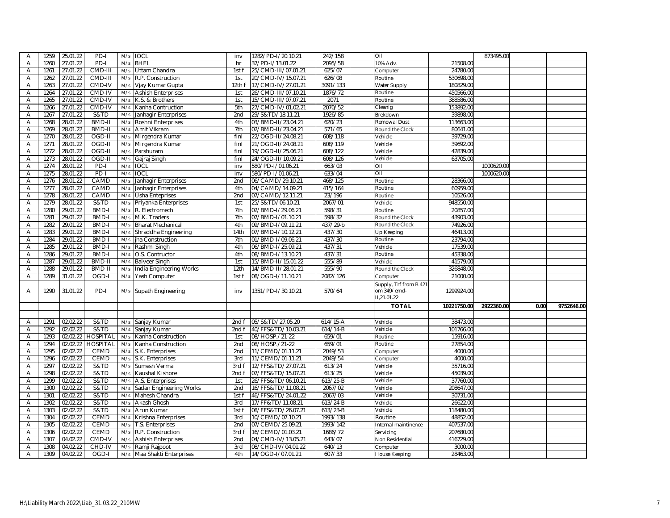| $\overline{\mathsf{A}}$ | 1259         | 25.01.22 | PD-I                  | M/s        | <b>IOCL</b>                | inv             | 1282/PD-I/20.10.21                     | 242/158            | Oil                                |                      | 873495.00  |      |            |
|-------------------------|--------------|----------|-----------------------|------------|----------------------------|-----------------|----------------------------------------|--------------------|------------------------------------|----------------------|------------|------|------------|
| A                       | 1260         | 27.01.22 | PD-I                  | M/s        | <b>BHEL</b>                | hr              | 37/PD-I/13.01.22                       | 2095/58            | 10% Adv.                           | 21508.00             |            |      |            |
| A                       | 1261         | 27.01.22 | CMD-III               | M/s        | Uttam Chandra              | 1st f           | 25/CMD-III/07.01.21                    | 625/07             | Computer                           | 24780.00             |            |      |            |
| Α                       | 1262         | 27.01.22 | CMD-III               | M/s        | R.P. Construction          | 1st             | 20/CMD-IV/15.07.21                     | 626/08             | Routine                            | 530698.00            |            |      |            |
| Α                       | 1263         | 27.01.22 | CMD-IV                | M/s        | Vjay Kumar Gupta           | 12th f          | 17/CMD-IV/27.01.21                     | 3091/133           | Water Supply                       | 180829.00            |            |      |            |
| A                       | 1264         | 27.01.22 | CMD-IV                | M/s        | <b>Ashish Enterprises</b>  | 1st             | 26/CMD-III/07.10.21                    | 1876/72            | Routine                            | 450566.00            |            |      |            |
| Α                       | 1265         | 27.01.22 | CMD-IV                | M/s        | K.S. & Brothers            | 1st             | 15/CMD-III/07.07.21                    | 2071               | Routine                            | 388586.00            |            |      |            |
| Α                       | 1266         | 27.01.22 | CMD-IV                | M/s        | Kanha Contruction          | 5th             | 27/CMD-IV/01.02.21                     | 2070/52            | Cleanig                            | 153892.00            |            |      |            |
| A                       | 1267         | 27.01.22 | S&TD                  | M/s        | Janhagir Enterprises       | 2 <sub>nd</sub> | 29/S&TD/18.11.21                       | 1926/85            | Brekdown                           | 39898.00             |            |      |            |
| Α                       | 1268         | 28.01.22 | BMD-II                | M/s        | Roshni Enterprises         | 4th             | 03/BMD-II/23.04.21                     | 620/23             | Remowal Dust                       | 113663.00            |            |      |            |
| A                       | 1269         | 28.01.22 | BMD-II                | M/s        | Amit Vikram                | 7th             | 02/BMD-II/23.04.21                     | 571/65             | Round the Clock                    | 80641.00             |            |      |            |
| A                       | 1270         | 28.01.22 | OGD-II                | M/s        | Mirgendra Kumar            | finl            | 22/OGD-II/24.08.21                     | 608/118            | Vehicle                            | 39729.00             |            |      |            |
| Α                       | 1271         | 28.01.22 | OGD-II                | M/s        | Mirgendra Kumar            | finl            | 21/OGD-II/24.08.21                     | 608/119            | Vehicle                            | 39692.00             |            |      |            |
| Α                       | 1272         | 28.01.22 | OGD-II                | M/s        | Parshuram                  | finl            | 19/OGD-II/25.06.21                     | 608/122            | Vehicle                            | 42839.00             |            |      |            |
| Α                       | 1273         | 28.01.22 | OGD-II                | M/s        | Gajraj Singh               | finl            | 24/OGD-II/10.09.21                     | 608/126            | Vehicle                            | 63705.00             |            |      |            |
| $\overline{A}$          | 1274         | 28.01.22 | $PD-I$                | M/s        | <b>IOCL</b>                | inv             | 580/PD-I/01.06.21                      | 663/03             | Oil                                |                      | 1000620.00 |      |            |
| A                       | 1275         | 28.01.22 | PD-I                  | M/s        | <b>IOCL</b>                | inv             | 580/PD-I/01.06.21                      | 633/04             | Oil                                |                      | 1000620.00 |      |            |
| A                       | 1276         | 28.01.22 | CAMD                  | M/s        | Janhagir Enterprises       | 2 <sub>nd</sub> | 06/CAMD/29.10.21                       | 468/125            | Routine                            | 28366.00             |            |      |            |
| A                       | 1277         | 28.01.22 | CAMD                  | M/s        | Janhagir Enterprises       | 4th             | 04/CAMD/14.09.21                       | 415/164            | Routine                            | 60959.00             |            |      |            |
| Α                       | 1278         | 28.01.22 | CAMD                  | M/s        | Usha Enteprises            | 2nd             | 07/CAMD/12.11.21                       | 23/196             | Routine                            | 10526.00             |            |      |            |
| A                       | 1279         | 28.01.22 | S&TD                  | M/s        | Priyanka Enterprises       | 1st             | 25/S&TD/06.10.21                       | 2067/01            | Vehicle                            | 948550.00            |            |      |            |
| A                       | 1280         | 29.01.22 | BMD-I                 | M/s        | R. Electromech             | 7th             | 02/BMD-I/29.06.21                      | 598/31             | Routine                            | 20857.00             |            |      |            |
| Α                       | 1281         | 29.01.22 | <b>BMD-I</b>          | M/s        | M.K. Traders               | 7th             | 07/BMD-I/01.10.21                      | 598/32             |                                    | 43903.00             |            |      |            |
|                         |              | 29.01.22 |                       |            |                            | 4th             |                                        |                    | Round the Clock<br>Round the Clock |                      |            |      |            |
| Α<br>$\overline{A}$     | 1282<br>1283 | 29.01.22 | <b>BMD-I</b><br>BMD-I | M/s<br>M/s | <b>Bharat Mechanical</b>   | 14th            | 09/BMD-I/09.11.21<br>07/BMD-I/10.12.21 | 437/29-b<br>437/30 |                                    | 74926.00<br>46413.00 |            |      |            |
|                         |              |          |                       |            | Shraddha Engineering       |                 |                                        |                    | Up Keeping                         |                      |            |      |            |
| A                       | 1284         | 29.01.22 | <b>BMD-I</b>          | M/s        | ha Construction            | 7th             | 01/BMD-I/09.06.21                      | 437/30             | Routine                            | 23794.00             |            |      |            |
| Α                       | 1285         | 29.01.22 | <b>BMD-I</b>          | M/s        | Rashmi Singh               | 4th             | 06/BMD-I/25.09.21                      | 437/31             | Vehicle                            | 17539.00             |            |      |            |
| $\overline{A}$          | 1286         | 29.01.22 | <b>BMD-I</b>          | M/s        | O.S. Contructor            | 4th             | 08/BMD-I/13.10.21                      | 437/31             | Routine                            | 45338.00             |            |      |            |
| A                       | 1287         | 29.01.22 | BMD-II                | M/s        | <b>Balveer Singh</b>       | 1st             | 15/BMD-II/15.01.22                     | 555/89             | Vehicle                            | 41579.00             |            |      |            |
| Α                       | 1288         | 29.01.22 | BMD-II                | M/s        | India Engineering Works    | 12th            | 14/BMD-II/28.01.21                     | 555/90             | Round the Clock                    | 326848.00            |            |      |            |
| A                       | 1289         | 31.01.22 | OGD-I                 | M/s        | Yash Computer              | 1st f           | 08/OGD-I/11.10.21                      | 2082/126           | Computer                           | 21000.00             |            |      |            |
|                         |              |          |                       |            |                            |                 |                                        |                    | Supply, Trf from B 421             |                      |            |      |            |
| A                       | 1290         | 31.01.22 | PD-I                  |            | M/s Supath Engineering     | inv             | 1351/PD-I/30.10.21                     | 570/64             | om 349/emd-                        | 1299924.00           |            |      |            |
|                         |              |          |                       |            |                            |                 |                                        |                    | II,21.01.22                        |                      |            |      |            |
|                         |              |          |                       |            |                            |                 |                                        |                    | <b>TOTAL</b>                       | 10221750.00          | 2922360.00 | 0.00 | 9752646.00 |
|                         |              |          |                       |            |                            |                 |                                        |                    |                                    |                      |            |      |            |
| A                       | 1291         | 02.02.22 | S&TD                  | M/s        | Sanjay Kumar               | 2nd f           | 05/S&TD/27.05.20                       | $614/15 - A$       | Vehicle                            | 38473.00             |            |      |            |
| A                       | 1292         | 02.02.22 | S&TD                  | M/s        | Sanjay Kumar               | 2nd f           | 40/FFS&TD/10.03.21                     | 614/14-B           | Vehicle                            | 101766.00            |            |      |            |
| Α                       | 1293         | 02.02.22 | <b>HOSPITAL</b>       | M/s        | Kanha Construction         | 1st             | 08/HOSP./21-22                         | 659/01             | Routine                            | 15916.00             |            |      |            |
| Α                       | 1294         | 02.02.22 | <b>HOSPITAL</b>       | M/s        | Kanha Construction         | 2 <sub>nd</sub> | 08/HOSP./21-22                         | 659/01             | Routine                            | 27854.00             |            |      |            |
| Α                       | 1295         | 02.02.22 | <b>CEMD</b>           | M/s        | S.K. Enterprises           | 2nd             | 11/CEMD/01.11.21                       | 2049/53            | Computer                           | 4000.00              |            |      |            |
| Α                       | 1296         | 02.02.22 | CEMD                  | M/s        | S.K. Enterprises           | 3rd             | 11/CEMD/01.11.21                       | 2049/54            | Computer                           | 4000.00              |            |      |            |
| Α                       | 1297         | 02.02.22 | S&TD                  | M/s        | Sumesh Verma               | 3rd f           | 12/FFS&TD/27.07.21                     | 613/24             | Vehicle                            | 35716.00             |            |      |            |
| A                       | 1298         | 02.02.22 | S&TD                  | M/s        | Kaushal Kishore            | 2nd f           | 07/FFS&TD/15.07.21                     | 613/25             | Vehicle                            | 45039.00             |            |      |            |
| Α                       | 1299         | 02.02.22 | S&TD                  | M/s        | A.S. Enterprises           | 1st             | 26/FFS&TD/06.10.21                     | 613/25-B           | Vehicle                            | 37760.00             |            |      |            |
| A                       | 1300         | 02.02.22 | S&TD                  | M/s        | Sadan Engineering Works    | 2 <sub>nd</sub> | 16/FFS&TD/11.08.21                     | 2067/02            | Vehicle                            | 208647.00            |            |      |            |
| A                       | 1301         | 02.02.22 | S&TD                  | M/s        | Mahesh Chandra             | 1st f           | 46/FFS&TD/24.01.22                     | 2067/03            | Vehicle                            | 30731.00             |            |      |            |
| Α                       | 1302         | 02.02.22 | S&TD                  | M/s        | Akash Ghosh                | 3rd             | 17/FF&TD/11.08.21                      | 613/24-B           | Vehicle                            | 26622.00             |            |      |            |
| Α                       | 1303         | 02.02.22 | S&TD                  | M/s        | Arun Kumar                 | 1st f           | 08/FFS&TD/26.07.21                     | $613/23 - B$       | Vehicle                            | 118480.00            |            |      |            |
| Α                       | 1304         | 02.02.22 | <b>CEMD</b>           | M/s        | Krishna Enterprises        | 3rd             | 10/CEMD/07.10.21                       | 1993/138           | Routine                            | 48852.00             |            |      |            |
| $\overline{A}$          | 1305         | 02.02.22 | <b>CEMD</b>           | M/s        | T.S. Enterprises           | 2nd             | 07/CEMD/25.09.21                       | 1993/142           | Internal maintinence               | 407537.00            |            |      |            |
| Α                       | 1306         | 02.02.22 | <b>CEMD</b>           | M/s        | R.P. Construction          | 3rd f           | 16/CEMD/01.03.21                       | 1686/72            | Servicing                          | 207680.00            |            |      |            |
| Α                       | 1307         | 04.02.22 | CMD-IV                | M/s        | <b>Ashish Enterprises</b>  | 2 <sub>nd</sub> | 04/CMD-IV/13.05.21                     | 643/07             | Non Residential                    | 416729.00            |            |      |            |
| A                       | 1308         | 04.02.22 | CHD-IV                | M/s        | Ramji Rajpoot              | 3rd             | 08/CHD-IV/04.01.22                     | 640/13             | Computer                           | 3000.00              |            |      |            |
| A                       | 1309         | 04.02.22 | OGD-I                 |            | M/s Maa Shakti Enterprises | 4th             | 14/OGD-I/07.01.21                      | 607/33             | House Keeping                      | 28463.00             |            |      |            |
|                         |              |          |                       |            |                            |                 |                                        |                    |                                    |                      |            |      |            |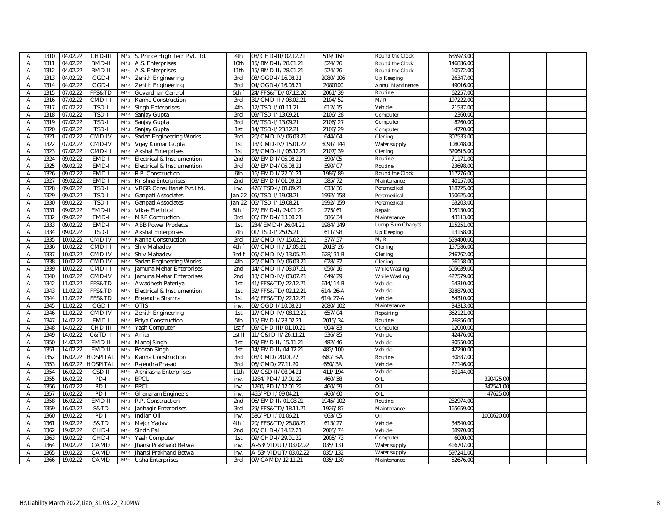| $\overline{A}$ | 1310<br>04.02.22 | CHD-III         |     | M/s S. Prince High Tech Pvt.Ltd. | 4th    | 08/CHD-III/02.12.21 | 519/160      | Round the Clock         | 685973.00 |            |  |
|----------------|------------------|-----------------|-----|----------------------------------|--------|---------------------|--------------|-------------------------|-----------|------------|--|
| $\overline{A}$ | 1311<br>04.02.22 | BMD-II          | M/s | A.S. Enterprises                 | 10th   | 15/BMD-II/28.01.21  | 524/76       | Round the Clock         | 146836.00 |            |  |
| Α              | 1312<br>04.02.22 | BMD-II          | M/s | A.S. Enterprises                 | 11th   | 15/BMD-II/28.01.21  | 524/76       | Round the Clock         | 10572.00  |            |  |
| $\overline{A}$ | 1313<br>04.02.22 | OGD-I           | M/s | Zenith Engineering               | 3rd    | 03/OGD-I/16.08.21   | 2080/106     | Up Keeping              | 26347.00  |            |  |
| A              | 1314<br>04.02.22 | OGD-I           | M/s | Zenith Engineering               | 3rd    | 04/OGD-I/16.08.21   | 2080100      | <b>Annul Mantinence</b> | 49016.00  |            |  |
| A              | 1315<br>07.02.22 | FFS&TD          | M/s | Govardhan Cantrol                | 5th f  | 24/FFS&TD/07.12.20  | 2061/39      | Routine                 | 62257.00  |            |  |
| A              | 1316<br>07.02.22 | CMD-III         | M/s | Kanha Construction               | 3rd    | 31/CMD-III/08.02.21 | 2104/52      | M/R                     | 197222.00 |            |  |
| A              | 1317<br>07.02.22 | TSD-I           | M/s | Singh Enterprises                | 4th    | 12/TSD-I/01.11.21   | 612/15       | Vehicle                 | 21537.00  |            |  |
| Α              | 07.02.22<br>1318 | TSD-I           | M/s | Sanjay Gupta                     | 3rd    | 09/TSD-I/13.09.21   | 2106/28      | Computer                | 2360.00   |            |  |
| Α              | 1319<br>07.02.22 | TSD-I           | M/s | Sanjay Gupta                     | 3rd    | 08/TSD-I/13.09.21   | 2106/27      | Computer                | 8260.00   |            |  |
| A              | 07.02.22<br>1320 | TSD-I           | M/s | Sanjay Gupta                     | 1st    | 14/TSD-I/23.12.21   | 2106/29      | Computer                | 4720.00   |            |  |
| Α              | 1321<br>07.02.22 | CMD-IV          | M/s | Sadan Engineering Works          | 3rd    | 20/CMD-IV/06.03.21  | 644/04       | Clening                 | 307533.00 |            |  |
| Α              | 1322<br>07.02.22 | CMD-IV          | M/s | Vijay Kumar Gupta                | 1st    | 18/CMD-IV/15.01.22  | 3091/144     | Water supply            | 108048.00 |            |  |
| $\overline{A}$ | 07.02.22<br>1323 | CMD-III         | M/s | <b>Akshat Enterprises</b>        | 1st    | 28/CMD-III/06.12.21 | 2107/39      | Clening                 | 320615.00 |            |  |
| Α              | 1324<br>09.02.22 | EMD-I           | M/s | Electrical & Instrumention       | 2nd    | 02/EMD-I/05.08.21   | 590/05       | Routine                 | 71171.00  |            |  |
| $\overline{A}$ | 1325<br>09.02.22 | EMD-I           | M/s | Electrical & Instrumention       | 3rd    | 02/EMD-I/05.08.21   | 590/07       | Routine                 | 23698.00  |            |  |
| $\overline{A}$ | 1326<br>09.02.22 | EMD-I           | M/s | R.P. Construction                | 6th    | 16/EMD-I/22.01.21   | 1986/89      | Round the Clock         | 117276.00 |            |  |
| Α              | 1327<br>09.02.22 | EMD-I           | M/s | Krishna Enterprises              | 2nd    | 03/EMD-I/01.09.21   | 585/72       | Maintenance             | 40157.00  |            |  |
| $\overline{A}$ | 1328<br>09.02.22 | TSD-I           | M/s | VRGR Consultanet Pvt.Ltd.        | inv.   | 478/TSD-I/01.09.21  | 633/36       | Peramedical             | 118725.00 |            |  |
| Α              | 09.02.22<br>1329 | TSD-I           | M/s | Ganpati Associates               | Jan-22 | 05/TSD-I/19.08.21   | 1992/158     | Peramedical             | 150625.00 |            |  |
| Α              | 1330<br>09.02.22 | TSD-I           | M/s | Ganpati Associates               | Jan-22 | 06/TSD-I/19.08.21   | 1992/159     | Peramedical             | 63203.00  |            |  |
|                | 1331<br>09.02.22 | EMD-II          | M/s |                                  |        |                     | 275/61       |                         | 105130.00 |            |  |
| A              |                  |                 |     | <b>Vikas Electrical</b>          | 5th f  | 22/EMD-II/24.01.21  |              | Repair                  |           |            |  |
| A              | 1332<br>09.02.22 | EMD-I           | M/s | <b>MRP Contruction</b>           | 3rd    | 06/EMD-I/13.08.21   | 586/34       | Maintenance             | 43113.00  |            |  |
| Α              | 1333<br>09.02.22 | EMD-I           | M/s | <b>ABB Power Prodects</b>        | 1st    | 234/EMD-I/26.04.21  | 1984/149     | Lump Sum Charges        | 115251.00 |            |  |
| A              | 1334<br>09.02.22 | TSD-I           | M/s | <b>Akshat Enterprises</b>        | 7th    | 01/TSD-I/25.05.21   | 611/98       | Up Keeping              | 13158.00  |            |  |
| Α              | 1335<br>10.02.22 | CMD-IV          | M/s | Kanha Construction               | 3rd    | 19/CMD-IV/15.02.21  | 377/57       | M/R                     | 559490.00 |            |  |
| A              | 1336<br>10.02.22 | CMD-III         | M/s | Shiv Mahadev                     | 4th f  | 07/CMD-III/17.05.21 | 2013/26      | Clening                 | 157586.00 |            |  |
| Α              | 1337<br>10.02.22 | CMD-IV          | M/s | Shiv Mahadev                     | 3rd f  | 05/CMD-IV/13.05.21  | 628/31-B     | Clening                 | 246762.00 |            |  |
| A              | 10.02.22<br>1338 | CMD-IV          | M/s | Sadan Engineering Works          | 4th    | 20/CMD-IV/06.03.21  | 628/32       | Clening                 | 56158.00  |            |  |
| A              | 1339<br>10.02.22 | CMD-III         | M/s | lamuna Mehar Enterprises         | 2nd    | 14/CMD-III/03.07.21 | 650/16       | While Wasling           | 505639.00 |            |  |
| Α              | 1340<br>10.02.22 | CMD-IV          | M/s | Jamuna Mehar Enterprises         | 2nd    | 13/CMD-IV/03.07.21  | 649/29       | While Wasling           | 427579.00 |            |  |
| Α              | 1342<br>11.02.22 | FFS&TD          | M/s | Awadhesh Pateriya                | 1st    | 41/FFS&TD/22.12.21  | 614/14-B     | Vehicle                 | 64310.00  |            |  |
| $\overline{A}$ | 1343<br>11.02.22 | FFS&TD          | M/s | Electrical & Instrumention       | 1st    | 32/FFS&TD/02.12.21  | $614/26 - A$ | Vehicle                 | 328879.00 |            |  |
| Α              | 1344<br>11.02.22 | FFS&TD          | M/s | Brejendra Sharma                 | 1st    | 40/FFS&TD/22.12.21  | $614/27 - A$ | Vehicle                 | 64310.00  |            |  |
| Α              | 1345<br>11.02.22 | OGD-I           | M/s | <b>OTIS</b>                      | inv.   | 02/OGD-I/10.08.21   | 2080/102     | Maintenance             | 34313.00  |            |  |
| A              | 1346<br>11.02.22 | CMD-IV          | M/s | Zenith Engineering               | 1st    | 17/CMD-IV/08.12.21  | 657/04       | Repairing               | 362121.00 |            |  |
| Α              | 14.02.22<br>1347 | EMD-I           | M/s | Priya Construction               | 5th    | 15/EMD-I/23.02.21   | 2015/34      | Routine                 | 26856.00  |            |  |
| Α              | 1348<br>14.02.22 | CHD-III         | M/s | Yash Computer                    | 1st f  | 09/CHD-III/01.10.21 | 604/83       | Computer                | 12000.00  |            |  |
| A              | 1349<br>14.02.22 | C&TD-II         | M/s | Anita                            | 1st II | 11/C&ID-II/26.11.21 | 536/85       | Vehicle                 | 42476.00  |            |  |
| A              | 14.02.22<br>1350 | EMD-II          | M/s | Manoj Singh                      | 1st    | 09/EMD-II/15.11.21  | 482/46       | Vehicle                 | 30550.00  |            |  |
| Α              | 14.02.22<br>1351 | EMD-II          | M/s | Pooran Singh                     | 1st    | 14/EMD-II/04.12.21  | 483/100      | Vehicle                 | 42290.00  |            |  |
| $\overline{A}$ | 1352<br>16.02.22 | <b>HOSPITAL</b> | M/s | Kanha Construction               | 3rd    | 08/CMD/20.01.22     | 660/3-A      | Routine                 | 30837.00  |            |  |
| Α              | 1353<br>16.02.22 | <b>HOSPITAL</b> | M/s | Rajendra Prasad                  | 3rd    | 06/CMD/27.11.20     | 660/3A       | Vehicle                 | 27146.00  |            |  |
| Α              | 1354<br>16.02.22 | CSD-II          | M/s | Abhilasha Enterprises            | 11th   | 02/CSD-II/08.04.21  | 411/194      | Vehicle                 | 50144.00  |            |  |
| $\overline{A}$ | 1355<br>16.02.22 | $PD-I$          | M/s | <b>BPCL</b>                      | inv.   | 1284/PD-I/17.01.22  | 460/58       | OIL                     |           | 320425.00  |  |
| A              | 1356<br>16.02.22 | $PD-I$          | M/s | <b>BPCL</b>                      | inv.   | 1260/PD-I/17.01.22  | 460/59       | OIL                     |           | 342541.00  |  |
| Α              | 1357<br>16.02.22 | $PD-I$          | M/s | <b>Ghanaram Engineers</b>        | inv.   | 465/PD-I/09.04.21   | 460/60       | OIL                     |           | 47625.00   |  |
| A              | 1358<br>16.02.22 | EMD-II          | M/s | R.P. Construction                | 2nd    | 06/EMD-II/01.08.21  | 1945/102     | Routine                 | 282974.00 |            |  |
| Α              | 1359<br>16.02.22 | S&TD            | M/s | lanhagir Enterprises             | 3rd    | 29/FFS&TD/18.11.21  | 1926/87      | Maintenance             | 165659.00 |            |  |
| A              | 1360<br>19.02.22 | PD-I            | M/s | Indian Oil                       | inv.   | 580/PD-I/01.06.21   | 663/05       | Oil                     |           | 1000620.00 |  |
| A              | 1361<br>19.02.22 | S&TD            | M/s | Mejor Yadav                      | 4th f  | 20/FFS&TD/28.08.21  | 613/27       | Vehicle                 | 34540.00  |            |  |
| Α              | 1362<br>19.02.22 | CHD-I           | M/s | Sindh Pal                        | 2nd    | 05/CHD-I/14.12.21   | 2005/74      | Vehicle                 | 38970.00  |            |  |
| A              | 1363<br>19.02.22 | CHD-I           | M/s | Yash Computer                    | 1st    | 09/CHD-I/29.01.22   | 2005/73      | Computer                | 6000.00   |            |  |
| Α              | 1364<br>19.02.22 | CAMD            | M/s | Jhansi Prakhand Betwa            | inv.   | A-53/VIDUT/03.02.22 | 035/131      |                         | 416707.00 |            |  |
| A              | 1365<br>19.02.22 | CAMD            |     | Jhansi Prakhand Betwa            |        | A-53/VIDUT/03.02.22 | 035/132      | Water supply            | 597241.00 |            |  |
|                |                  |                 | M/s |                                  | inv.   |                     |              | Water supply            |           |            |  |
| A              | 1366<br>19.02.22 | CAMD            | M/s | Usha Enterprises                 | 3rd    | 07/CAMD/12.11.21    | 035/130      | Maintenance             | 52676.00  |            |  |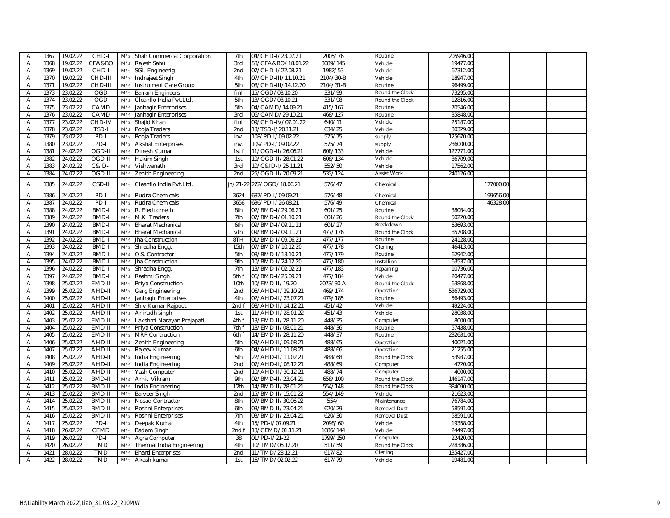| A | 1367 | 19.02.22 | CHD-I        | M/s | Shah Commercal Corporation | 7th             | 04/CHD-I/23.07.21   | 2005/76   | Routine             | 205946.00 |           |  |
|---|------|----------|--------------|-----|----------------------------|-----------------|---------------------|-----------|---------------------|-----------|-----------|--|
| Α | 1368 | 19.02.22 | CFA&BO       | M/s | Rajesh Sahu                | 3rd             | 58/CFA&BO/18.01.22  | 3089/145  | Vehicle             | 19477.00  |           |  |
| Α | 1369 | 19.02.22 | CHD-I        | M/s | <b>SGL Engineerig</b>      | 2nd             | 07/CHD-I/22.08.21   | 1982/53   | Vehicle             | 67312.00  |           |  |
| A | 1370 | 19.02.22 | CHD-III      | M/s | Indrajeet Singh            | 4th             | 07/CHD-III/11.10.21 | 2104/30-B | Vehicle             | 18947.00  |           |  |
| Α | 1371 | 19.02.22 | CHD-III      | M/s | Instrument Care Group      | 5th             | 08/CHD-III/14.12.20 | 2104/31-B | Routine             | 96499.00  |           |  |
| Α | 1373 | 23.02.22 | <b>OGD</b>   | M/s | <b>Balram Engineers</b>    | finl            | 15/OGD/08.10.20     | 331/99    | Round the Clock     | 73295.00  |           |  |
| A | 1374 | 23.02.22 | <b>OGD</b>   | M/s | Cleanflo India Pvt.Ltd.    | 5th             | 13/OGD/08.10.21     | 331/98    | Round the Clock     | 12816.00  |           |  |
| Α | 1375 | 23.02.22 | CAMD         | M/s | Janhagir Enterprises       | 5th             | 04/CAMD/14.09.21    | 415/167   | Routine             | 70546.00  |           |  |
| A | 1376 | 23.02.22 | CAMD         | M/s | Janhagir Enterprises       | 3rd             | 06/CAMD/29.10.21    | 468/127   | Routine             | 35848.00  |           |  |
| Α | 1377 | 23.02.22 | CHD-IV       | M/s | Shajid Khan                | finl            | 09/CHD-IV/07.01.22  | 640/11    | Vehicle             | 25187.00  |           |  |
| A | 1378 | 23.02.22 | TSD-I        | M/s | Pooja Traders              | 2nd             | 13/TSD-I/20.11.21   | 634/25    | Vehicle             | 30329.00  |           |  |
| A | 1379 | 23.02.22 | $PD-I$       | M/s | Pooja Traders              | inv.            | 108/PD-I/09.02.22   | 575/75    | supply              | 125670.00 |           |  |
| A | 1380 | 23.02.22 | $PD-I$       | M/s | <b>Akshat Enterprises</b>  | inv.            | 109/PD-I/09.02.22   | 575/74    | supply              | 236000.00 |           |  |
| Α | 1381 | 24.02.22 | OGD-II       | M/s | Dinesh Kumar               | 1st f           | 11/OGD-II/26.06.21  | 608/133   | Vehicle             | 122771.00 |           |  |
| Α | 1382 | 24.02.22 | OGD-II       | M/s | Hakim Singh                | 1st             | 10/OGD-II/28.01.22  | 608/134   | Vehicle             | 36709.00  |           |  |
| Α | 1383 | 24.02.22 | $C&ID-I$     | M/s | Vishwanath                 | 3rd             | 10/C&ID-I/25.11.21  | 552/50    | Vehicle             | 17562.00  |           |  |
| Α | 1384 | 24.02.22 | OGD-II       | M/s | Zenith Engineering         | 2nd             | 25/OGD-II/20.09.21  | 533/124   | <b>Assist Work</b>  | 240126.00 |           |  |
|   |      |          |              |     |                            |                 |                     |           |                     |           |           |  |
| Α | 1385 | 24.02.22 | CSD-II       | M/s | Cleanflo India Pvt.Ltd.    | ih/21-22        | 272/OGD/18.06.21    | 576/47    | Chemical            |           | 177000.00 |  |
| A | 1386 | 24.02.22 | $PD-I$       | M/s | Rudra Chemicals            | 3624            | 687/PD-I/09.09.21   | 576/48    | Chemical            |           | 199656.00 |  |
| Α | 1387 | 24.02.22 | $PD-I$       | M/s | Rudra Chemicals            | 3656            | 636/PD-I/26.08.21   | 576/49    | Chemical            |           | 46328.00  |  |
| Α | 1388 | 24.02.22 | <b>BMD-I</b> | M/s | R. Electromech             | 8th             | 02/BMD-I/29.06.21   | 601/25    | Routine             | 38034.00  |           |  |
| Α | 1389 | 24.02.22 | <b>BMD-I</b> | M/s | M.K. Traders               | 7th             | 07/BMD-I/01.10.21   | 601/26    | Round the Clock     | 50220.00  |           |  |
| Α | 1390 | 24.02.22 | BMD-I        | M/s | <b>Bharat Mechanical</b>   | 6th             | 09/BMD-I/09.11.21   | 601/27    | Breakdown           | 63693.00  |           |  |
| Α | 1391 | 24.02.22 | <b>BMD-I</b> | M/s | <b>Bharat Mechanical</b>   | vth             | 09/BMD-I/09.11.21   | 477/176   | Round the Clock     | 85708.00  |           |  |
| Α | 1392 | 24.02.22 | <b>BMD-I</b> | M/s | Jha Construction           | 8TH             | 01/BMD-I/09.06.21   | 477/177   | Routine             | 24128.00  |           |  |
| Α | 1393 | 24.02.22 | BMD-I        | M/s | Shradha Engg.              | 15th            | 07/BMD-I/10.12.20   | 477/178   | Clening             | 46413.00  |           |  |
| A | 1394 | 24.02.22 | BMD-I        | M/s | O.S. Contractor            | 5th             | 08/BMD-I/13.10.21   | 477/179   | Routine             | 62942.00  |           |  |
| Α | 1395 | 24.02.22 | BMD-I        | M/s | Jha Construction           | 9th             | 10/BMD-I/24.12.20   | 477/180   | Installion          | 63537.00  |           |  |
| A | 1396 | 24.02.22 | BMD-I        | M/s | Shradha Engg.              | 7th             | 13/BMD-I/02.02.21   | 477/183   | Repairing           | 10736.00  |           |  |
| Α | 1397 | 24.02.22 | <b>BMD-I</b> | M/s | Rashmi Singh               | 5th f           | 06/BMD-I/25.09.21   | 477/184   | Vehicle             | 20477.00  |           |  |
| Α | 1398 | 25.02.22 | EMD-II       | M/s | Priya Construction         | 10th            | 10/EMD-II/19.20     | 2073/30-A | Round the Clock     | 63868.00  |           |  |
| Α | 1399 | 25.02.22 | AHD-II       | M/s | Garg Engineering           | 2 <sub>nd</sub> | 06/AHD-II/29.10.21  | 469/174   | Operation           | 536729.00 |           |  |
| Α | 1400 | 25.02.22 | AHD-II       | M/s |                            | 4th             | 02/AHD-II/23.07.21  | 479/185   | Routine             | 56493.00  |           |  |
|   | 1401 |          |              |     | Janhagir Enterprises       |                 |                     |           |                     |           |           |  |
| Α |      | 25.02.22 | AHD-II       | M/s | Shiv Kumar Rajpoot         | 2nd f           | 08/AHD-II/14.12.21  | 451/42    | Vehicle             | 49224.00  |           |  |
| Α | 1402 | 25.02.22 | AHD-II       | M/s | Anirudh singh              | 1st             | 11/AHD-II/28.01.22  | 451/43    | Vehicle             | 28038.00  |           |  |
| Α | 1403 | 25.02.22 | EMD-II       | M/s | Lakshmi Narayan Prajapati  | 4th f           | 13/EMD-II/28.11.20  | 448/35    | Computer            | 8000.00   |           |  |
| Α | 1404 | 25.02.22 | EMD-II       | M/s | Priya Construction         | 7th f           | 18/EMD-II/08.01.21  | 448/36    | Routine             | 57438.00  |           |  |
| Α | 1405 | 25.02.22 | EMD-II       | M/s | <b>MRP Contruction</b>     | 6th f           | 14/EMD-II/28.11.20  | 448/37    | Routine             | 232631.00 |           |  |
| Α | 1406 | 25.02.22 | AHD-II       | M/s | Zenith Engineering         | 5th             | 03/AHD-II/09.08.21  | 488/65    | Operation           | 40021.00  |           |  |
| Α | 1407 | 25.02.22 | AHD-II       | M/s | Rajeev Kumar               | 6th             | 04/AHD-II/11.08.21  | 488/66    | Operation           | 21255.00  |           |  |
| Α | 1408 | 25.02.22 | AHD-II       | M/s | India Engineering          | 5th             | 22/AHD-II/11.02.21  | 488/68    | Round the Clock     | 53937.00  |           |  |
| Α | 1409 | 25.02.22 | AHD-II       | M/s | India Engineering          | 2 <sub>nd</sub> | 07/AHD-II/08.12.21  | 488/69    | Computer            | 4720.00   |           |  |
| Α | 1410 | 25.02.22 | AHD-II       | M/s | Yash Computer              | 2nd             | 10/AHD-II/30.12.21  | 488/74    | Computer            | 4000.00   |           |  |
| A | 1411 | 25.02.22 | BMD-II       | M/s | Amit Vikram                | 9th             | 02/BMD-II/23.04.21  | 658/100   | Round the Clock     | 146147.00 |           |  |
| Α | 1412 | 25.02.22 | BMD-II       | M/s | India Engineering          | 12th            | 14/BMD-II/28.01.21  | 554/148   | Round the Clock     | 384090.00 |           |  |
| Α | 1413 | 25.02.22 | BMD-II       | M/s | <b>Balveer Singh</b>       | 2nd             | 15/BMD-II/15.01.22  | 554/149   | Vehicle             | 21623.00  |           |  |
| A | 1414 | 25.02.22 | BMD-II       | M/s | Nosad Contractor           | 8th             | 07/BMD-II/30.06.22  | 554/      | Maintenance         | 76784.00  |           |  |
| Α | 1415 | 25.02.22 | BMD-II       | M/s | Roshni Enterprises         | 6th             | 03/BMD-II/23.04.21  | 620/29    | Removel Dust        | 58591.00  |           |  |
| Α | 1416 | 25.02.22 | BMD-II       | M/s | Roshni Enterprises         | 7th             | 03/BMD-II/23.04.21  | 620/30    | <b>Removel Dust</b> | 58591.00  |           |  |
| Α | 1417 | 25.02.22 | $PD-I$       | M/s | Deepak Kumar               | 4th             | 15/PD-I/07.09.21    | 2098/60   | Vehicle             | 19358.00  |           |  |
| A | 1418 | 26.02.22 | <b>CEMD</b>  | M/s | Badam Singh                | 2nd f           | 13/CEMD/01.11.21    | 1686/144  | Vehicle             | 24497.00  |           |  |
| Α | 1419 | 26.02.22 | PD-I         | M/s | Agra Computer              | 38              | 01/PD-I/21-22       | 1799/150  | Computer            | 22420.00  |           |  |
| Α | 1420 | 26.02.22 | <b>TMD</b>   | M/s | Thermal India Engineering  | 4th             | 10/TMD/06.12.20     | 511/59    | Round the Clock     | 228386.00 |           |  |
| Α | 1421 | 28.02.22 | <b>TMD</b>   | M/s | <b>Bharti Enterprises</b>  | 2 <sub>nd</sub> | 11/TMD/28.12.21     | 617/82    | Clening             | 135427.00 |           |  |
| A | 1422 | 28.02.22 | <b>TMD</b>   | M/s | Akash kumar                | 1st             | 16/TMD/02.02.22     | 617/79    | Vehicle             | 19481.00  |           |  |
|   |      |          |              |     |                            |                 |                     |           |                     |           |           |  |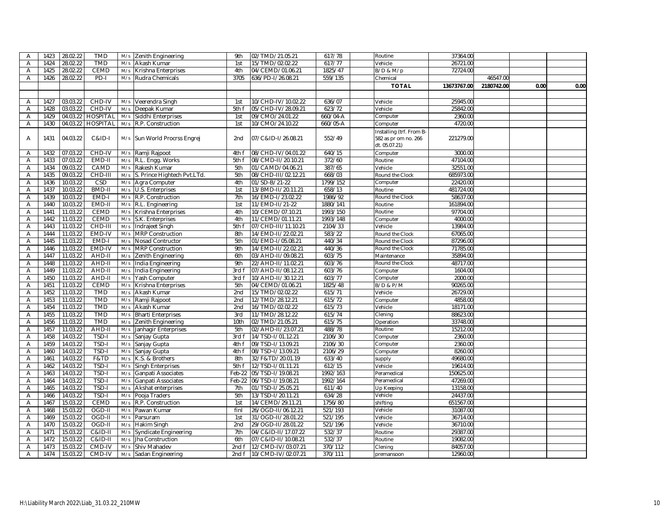| $\overline{A}$ | 1423 | 28.02.22 | <b>TMD</b>         | M/s        | Zenith Engineering                  | 9th    | 02/TMD/21.05.21     | 617/78   | Routine                                                           | 37364.00    |            |      |      |
|----------------|------|----------|--------------------|------------|-------------------------------------|--------|---------------------|----------|-------------------------------------------------------------------|-------------|------------|------|------|
| Α              | 1424 | 28.02.22 | <b>TMD</b>         | M/s        | Akash Kumar                         | 1st    | 15/TMD/02.02.22     | 617/77   | Vehicle                                                           | 26721.00    |            |      |      |
| A              | 1425 | 28.02.22 | <b>CEMD</b>        | M/s        | Krishna Enterprises                 | 4th    | 04/CEMD/01.06.21    | 1825/47  | B/D & M/p                                                         | 72724.00    |            |      |      |
| A              | 1426 | 28.02.22 | PD-I               | M/s        | Rudra Chemicals                     | 3705   | 636/PD-I/26.08.21   | 559/135  | Chemical                                                          |             | 46547.00   |      |      |
|                |      |          |                    |            |                                     |        |                     |          | <b>TOTAL</b>                                                      | 13673767.00 | 2180742.00 | 0.00 | 0.00 |
|                |      |          |                    |            |                                     |        |                     |          |                                                                   |             |            |      |      |
| A              | 1427 | 03.03.22 | CHD-IV             | M/s        | Veerendra Singh                     | 1st    | 10/CHD-IV/10.02.22  | 636/07   | Vehicle                                                           | 25945.00    |            |      |      |
| Α              | 1428 | 03.03.22 | CHD-IV             | M/s        | Deepak Kumar                        | 5th f  | 05/CHD-IV/28.09.21  | 623/72   | Vehicle                                                           | 25842.00    |            |      |      |
| A              | 1429 |          | 04.03.22 HOSPITAL  | M/s        | Siddhi Enterprises                  | 1st    | 09/CMO/24.01.22     | 660/04-A | Computer                                                          | 2360.00     |            |      |      |
| A              | 1430 | 04.03.22 | <b>HOSPITAL</b>    | M/s        | R.P. Construction                   | 1st    | 10/CMO/24.10.22     | 660/05-A | Computer                                                          | 4720.00     |            |      |      |
| A              | 1431 | 04.03.22 | C&ID-I             |            | M/s Sun World Procrss Engrej        | 2nd    | 07/C&ID-I/26.08.21  | 552/49   | Installing (trf. From B-<br>582 as pr om no. 266<br>dt. 05.07.21) | 221279.00   |            |      |      |
| A              | 1432 | 07.03.22 | CHD-IV             | M/s        | Ramji Rajpoot                       | 4th f  | 08/CHD-IV/04.01.22  | 640/15   | Computer                                                          | 3000.00     |            |      |      |
| Α              | 1433 | 07.03.22 | EMD-II             | M/s        | R.L. Engg. Works                    | 5th f  | 08/CMD-II/20.10.21  | 372/60   | Routine                                                           | 47104.00    |            |      |      |
| Α              | 1434 | 09.03.22 | CAMD               | M/s        | Rakesh Kumar                        | 5th    | 01/CAMD/04.06.21    | 387/65   | Vehicle                                                           | 32551.00    |            |      |      |
| Α              | 1435 | 09.03.22 | CHD-III            | M/s        | S. Prince Hightech Pvt.LTd.         | 5th    | 08/CHD-III/02.12.21 | 668/03   | Round the Clock                                                   | 685973.00   |            |      |      |
| Α              | 1436 | 10.03.22 | CSD                | M/s        | Agra Computer                       | 4th    | 01/SD-B/21-22       | 1799/152 | Computer                                                          | 22420.00    |            |      |      |
| Α              | 1437 | 10.03.22 | <b>BMD-II</b>      | M/s        | U.S. Enterprises                    | 1st    | 13/BMD-II/20.11.21  | 658/13   | Routine                                                           | 481724.00   |            |      |      |
| Α              | 1439 | 10.03.22 | EMD-I              | M/s        | R.P. Construction                   | 7th    | 16/EMD-I/23.02.22   | 1986/92  | Round the Clock                                                   | 58637.00    |            |      |      |
| Α              | 1440 | 10.03.22 | EMD-II             | M/s        | R.L. Engineering                    | 1st    | 11/EMD-II/21-22     | 1880/141 | Routine                                                           | 161894.00   |            |      |      |
| A              | 1441 | 11.03.22 | CEMD               | M/s        | Krishna Enterprises                 | 4th    | 10/CEMD/07.10.21    | 1993/150 | Routine                                                           | 97704.00    |            |      |      |
| Α              | 1442 | 11.03.22 | <b>CEMD</b>        | M/s        | S.K. Enterprises                    | 4th    | 11/CEMD/01.11.21    | 1993/148 | Computer                                                          | 4000.00     |            |      |      |
| A              | 1443 | 11.03.22 | CHD-III            | M/s        | Indrajeet Singh                     | 5th f  | 07/CHD-III/11.10.21 | 2104/33  | Vehicle                                                           | 13984.00    |            |      |      |
| Α              | 1444 | 11.03.22 | EMD-IV             | M/s        | <b>MRP Construction</b>             | 8th    | 14/EMD-II/22.02.21  | 583/22   | Round the Clock                                                   | 67065.00    |            |      |      |
| Α              | 1445 | 11.03.22 | EMD-I              | M/s        | Nosad Contructor                    | 5th    | 01/EMD-I/05.08.21   | 440/34   | Round the Clock                                                   | 87296.00    |            |      |      |
| A              | 1446 | 11.03.22 | EMD-IV             | M/s        | <b>MRP Construction</b>             | 9th    | 14/EMD-II/22.02.21  | 440/36   | Round the Clock                                                   | 71785.00    |            |      |      |
| Α              | 1447 | 11.03.22 | AHD-II             | M/s        | Zenith Engineering                  | 6th    | 03/AHD-II/09.08.21  | 603/75   | Maintenance                                                       | 35894.00    |            |      |      |
| Α              | 1448 | 11.03.22 | AHD-II             | M/s        | India Engineering                   | 9th    | 22/AHD-II/11.02.21  | 603/76   | Round the Clock                                                   | 48717.00    |            |      |      |
| A              | 1449 | 11.03.22 | AHD-II             | M/s        | India Engineering                   | 3rd f  | 07/AHD-II/08.12.21  | 603/76   | Computer                                                          | 1604.00     |            |      |      |
| Α              | 1450 | 11.03.22 | AHD-II             | M/s        | Yash Computer                       | 3rd f  | 10/AHD-II/30.12.21  | 603/77   | Computer                                                          | 2000.00     |            |      |      |
| Α              | 1451 | 11.03.22 | CEMD               | M/s        | Krishna Enterprises                 | 5th    | 04/CEMD/01.06.21    | 1825/48  | <b>B/D &amp; P/M</b>                                              | 90265.00    |            |      |      |
| Α              | 1452 | 11.03.22 | <b>TMD</b>         | M/s        | Akash Kumar                         | 2nd    | 15/TMD/02.02.22     | 615/71   | Vehicle                                                           | 26729.00    |            |      |      |
| Α              | 1453 | 11.03.22 | <b>TMD</b>         | M/s        | Ramji Rajpoot                       | 2nd    | 12/TMD/28.12.21     | 615/72   | Computer                                                          | 4858.00     |            |      |      |
| Α              | 1454 | 11.03.22 | <b>TMD</b>         | M/s        | Akash Kumar                         | 2nd    | 16/TMD/02.02.22     | 615/73   | Vehicle                                                           | 18171.00    |            |      |      |
| A              | 1455 | 11.03.22 | <b>TMD</b>         | M/s        | <b>Bharti Enterprises</b>           | 3rd    | 11/TMD/28.12.22     | 615/74   | Clening                                                           | 88623.00    |            |      |      |
| Α              | 1456 | 11.03.22 | <b>TMD</b>         | M/s        | Zenith Engineering                  | 10th   | 02/TMD/21.05.21     | 615/75   | Operation                                                         | 33748.00    |            |      |      |
| Α              | 1457 | 11.03.22 | AHD-II             | M/s        | Janhagir Enterprises                | 5th    | 02/AHD-II/23.07.21  | 488/78   | Routine                                                           | 15212.00    |            |      |      |
| Α              | 1458 | 14.03.22 | TSD-I              | M/s        | Sanjay Gupta                        | 3rd f  | 14/TSD-I/01.12.21   | 2106/30  | Computer                                                          | 2360.00     |            |      |      |
| Α              | 1459 | 14.03.22 | TSD-I              | M/s        | Sanjay Gupta                        | 4th f  | 09/TSD-I/13.09.21   | 2106/30  | Computer                                                          | 2360.00     |            |      |      |
| Α              | 1460 | 14.03.22 | TSD-I              | M/s        | Sanjay Gupta                        | 4th f  | 08/TSD-I/13.09.21   | 2106/29  | Computer                                                          | 8260.00     |            |      |      |
| Α              | 1461 | 14.03.22 | F&TD               | M/s        | K.S. & Brothers                     | 8th    | 32/F&TD/20.01.19    | 633/40   | supply                                                            | 49680.00    |            |      |      |
| Α              | 1462 | 14.03.22 | TSD-I              | M/s        | <b>Singh Enterprises</b>            | 5th f  | 12/TSD-I/01.11.21   | 612/15   | Vehicle                                                           | 19614.00    |            |      |      |
| Α              | 1463 | 14.03.22 | TSD-I              | M/s        | Ganpati Associates                  | Feb-22 | 05/TSD-I/19.08.21   | 1992/163 | Peramedical                                                       | 150625.00   |            |      |      |
| Α              | 1464 | 14.03.22 | TSD-I              | M/s        | Ganpati Associates                  | Feb-22 | 06/TSD-I/19.08.21   | 1992/164 | Peramedical                                                       | 47269.00    |            |      |      |
| Α              | 1465 | 14.03.22 | TSD-I              | M/s        |                                     | 7th    | 01/TSD-I/25.05.21   | 611/40   |                                                                   | 13158.00    |            |      |      |
|                | 1466 | 14.03.22 | TSD-I              |            | Akshat enterprises<br>Pooja Traders | 5th    | 13/TSD-I/20.11.21   | 634/28   | Up Keeping<br>Vehicle                                             | 24437.00    |            |      |      |
| Α              |      |          |                    | M/s<br>M/s |                                     |        |                     |          |                                                                   |             |            |      |      |
| A              | 1467 | 15.03.22 | CEMD               |            | R.P. Construction                   | 1st    | 14/CEMD/29.11.21    | 1756/80  | shifting                                                          | 651567.00   |            |      |      |
| Α              | 1468 | 15.03.22 | OGD-II             | M/s        | Pawan Kumar                         | finl   | 26/OGD-II/06.12.21  | 521/193  | Vehicle                                                           | 31087.00    |            |      |      |
| A              | 1469 | 15.03.22 | OGD-II             | M/s        | Parsuram                            | 1st    | 31/OGD-II/28.01.22  | 521/195  | Vehicle                                                           | 36714.00    |            |      |      |
| Α              | 1470 | 15.03.22 | OGD-II             | M/s        | Hakim Singh                         | 2nd    | 29/OGD-II/28.01.22  | 521/196  | Vehicle                                                           | 36710.00    |            |      |      |
| Α              | 1471 | 15.03.22 | C&ID-II            | M/s        | Syndicate Engineering               | 7th    | 04/C&ID-II/17.07.22 | 532/37   | Routine                                                           | 29387.00    |            |      |      |
| Α              | 1472 | 15.03.22 | <b>C&amp;ID-II</b> | M/s        | Jha Construction                    | 6th    | 07/C&ID-II/10.08.21 | 532/37   | Routine                                                           | 19082.00    |            |      |      |
| Α              | 1473 | 15.03.22 | CMD-IV             | M/s        | Shiv Mahadev                        | 2nd f  | 12/CMD-IV/03.07.21  | 370/112  | Clening                                                           | 84057.00    |            |      |      |
| Α              | 1474 | 15.03.22 | CMD-IV             | M/s        | Sadan Engineering                   | 2nd f  | 10/CMD-IV/02.07.21  | 370/111  | premansoon                                                        | 12960.00    |            |      |      |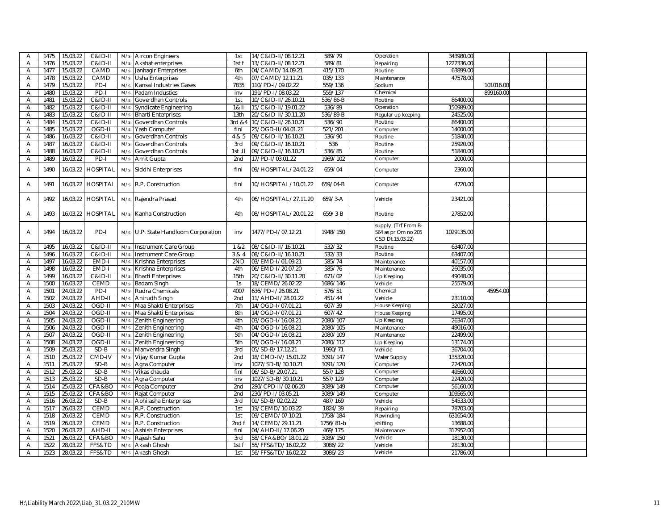| A | 1475 | 15.03.22 | C&ID-II            | M/s | <b>Aircon Engineers</b>         | 1st             | 14/C&ID-II/08.12.21  | 589/79               | Operation                                                      | 343980.00  |           |  |
|---|------|----------|--------------------|-----|---------------------------------|-----------------|----------------------|----------------------|----------------------------------------------------------------|------------|-----------|--|
| Α | 1476 | 15.03.22 | C&ID-II            | M/s | Akshat enterprises              | 1st f           | 13/C&ID-II/08.12.21  | 589/81               | Repairing                                                      | 1222336.00 |           |  |
| Α | 1477 | 15.03.22 | CAMD               | M/s | Janhagir Enterprises            | 6th             | 04/CAMD/14.09.21     | 415/170              | Routine                                                        | 63899.00   |           |  |
| Α | 1478 | 15.03.22 | CAMD               | M/s | Usha Enterprises                | 4th             | 07/CAMD/12.11.21     | $\overline{035}/133$ | Maintenance                                                    | 47578.00   |           |  |
| Α | 1479 | 15.03.22 | $PD-I$             | M/s | Kansal Industries Gases         | 7835            | 110/PD-I/09.02.22    | 559/136              | Sodium                                                         |            | 101016.00 |  |
| Α | 1480 | 15.03.22 | $PD-I$             | M/s | Padam Industies                 | inv             | 191/PD-I/08.03.22    | 559/137              | Chemical                                                       |            | 899160.00 |  |
| Α | 1481 | 15.03.22 | C&ID-II            | M/s | Goverdhan Controls              | 1st             | 10/C&ID-II/26.10.21  | 536/86-B             | Routine                                                        | 86400.00   |           |  |
| Α | 1482 | 15.03.22 | C&ID-II            | M/s | Syndicate Engineering           | 1811            | 15/C&ID-II/19.01.22  | 536/89               | Operation                                                      | 150989.00  |           |  |
| Α | 1483 | 15.03.22 | C&ID-II            | M/s | Bharti Enterprises              | 13th            | 20/C&ID-II/30.11.20  | 536/89-B             | Regular up keeping                                             | 24525.00   |           |  |
| Α | 1484 | 15.03.22 | C&ID-II            | M/s | Goverdhan Controls              | 3rd &4          | 10/C&ID-II/26.10.21  | 536/90               | Routine                                                        | 86400.00   |           |  |
| Α | 1485 | 15.03.22 | OGD-II             | M/s | Yash Computer                   | finl            | 25/OGD-II/04.01.21   | 521/201              | Computer                                                       | 14000.00   |           |  |
| Α | 1486 | 16.03.22 | C&ID-II            | M/s | Goverdhan Controls              | 4 & 5           | 09/C&ID-II/16.10.21  | 536/90               | Routine                                                        | 51840.00   |           |  |
| Α | 1487 | 16.03.22 | <b>C&amp;ID-II</b> | M/s | Goverdhan Controls              | 3rd             | 09/C&ID-II/16.10.21  | 536                  | Routine                                                        | 25920.00   |           |  |
| Α | 1488 | 16.03.22 | C&ID-II            | M/s | Goverdhan Controls              | $1st$ , $II$    | 09/C&ID-II/16.10.21  | 536/85               | Routine                                                        | 51840.00   |           |  |
| Α | 1489 | 16.03.22 | PD-I               | M/s | Amit Gupta                      | 2 <sub>nd</sub> | 17/PD-I/03.01.22     | 1969/102             | Computer                                                       | 2000.00    |           |  |
|   |      |          |                    |     |                                 |                 |                      |                      |                                                                |            |           |  |
| Α | 1490 | 16.03.22 | <b>HOSPITAL</b>    | M/s | Siddhi Enterprises              | finl            | 09/HOSPITAL/24.01.22 | 659/04               | Computer                                                       | 2360.00    |           |  |
| Α | 1491 | 16.03.22 | <b>HOSPITAL</b>    | M/s | R.P. Construction               | finl            | 10/HOSPITAL/10.01.22 | 659/04-B             | Computer                                                       | 4720.00    |           |  |
| Α | 1492 | 16.03.22 | <b>HOSPITAL</b>    | M/s | Rajendra Prasad                 | 4th             | 06/HOSPITAL/27.11.20 | $659/3 - A$          | Vehicle                                                        | 23421.00   |           |  |
| A | 1493 | 16.03.22 | <b>HOSPITAL</b>    | M/s | Kanha Construction              | 4th             | 08/HOSPITAL/20.01.22 | 659/3-B              | Routine                                                        | 27852.00   |           |  |
| Α | 1494 | 16.03.22 | PD-I               | M/s | U.P. State Handloom Corporation | inv             | 1477/PD-I/07.12.21   | 1948/150             | supply (Trf From B-<br>564 as pr Om no 205<br>CSD Dt.15.03.22) | 1029135.00 |           |  |
| Α | 1495 | 16.03.22 | C&ID-II            | M/s | Instrument Care Group           | 1 & 82          | 08/C&ID-II/16.10.21  | 532/32               | Routine                                                        | 63407.00   |           |  |
| A | 1496 | 16.03.22 | $C&ID-II$          | M/s | Instrument Care Group           | 3 & 4           | 08/C&ID-II/16.10.21  | 532/33               | Routine                                                        | 63407.00   |           |  |
| Α | 1497 | 16.03.22 | EMD-I              | M/s | Krishna Enterprises             | 2ND             | 03/EMD-I/01.09.21    | 585/74               | Maintenance                                                    | 40157.00   |           |  |
| Α | 1498 | 16.03.22 | EMD-I              | M/s | Krishna Enterprises             | 4th             | 06/EMD-I/20.07.20    | 585/76               | Maintenance                                                    | 26035.00   |           |  |
| Α | 1499 | 16.03.22 | C&ID-II            | M/s | <b>Bharti Enterprises</b>       | 15th            | 20/C&ID-II/30.11.20  | 671/02               | Up Keeping                                                     | 49048.00   |           |  |
| Α | 1500 | 16.03.22 | <b>CEMD</b>        | M/s | Badam Singh                     | 1s              | 18/CEMD/26.02.22     | 1686/146             | Vehicle                                                        | 25579.00   |           |  |
| Α | 1501 | 24.03.22 | $PD-I$             | M/s | Rudra Chemicals                 | 4007            | 636/PD-I/26.08.21    | 576/51               | Chemical                                                       |            | 45954.00  |  |
| Α | 1502 | 24.03.22 | AHD-II             | M/s | Anirudh Singh                   | 2nd             | 11/AHD-II/28.01.22   | 451/44               | Vehicle                                                        | 23110.00   |           |  |
| Α | 1503 | 24.03.22 | OGD-II             | M/s | Maa Shakti Enterprises          | 7th             | 14/OGD-I/07.01.21    | 607/39               | House Keeping                                                  | 32027.00   |           |  |
| A | 1504 | 24.03.22 | OGD-II             | M/s | Maa Shakti Enterprises          | 8th             | 14/OGD-I/07.01.21    | 607/42               | House Keeping                                                  | 17495.00   |           |  |
| A | 1505 | 24.03.22 | OGD-II             | M/s | Zenith Engineering              | 4th             | 03/OGD-I/16.08.21    | 2080/107             | Up Keeping                                                     | 26347.00   |           |  |
| Α | 1506 | 24.03.22 | OGD-II             | M/s | Zenith Engineering              | 4th             | 04/OGD-I/16.08.21    | 2080/105             | Maintenance                                                    | 49016.00   |           |  |
| A | 1507 | 24.03.22 | OGD-II             | M/s | Zenith Engineering              | 5th             | 04/OGD-I/16.08.21    | 2080/109             | Maintenance                                                    | 22499.00   |           |  |
| Α | 1508 | 24.03.22 | OGD-II             | M/s | Zenith Engineering              | 5th             | 03/OGD-I/16.08.21    | 2080/112             | Up Keeping                                                     | 13174.00   |           |  |
| Α | 1509 | 25.03.22 | $SD-B$             | M/s | Manvendra Singh                 | 3rd             | 05/SD-B/17.12.21     | 1990/71              | Vehicle                                                        | 36704.00   |           |  |
| Α | 1510 | 25.03.22 | CMD-IV             | M/s | Vijay Kumar Gupta               | 2nd             | 18/CMD-IV/15.01.22   | 3091/147             | <b>Water Supply</b>                                            | 135320.00  |           |  |
| Α | 1511 | 25.03.22 | SD-B               | M/s | Agra Computer                   | inv             | 1027/SD-B/30.10.21   | 3091/120             | Computer                                                       | 22420.00   |           |  |
| Α | 1512 | 25.03.22 | SD-B               | M/s | Vikas chauda                    | finl            | 06/SD-B/20.07.21     | 557/128              | Computer                                                       | 49560.00   |           |  |
| Α | 1513 | 25.03.22 | $SD-B$             | M/s | Agra Computer                   | inv             | 1027/SD-B/30.10.21   | 557/129              | Computer                                                       | 22420.00   |           |  |
| Α | 1514 | 25.03.22 | CFA&BO             | M/s | Pooja Computer                  | 2nd             | 280/CPD-II/02.06.20  | 3089/149             | Computer                                                       | 56160.00   |           |  |
| Α | 1515 | 25.03.22 | CFA&BO             | M/s | Rajat Computer                  | 2nd             | 230/PD-I/03.05.21    | 3089/149             | Computer                                                       | 109565.00  |           |  |
| Α | 1516 | 26.03.22 | $SD-B$             | M/s | Abhilasha Enterprises           | 3rd             | 01/SD-B/02.02.22     | 487/169              | Vehicle                                                        | 54533.00   |           |  |
| Α | 1517 | 26.03.22 | CEMD               | M/s | R.P. Construction               | 1st             | 19/CEMD/10.03.22     | 1824/39              | Repairing                                                      | 78703.00   |           |  |
| Α | 1518 | 26.03.22 | <b>CEMD</b>        | M/s | R.P. Construction               | 1st             | 09/CEMD/07.10.21     | 1758/184             | Rewinding                                                      | 631654.00  |           |  |
| Α | 1519 | 26.03.22 | <b>CEMD</b>        | M/s | R.P. Construction               | 2nd f           | 14/CEMD/29.11.21     | 1756/81-b            | shifting                                                       | 13688.00   |           |  |
| Α | 1520 | 26.03.22 | AHD-II             | M/s | <b>Ashish Enterprises</b>       | finl            | 04/AHD-II/17.06.20   | 469/175              | Maintenance                                                    | 317952.00  |           |  |
| Α | 1521 | 26.03.22 | CFA&BO             | M/s | Rajesh Sahu                     | 3rd             | 58/CFA&BO/18.01.22   | 3089/150             | Vehicle                                                        | 18130.00   |           |  |
| A | 1522 | 28.03.22 | FFS&TD             | M/s | Akash Ghosh                     | 1st f           | 55/FFS&TD/16.02.22   | 3086/22              | Vehicle                                                        | 28130.00   |           |  |
| Α | 1523 | 28.03.22 | FFS&TD             | M/s | Akash Ghosh                     | 1st             | 56/FFS&TD/16.02.22   | 3086/23              | Vehicle                                                        | 21786.00   |           |  |
|   |      |          |                    |     |                                 |                 |                      |                      |                                                                |            |           |  |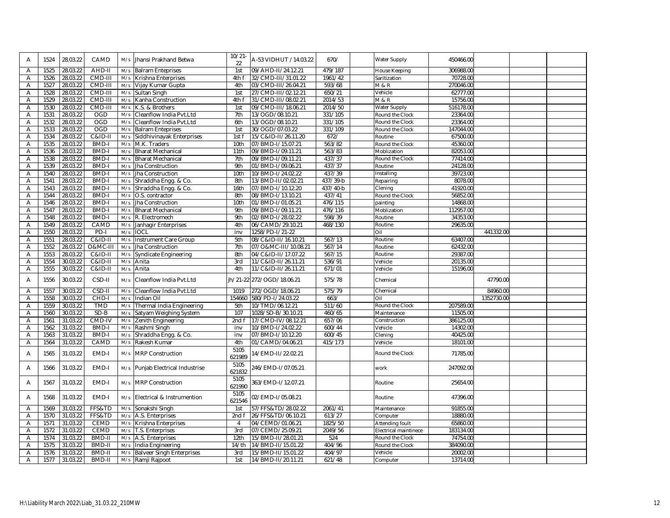| A                   | 1524         | 28.03.22             | CAMD             | M/s        | Jhansi Prakhand Betwa                                 | $10/21 -$<br>22 | A-53 VIDHUT /14.03.22                    | 670/             | Water Supply          | 450466.00            |            |  |
|---------------------|--------------|----------------------|------------------|------------|-------------------------------------------------------|-----------------|------------------------------------------|------------------|-----------------------|----------------------|------------|--|
| Α                   | 1525         | 28.03.22             | AHD-II           | M/s        | <b>Balram Enteprises</b>                              | 1st             | 09/AHD-II/24.12.21                       | 479/187          | House Keeping         | 306988.00            |            |  |
| A                   | 1526         | 28.03.22             | CMD-III          | M/s        | Krishna Enterprises                                   | 4th f           | 32/CMD-III/31.01.22                      | 1961/42          | Saritization          | 70728.00             |            |  |
| Α                   | 1527         | 28.03.22             | CMD-III          | M/s        | Vijay Kumar Gupta                                     | 4th             | 03/CMD-III/26.04.21                      | 593/68           | M & R                 | 270046.00            |            |  |
| Α                   | 1528         | 28.03.22             | CMD-III          | M/s        | Sultan Singh                                          | 1st             | 27/CMD-III/02.12.21                      | 650/21           | Vehicle               | 62777.00             |            |  |
| A                   | 1529         | 28.03.22             | CMD-III          | M/s        | Kanha Construction                                    | 4th f           | 31/CMD-III/08.02.21                      | 2014/53          | <b>M &amp; R</b>      | 15756.00             |            |  |
| A                   | 1530         | 28.03.22             | CMD-III          | M/s        | K.S. & Brothers                                       | 1st             | 09/CMD-III/18.06.21                      | 2014/50          | Water Supply          | 516178.00            |            |  |
| A                   | 1531         | 28.03.22             | OGD              | M/s        | Cleanflow India Pvt.Ltd                               | 7th             | 13/OGD/08.10.21                          | 331/105          | Round the Clock       | 23364.00             |            |  |
| Α                   | 1532         | 28.03.22             | OGD              | M/s        | Cleanflow India Pvt.Ltd                               | 6th             | 13/OGD/08.10.21                          | 331/105          | Round the Clock       | 23364.00             |            |  |
| A                   | 1533         | 28.03.22             | <b>OGD</b>       | M/s        | <b>Balram Enteprises</b>                              | 1st             | 30/OGD/07.03.22                          | 331/109          | Round the Clock       | 147044.00            |            |  |
| A                   | 1534         | 28.03.22             | $C&ID-II$        | M/s        | Siddhivinayak Enterprises                             | 1st f           | 15/C&ID-II/26.11.20                      | 672/             | Routine               | 67500.00             |            |  |
| A                   | 1535         | 28.03.22             | <b>BMD-I</b>     | M/s        | M.K. Traders                                          | 10th            | 07/BMD-I/15.07.21                        | 563/82           | Round the Clock       | 45360.00             |            |  |
| A                   | 1536         | 28.03.22             | BMD-I            | M/s        | <b>Bharat Mechanical</b>                              | 11th            | 09/BMD-I/09.11.21                        | 563/83           | Moblization           | 82053.00             |            |  |
| Α                   | 1538         | 28.03.22             | <b>BMD-I</b>     | M/s        | <b>Bharat Mechanical</b>                              | 7th             | 09/BMD-I/09.11.21                        | 437/37           | Round the Clock       | 77414.00             |            |  |
| A                   | 1539         | 28.03.22             | <b>BMD-I</b>     | M/s        | <b>Jha Construction</b>                               | 9th             | 01/BMD-I/09.06.21                        | 437/37           | Routine               | 24128.00             |            |  |
| Α                   | 1540         | 28.03.22             | <b>BMD-I</b>     | M/s        | <b>Jha Construction</b>                               | 10th            | 10/BMD-I/24.02.22                        | 437/39           | Installing            | 39723.00             |            |  |
| Α                   | 1541         | 28.03.22             | <b>BMD-I</b>     | M/s        | Shraddha Engg. & Co.                                  | 8th             | 13/BMD-II/02.02.21                       | 437/39-b         | Repairing             | 8078.00              |            |  |
| Α                   | 1543         | 28.03.22             | BMD-I            | M/s        | Shraddha Engg. & Co.                                  | 16th            | 07/BMD-I/10.12.20                        | 437/40-b         | Clening               | 41920.00             |            |  |
| A                   | 1544         | 28.03.22             | <b>BMD-I</b>     | M/s        | O.S. contractor                                       | 8th             | 08/BMD-I/13.10.21                        | 437/41           | Round the Clock       | 56852.00             |            |  |
| Α                   | 1546         | 28.03.22             | <b>BMD-I</b>     | M/s        | Jha Construction                                      | 10th<br>9th     | 01/BMD-I/01.05.21                        | 476/115          | painting              | 14868.00             |            |  |
| $\overline{A}$      | 1547         | 28.03.22             | <b>BMD-I</b>     | M/s        | <b>Bharat Mechanical</b>                              | 9th             | 09/BMD-I/09.11.21                        | 476/116          | Moblization           | 112957.00            |            |  |
| A                   | 1548         | 28.03.22             | <b>BMD-I</b>     | M/s        | R. Electromech                                        | 4th             | 02/BMD-I/28.02.22                        | 598/39           | Routine<br>Routine    | 34353.00             |            |  |
| Α                   | 1549<br>1550 | 28.03.22<br>28.03.22 | CAMD<br>$PD-I$   | M/s<br>M/s | Janhagir Enterprises<br><b>IOCL</b>                   |                 | 06/CAMD/29.10.21<br>1258/PD-I/21-22      | 468/130          | Oil                   | 29635.00             | 441332.00  |  |
| A<br>Α              | 1551         | 28.03.22             | C&ID-II          | M/s        | <b>Instrument Care Group</b>                          | inv<br>5th      | 08/C&ID-II/16.10.21                      | 567/13           | Routine               | 63407.00             |            |  |
| Α                   | 1552         | 28.03.22             | O&MC-III         | M/s        | Jha Construction                                      | 7th             | 07/O&MC-III/10.08.21                     | 567/14           | Routine               | 62432.00             |            |  |
| $\overline{A}$      | 1553         | 28.03.22             | C&ID-II          | M/s        | Syndicate Engineering                                 | 8th             | 04/C&ID-II/17.07.22                      | 567/15           | Routine               | 29387.00             |            |  |
| Α                   | 1554         | 30.03.22             | C&ID-II          | M/s        | Anita                                                 | 3rd             | 11/C&ID-II/26.11.21                      | 536/91           | Vehicle               | 20135.00             |            |  |
| A                   | 1555         | 30.03.22             | C&ID-II          | M/s        | Anita                                                 | 4th             | 11/C&ID-II/26.11.21                      | 671/01           | Vehicle               | 15196.00             |            |  |
|                     |              |                      |                  |            |                                                       |                 |                                          |                  |                       |                      |            |  |
| A                   | 1556         | 30.03.22             | CSD-II           | M/s        | Cleanflow India Pvt.Ltd                               | ih/21-22        | 272/OGD/18.06.21                         | 575/78           | Chemical              |                      | 47790.00   |  |
| A                   | 1557         | 30.03.22             | CSD-II           | M/s        | Cleanflow India Pvt.Ltd                               | 1019            | 272/OGD/18.06.21                         | 575/79           | Chemical              |                      | 84960.00   |  |
| A                   | 1558         | 30.03.22             | CHD-I            | M/s        | Indian Oil                                            | 154660          | 580/PD-I/24.03.22                        | 663/             | Oil                   |                      | 1352730.00 |  |
| Α                   | 1559         | 30.03.22             | <b>TMD</b>       | M/s        | Thermal India Engineering                             | 5th             | 10/TMD/06.12.21                          | 511/60           | Round the Clock       | 207589.00            |            |  |
| Α                   | 1560         | 30.03.22             | $SD-B$           | M/s        |                                                       | 107             |                                          |                  |                       |                      |            |  |
| A                   | 1561         | 31.03.22             |                  |            | Satyam Weighing System                                |                 | 1028/SD-B/30.10.21                       | 460/65           | Maintenance           | 11505.00             |            |  |
| A                   |              |                      | CMD-IV           | M/s        | Zenith Engineering                                    | 2nd f           | 17/CMD-IV/08.12.21                       | 657/06           | Construction          | 386125.00            |            |  |
| A                   | 1562         | 31.03.22             | BMD-I            | M/s        | Rashmi Singh                                          | inv             | 10/BMD-I/24.02.22                        | 600/44           | Vehicle               | 14302.00             |            |  |
|                     | 1563         | 31.03.22             | BMD-I            | M/s        | Shraddha Engg. & Co.                                  | inv             | 07/BMD-I/10.12.20                        | 600/45           | Clening               | 40425.00             |            |  |
| Α                   | 1564         | 31.03.22             | CAMD             | M/s        | Rakesh Kumar                                          | 4th             | 01/CAMD/04.06.21                         | 415/173          | Vehicle               | 18101.00             |            |  |
| $\overline{A}$      | 1565         | 31.03.22             | EMD-I            | M/s        | <b>MRP Construction</b>                               | 5105<br>621989  | 14/EMD-II/22.02.21                       |                  | Round the Clock       | 71785.00             |            |  |
| A                   | 1566         | 31.03.22             | EMD-I            |            | M/s Punjab Electrical Industrise                      | 5105<br>621832  | 246/EMD-I/07.05.21                       |                  | work                  | 247092.00            |            |  |
| A                   | 1567         | 31.03.22             | EMD-I            |            | M/s MRP Construction                                  | 5105            | 363/EMD-I/12.07.21                       |                  | Routine               | 25654.00             |            |  |
|                     |              |                      |                  |            |                                                       | 621990<br>5105  |                                          |                  |                       |                      |            |  |
| A                   | 1568         | 31.03.22             | EMD-I            |            | M/s Electrical & Instrumention                        | 621546          | 02/EMD-I/05.08.21                        |                  | Routine               | 47396.00             |            |  |
| Α                   | 1569         | 31.03.22             | FFS&TD           | M/s        | Sonakshi Singh                                        | 1st             | 57/FFS&TD/28.02.22                       | 2061/41          | Maintenance           | 91855.00             |            |  |
| Α                   | 1570         | 31.03.22             | FFS&TD           | M/s        | A.S. Enterprises                                      | 2nd f           | 26/FFS&TD/06.10.21                       | 613/27           | Computer              | 18880.00             |            |  |
| Α                   | 1571         | 31.03.22             | <b>CEMD</b>      | M/s        | Krishna Enterprises                                   | $\overline{4}$  | 04/CEMD/01.06.21                         | 1825/50          | Attending foult       | 65860.00             |            |  |
| Α                   | 1572         | 31.03.22             | <b>CEMD</b>      | M/s        | T.S. Enterprises                                      | 3rd             | 07/CEMD/25.09.21                         | 2049/56          | Electrical maintinece | 183134.00            |            |  |
| Α                   | 1574         | 31.03.22             | <b>BMD-II</b>    | M/s        | A.S. Enterprises                                      | 12th            | 15/BMD-II/28.01.21                       | 524              | Round the Clock       | 74754.00             |            |  |
| Α                   | 1575         | 31.03.22             | BMD-II           | M/s        | India Engineering                                     | 14/th           | 14/BMD-II/15.01.22                       | 404/96           | Round the Clock       | 384090.00            |            |  |
| Α<br>$\overline{A}$ | 1576<br>1577 | 31.03.22<br>31.03.22 | BMD-II<br>BMD-II | M/s        | <b>Balveer Singh Enterprises</b><br>M/s Ramji Rajpoot | 3rd<br>1st      | 15/BMD-II/15.01.22<br>14/BMD-II/20.11.21 | 404/97<br>621/48 | Vehicle<br>Computer   | 20002.00<br>13714.00 |            |  |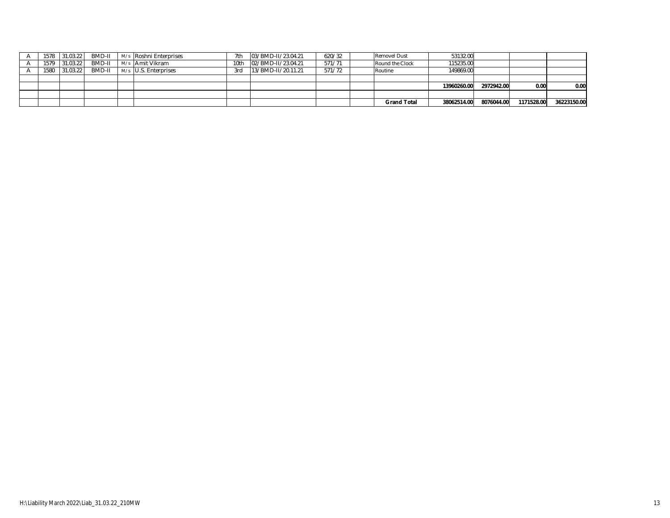| 1578 | 31.03.22      | BMD-II | M/s Roshni Enterprises | 7th  | 03/BMD-II/23.04.21 | 620/32 | <b>Removel Dust</b> | 53132.00    |            |            |             |
|------|---------------|--------|------------------------|------|--------------------|--------|---------------------|-------------|------------|------------|-------------|
|      | 1579 31.03.22 | BMD-II | M/s Amit Vikram        | 10th | 02/BMD-II/23.04.21 | 571/71 | Round the Clock     | 115235.00   |            |            |             |
| 1580 | 31.03.22      | BMD-II | M/s U.S. Enterprises   | 3rd  | 13/BMD-II/20.11.21 | 571/72 | Routine             | 149869.00   |            |            |             |
|      |               |        |                        |      |                    |        |                     |             |            |            |             |
|      |               |        |                        |      |                    |        |                     | 13960260.00 | 2972942.00 | 0.00       | 0.00        |
|      |               |        |                        |      |                    |        |                     |             |            |            |             |
|      |               |        |                        |      |                    |        | <b>Grand Total</b>  | 38062514.00 | 8076044.00 | 1171528.00 | 36223150.00 |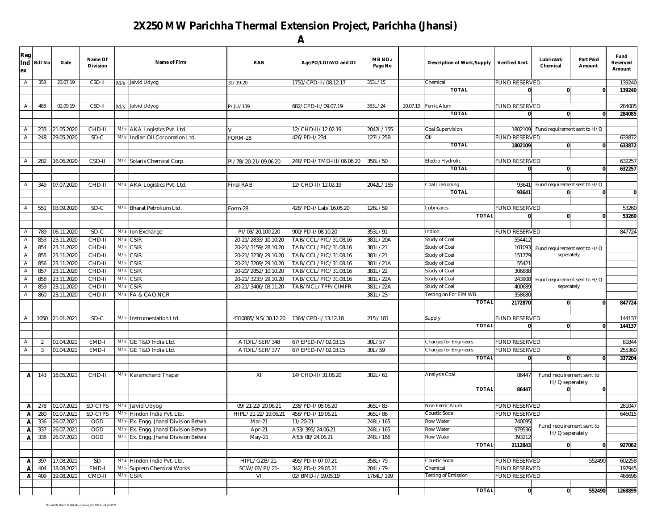## **2X250 MW Parichha Thermal Extension Project, Parichha (Jhansi) A**

| Reg<br>Ind<br>ex | <b>Bill No</b> | Date       | Name Of<br><b>Division</b> |     | Name of Firm                        | <b>RAB</b>           | Agr/PO/LOI/WO and Dt      | MB <sub>NO.</sub> /<br>Page No | <b>Description of Work/Supply</b> | Verified Amt.        | Lubricant/<br>Chemical       | <b>Part Paid</b><br>Amount | Fund<br>Reserved<br>Amount |
|------------------|----------------|------------|----------------------------|-----|-------------------------------------|----------------------|---------------------------|--------------------------------|-----------------------------------|----------------------|------------------------------|----------------------------|----------------------------|
| $\overline{A}$   | 358            | 23.07.19   | CSD-II                     |     | M/s Jalvid Udyog                    | 31/19-20             | 1750/CPD-II/08.12.17      | 353L/15                        | Chemical                          | FUND RESERVED        |                              |                            | 139240                     |
|                  |                |            |                            |     |                                     |                      |                           |                                | <b>TOTAL</b>                      |                      | U                            |                            | 139240                     |
|                  |                |            |                            |     |                                     |                      |                           |                                |                                   |                      |                              |                            |                            |
| A                | 483            | 02.09.19   | CSD-II                     |     | M/s Jalvid Udyog                    | P/JU/139             | 682/CPD-II/09.07.19       | 353L/24                        | 20.07.19 Ferric Alum              | <b>FUND RESERVED</b> |                              |                            | 284085                     |
|                  |                |            |                            |     |                                     |                      |                           |                                | <b>TOTAL</b>                      |                      |                              |                            | 284085                     |
|                  |                |            |                            |     |                                     |                      |                           |                                |                                   |                      |                              |                            |                            |
| $\overline{A}$   | 233            | 21.05.2020 | CHD-II                     | M/s | AKA Logistics Pvt. Ltd.             |                      | 12/CHD-II/12.02.19        | 2042L/155                      | Coal Supervision                  | 1802109              | Fund requirement sent to H/Q |                            |                            |
| $\overline{A}$   | 248            | 29.05.2020 | $SD-C$                     | M/s | Indian Oil Corporation Ltd.         | FORM-28              | 426/PD-1/234              | 127L/25B                       | Oil                               | FUND RESERVED        |                              |                            | 633872                     |
|                  |                |            |                            |     |                                     |                      |                           |                                | <b>TOTAL</b>                      | 1802109              | $\mathbf{0}$                 |                            | 633872                     |
|                  |                |            |                            |     |                                     |                      |                           |                                |                                   |                      |                              |                            |                            |
| $\overline{A}$   | 282            | 16.06.2020 | CSD-II                     | M/s | Solaris Chemical Corp               | PI/78/20-21/09.06.20 | 248/PD-I/TMD-III/06.06.20 | 358L/50                        | Electro Hydrolic                  | <b>FUND RESERVED</b> |                              |                            | 632257                     |
|                  |                |            |                            |     |                                     |                      |                           |                                | <b>TOTAL</b>                      |                      | $\mathbf{0}$                 |                            | 632257                     |
|                  |                |            |                            |     |                                     |                      |                           |                                |                                   |                      |                              |                            |                            |
| $\overline{A}$   | 349            | 07.07.2020 | $CHD-II$                   |     | M/s AKA Logistics Pvt. Ltd.         | Final RAB            | 12/CHD-II/12.02.19        | 2042L/165                      | Coal Liasioning                   | 93641                | Fund requirement sent to H/Q |                            |                            |
|                  |                |            |                            |     |                                     |                      |                           |                                | <b>TOTAL</b>                      | 93641                |                              |                            | Ō                          |
|                  |                |            |                            |     |                                     |                      |                           |                                |                                   |                      |                              |                            |                            |
| $\overline{A}$   | 551            | 03.09.2020 | $SD-C$                     |     | M/s Bharat Petrolium Ltd.           | Form-28              | 428/PD-I/Lab/16.05.20     | 126L/59                        | Lubricants                        | <b>FUND RESERVED</b> |                              |                            | 53260                      |
|                  |                |            |                            |     |                                     |                      |                           |                                | <b>TOTAL</b>                      |                      | $\mathbf{0}$                 |                            | 53260                      |
|                  |                |            |                            |     |                                     |                      |                           |                                |                                   |                      |                              |                            |                            |
| $\overline{A}$   | 789            | 06.11.2020 | SD-C                       | M/s | Ion Exchange                        | PI/03/20.100.220     | 900/PD-1/08.10.20         | 353L/91                        | Indion                            | UND RESERVED         |                              |                            | 847724                     |
| $\overline{A}$   | 853            | 23.11.2020 | CHD-II                     | M/s | CSIR                                | 20-21/2833/10.10.20  | TAB/CCL/PIC/31.08.16      | 381L/20A                       | Study of Coal                     | 554412               |                              |                            |                            |
| $\overline{A}$   | 854            | 23.11.2020 | $CHD-II$                   | M/s | CSIR                                | 20-21/3159/28.10.20  | TAB/CCL/PIC/31.08.16      | 381L/21                        | Study of Coal                     | 101093               | Fund requirement sent to H/Q |                            |                            |
| $\overline{A}$   | 855            | 23.11.2020 | CHD-II                     | M/s | <b>CSIR</b>                         | 20-21/3236/29.10.20  | TAB/CCL/PIC/31.08.16      | 381L/21                        | Study of Coal                     | 151779               | seperately                   |                            |                            |
| $\overline{A}$   | 856            | 23.11.2020 | CHD-II                     | M/s | $\overline{\text{SIR}}$             | 20-21/3209/29.10.20  | TAB/CCL/PIC/31.08.16      | 381L/21A                       | Study of Coal                     | 55421                |                              |                            |                            |
| A                | 857            | 23.11.2020 | CHD-II                     | M/s | <b>CSIR</b>                         | 20-20/2852/10.10.20  | TAB/CCL/PIC/31.08.16      | 381L/22                        | Study of Coal                     | 306888               |                              |                            |                            |
| $\overline{A}$   | 858            | 23.11.2020 | CHD-II                     | M/s | $\overline{\text{CSIR}}$            | 20-21/3233/29.10.20  | TAB/CCL/PIC/31.08.16      | 381L/22A                       | Study of Coal                     | 243908               | Fund requirement sent to H/Q |                            |                            |
| $\mathsf{A}$     | 859            | 23.11.2020 | CHD-II                     | M/s | SIR                                 | 20-21/3406/03.11.20  | TAB/NCL/TPP/CIMFR         | 381L/22A                       | Study of Coal                     | 400689               | seperately                   |                            |                            |
| A                | 860            | 23.11.2020 | CHD-II                     | M/s | FA & CAO, NCR                       |                      |                           | 381L/23                        | Testing on For EIM WB             | 358680               |                              |                            |                            |
|                  |                |            |                            |     |                                     |                      |                           |                                | <b>TOTAL</b>                      | 2172870              | $\bf{0}$                     | $\Omega$                   | 847724                     |
|                  |                |            |                            |     |                                     |                      |                           |                                |                                   |                      |                              |                            |                            |
| $\overline{A}$   | 1050           | 21.01.2021 | SD-C                       | M/s | Instrumentation Ltd.                | 4310885/NS/30.12.20  | 1364/CPD-I/13.12.18       | 2151/181                       | Supply                            | <b>FUND RESERVED</b> |                              |                            | 144137                     |
|                  |                |            |                            |     |                                     |                      |                           |                                | <b>TOTAL</b>                      |                      | $\mathbf{0}$                 | $\Omega$                   | 144137                     |
|                  |                |            |                            |     |                                     |                      |                           |                                |                                   |                      |                              |                            |                            |
| $\overline{A}$   | $\overline{2}$ | 01.04.2021 | EMD-I                      | M/s | GE T&D India Ltd.                   | ATDIL/SER/348        | 67/EPED-IV/02.03.15       | 30L/57                         | Charges for Engineers             | UND RESERVED         |                              |                            | 81844                      |
| $\overline{A}$   | $\overline{3}$ | 01.04.2021 | EMD-I                      | M/s | GE T&D India Ltd.                   | ATDIL/SER/377        | 67/EPED-IV/02.03.15       | 30L/59                         | <b>Charges for Engineers</b>      | <b>FUND RESERVED</b> |                              |                            | 255360                     |
|                  |                |            |                            |     |                                     |                      |                           |                                | <b>TOTAL</b>                      |                      | $\mathbf{0}$                 |                            | 337204                     |
|                  |                |            |                            |     |                                     |                      |                           |                                |                                   |                      |                              |                            |                            |
| A                | 143            | 18.05.2021 | CHD-II                     |     | M/s Karamchand Thapar               | $\overline{X}$       | 14/CHD-II/31.08.20        | 382L/61                        | Analysis Coal                     | 86447                | Fund requirement sent to     |                            |                            |
|                  |                |            |                            |     |                                     |                      |                           |                                |                                   |                      | H/Q seperately               |                            |                            |
|                  |                |            |                            |     |                                     |                      |                           |                                | <b>TOTAL</b>                      | 86447                |                              |                            |                            |
|                  |                |            |                            |     |                                     |                      |                           |                                |                                   |                      |                              |                            |                            |
| Δ                | 278            | 01.07.2021 | SD-CTPS                    |     | M/s Jalvid Udyog                    | 09/21-22/20.06.21    | 238/PD-I/05.06.20         | 365L/83                        | Non Ferric Alum                   | <b>FUND RESERVED</b> |                              |                            | 281047                     |
| A                | 280            | 01.07.2021 | SD-CTPS                    | M/s | Hindon India Pvt. Ltd.              | HIPL/21-22/19.06.21  | 458/PD-1/19.06.21         | 365L/86                        | Coustic Soda                      | FUND RESERVED        |                              |                            | 646015                     |
| A                | 336            | 26.07.2021 | <b>OGD</b>                 | M/s | Ex. Engg. Jhansi Division Betwa     | Mar-21               | 11/20-21                  | 248L/165                       | Row Water                         | 740095               | Fund requirement sent to     |                            |                            |
| A                | 337            | 26.07.2021 | OGD                        |     | M/s Ex. Engg. Jhansi Division Betwa | Apr-21               | A53/395/24.06.21          | 248L/165                       | Row Water                         | 979536               | H/Q seperately               |                            |                            |
| A                | 338            | 26.07.2021 | <b>OGD</b>                 | M/s | Ex. Engg. Jhansi Division Betwa     | May-21               | A53/08/24.06.21           | 248L/166                       | Row Water                         | 393212               |                              |                            |                            |
|                  |                |            |                            |     |                                     |                      |                           |                                | <b>TOTAL</b>                      | 2112843              | $\bf{0}$                     |                            | 927062                     |
|                  |                |            |                            |     |                                     |                      |                           |                                |                                   |                      |                              |                            |                            |
| A                | 397            | 17.08.2021 | SD                         | M/s | Hindon India Pvt. Ltd.              | HIPL/GZB/21-         | 495/PD-1/07.07.21         | 358L/79                        | Coustic Soda                      | FUND RESERVED        |                              | 552490                     | 602258                     |
| A                | 404            | 18.08.2021 | EMD-                       | M/s | Suprem Chemical Works               | SCW/02/PI/21-        | 342/PD-1/29.05.21         | 204L/79                        | Chemical                          | <b>FUND RESERVED</b> |                              |                            | 197945                     |
| A                | 409            | 19.08.2021 | CMD-II                     |     | $\overline{M/s}$ CSIR               | VI                   | 02/BMD-I/19.05.19         | 1764L/199                      | <b>Testing of Emission</b>        | <b>FUND RESERVED</b> |                              |                            | 468696                     |

**TOTAL 0 0 552490 1268899**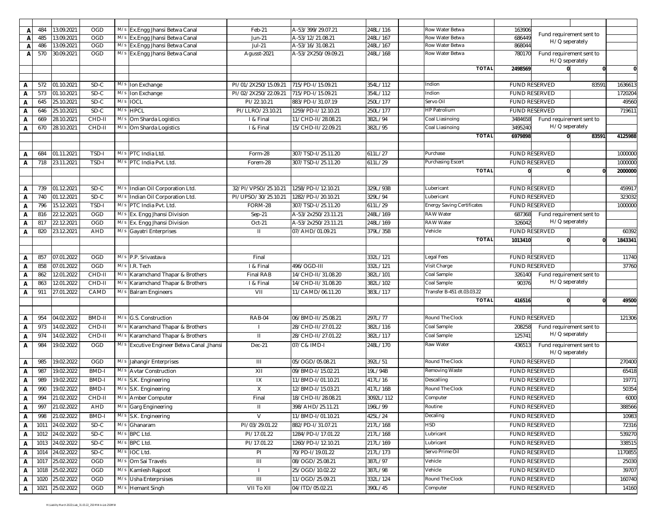|              | 484  | 13.09.2021 | <b>OGD</b>   |     | M/s Ex.Engg Jhansi Betwa Canal             | Feb-21               | A-53/399/29.07.21   | 248L/116  | Row Water Betwa                   | 163906  |                          |       |              |
|--------------|------|------------|--------------|-----|--------------------------------------------|----------------------|---------------------|-----------|-----------------------------------|---------|--------------------------|-------|--------------|
| A            | 485  | 13.09.2021 | <b>OGD</b>   | M/s | Ex.Engg Jhansi Betwa Canal                 | <b>Jun-21</b>        | A-53/12/21.08.21    | 248L/167  | Row Water Betwa                   | 686449  | Fund requirement sent to |       |              |
| A<br>A       | 486  | 13.09.2021 | OGD          | M/s | Ex.Engg Jhansi Betwa Canal                 | Jul-21               | A-53/16/31.08.21    | 248L/167  | Row Water Betwa                   | 868044  | H/Q seperately           |       |              |
| Α            | 570  | 30.09.2021 | OGD          |     | M/s Ex.Engg Jhansi Betwa Canal             | Agusst-2021          | A-53/2X250/09.09.21 | 248L/168  | Row Water Betwa                   | 780170  | Fund requirement sent to |       |              |
|              |      |            |              |     |                                            |                      |                     |           |                                   |         | H/Q seperately           |       |              |
|              |      |            |              |     |                                            |                      |                     |           | <b>TOTAL</b>                      | 2498569 | $\Omega$                 | 0     | $\mathbf{0}$ |
|              |      |            |              |     |                                            |                      |                     |           |                                   |         |                          |       |              |
| А            | 572  | 01.10.2021 | SD-C         | M/s | Ion Exchange                               | PI/01/2X250/15.09.21 | 715/PD-I/15.09.21   | 354L/112  | Indion                            |         | <b>FUND RESERVED</b>     | 83591 | 1636613      |
| A            | 573  | 01.10.2021 | SD-C         | M/s | Ion Exchange                               | PI/02/2X250/22.09.21 | 715/PD-I/15.09.21   | 354L/112  | Indion                            |         | <b>FUND RESERVED</b>     |       | 1720204      |
| Α            | 645  | 25.10.2021 | SD-C         | M/s | <b>IOCL</b>                                | PI/22.10.21          | 883/PD-I/31.07.19   | 250L/177  | Servo Oil                         |         | <b>FUND RESERVED</b>     |       | 49560        |
| А            | 646  | 25.10.2021 | $SD-C$       |     | M/s HPCL                                   | PI/LLRO/23.10.21     | 1259/PD-I/12.10.21  | 250L/177  | <b>HP Patrolium</b>               |         | <b>FUND RESERVED</b>     |       | 719611       |
| Α            | 669  | 28.10.2021 | CHD-II       | M/s | Om Sharda Logistics                        | I & Final            | 11/CHD-II/28.08.21  | 382L/94   | Coal Liasinoing                   | 3484658 | Fund requirement sent to |       |              |
| A            | 670  | 28.10.2021 | CHD-II       |     | M/s Om Sharda Logistics                    | I & Final            | 15/CHD-II/22.09.21  | 382L/95   | Coal Liasinoing                   | 3495240 | H/Q seperately           |       |              |
|              |      |            |              |     |                                            |                      |                     |           | <b>TOTAL</b>                      | 6979898 |                          | 83591 | 4125988      |
|              |      |            |              |     |                                            |                      |                     |           |                                   |         |                          |       |              |
| A            | 684  | 01.11.2021 | TSD-I        |     | M/s PTC India Ltd.                         | Form-28              | 307/TSD-I/25.11.20  | 611L/27   | Purchase                          |         | FUND RESERVED            |       | 1000000      |
| А            | 718  | 23.11.2021 | TSD-I        | M/s | PTC India Pvt. Ltd.                        | Forem-28             | 307/TSD-I/25.11.20  | 611L/29   | Purchasing Escert                 |         | <b>FUND RESERVED</b>     |       | 1000000      |
|              |      |            |              |     |                                            |                      |                     |           | <b>TOTAL</b>                      |         |                          |       | 2000000      |
|              |      |            |              |     |                                            |                      |                     |           |                                   |         |                          |       |              |
| Α            | 739  | 01.12.2021 | SD-C         | M/s | Indian Oil Corporation Ltd.                | 32/PI/VPSO/25.10.21  | 1258/PD-I/12.10.21  | 329L/93B  | Lubericant                        |         | <b>FUND RESERVED</b>     |       | 459917       |
| А            | 740  | 01.12.2021 | $SD-C$       | M/s | ndian Oil Corporation Ltd.                 | PI/UPSO/30/25.10.21  | 1282/PD-I/20.10.21  | 329L/94   | Lubericant                        |         | FUND RESERVED            |       | 323032       |
| Α            | 796  | 15.12.2021 | TSD-I        | M/s | PTC India Pvt. Ltd.                        | FORM-28              | 307/TSD-I/25.11.20  | 611L/29   | <b>Energy Saving Certificates</b> |         | <b>FUND RESERVED</b>     |       | 1000000      |
| Α            | 816  | 22.12.2021 | OGD          | M/s | Ex. Engg Jhansi Division                   | Sep-21               | A-53/2x250/23.11.21 | 248L/169  | <b>RAW Water</b>                  | 687368  | Fund requirement sent to |       |              |
| A            | 817  | 22.12.2021 | OGD          | M/s | Ex. Engg Jhansi Division                   | Oct-21               | A-53/2x250/23.11.21 | 248L/169  | <b>RAW Water</b>                  | 326042  | H/Q seperately           |       |              |
| A            | 820  | 23.12.2021 | AHD          | M/s | Gayatri Enterprises                        | $\mathbf{H}$         | 07/AHD/01.09.21     | 379L/35B  | Vehicle                           |         | <b>FUND RESERVED</b>     |       | 60392        |
|              |      |            |              |     |                                            |                      |                     |           | <b>TOTAL</b>                      | 1013410 |                          |       | 1843341      |
|              |      |            |              |     |                                            |                      |                     |           |                                   |         |                          |       |              |
| А            | 857  | 07.01.2022 | OGD          | M/s | P.P. Srivastava                            | Final                |                     | 332L/121  | Legal Fees                        |         | <b>FUND RESERVED</b>     |       | 11740        |
| А            | 858  | 07.01.2022 | OGD          | M/s | .R. Tech                                   | I & Final            | 496/OGD-III         | 332L/121  | Visit Charge                      |         | <b>FUND RESERVED</b>     |       | 37760        |
| Α            | 862  | 12.01.2022 | CHD-II       | M/s | Karamchand Thapar & Brothers               | Final RAB            | 14/CHD-II/31.08.20  | 382L/101  | Coal Sample                       | 326140  | Fund requirement sent to |       |              |
| A            | 863  | 12.01.2022 | CHD-II       | M/s | Karamchand Thapar & Brothers               | I & Final            | 14/CHD-II/31.08.20  | 382L/102  | Coal Sample                       | 90376   | H/Q seperately           |       |              |
| $\mathbf{A}$ | 911  | 27.01.2022 | CAMD         | M/s | <b>Balram Engineers</b>                    | VII                  | 11/CAMD/06.11.20    | 383L/117  | Fransfer B-451 dt.03.03.22        |         |                          |       |              |
|              |      |            |              |     |                                            |                      |                     |           | <b>TOTAL</b>                      | 416516  |                          |       | 49500        |
|              |      |            |              |     |                                            |                      |                     |           |                                   |         |                          |       |              |
| А            | 954  | 04.02.2022 | BMD-II       | M/s | G.S. Construction                          | RAB-04               | 06/BMD-II/25.08.21  | 297L/77   | Round The Clock                   |         | <b>FUND RESERVED</b>     |       | 121306       |
| А            | 973  | 14.02.2022 | CHD-II       | M/s | Karamchand Thapar & Brothers               |                      | 28/CHD-II/27.01.22  | 382L/116  | Coal Sample                       | 208258  | Fund requirement sent to |       |              |
| А            | 974  | 14.02.2022 | CHD-II       | M/s | Karamchand Thapar & Brothers               | $\mathbf{H}$         | 28/CHD-II/27.01.22  | 382L/117  | Coal Sample                       | 125741  | H/Q seperately           |       |              |
| А            | 984  | 19.02.2022 | <b>OGD</b>   |     | M/s Excutive Engineer Betwa Canal , Jhansi | Dec-21               | 07/C& IMD-I         | 248L/170  | Raw Water                         | 436513  | Fund requirement sent to |       |              |
|              |      |            |              |     |                                            |                      |                     |           |                                   |         | H/Q seperately           |       |              |
| А            | 985  | 19.02.2022 | OGD          |     | M/s Jahangir Enterprises                   | Ш                    | 05/OGD/05.08.21     | 392L/51   | Round The Clock                   |         | <b>FUND RESERVED</b>     |       | 270400       |
| Α            | 987  | 19.02.2022 | BMD-I        | M/s | <b>Avtar Construction</b>                  | XII                  | 09/BMD-I/15.02.21   | 19L/94B   | Removing Waste                    |         | <b>FUND RESERVED</b>     |       | 65418        |
| А            | 989  | 19.02.2022 | BMD-I        |     | M/s S.K. Engineering                       | IX                   | 11/BMD-I/01.10.21   | 417L/16   | Descalling                        |         | <b>FUND RESERVED</b>     |       | 19771        |
| Α            | 990  | 19.02.2022 | <b>BMD-I</b> |     | M/s S.K. Engineering                       | X                    | 12/BMD-I/15.03.21   | 417L/16B  | Round The Clock                   |         | <b>FUND RESERVED</b>     |       | 50354        |
| А            | 994  | 21.02.2022 | CHD-II       |     | M/s Amber Computer                         | Final                | 18/CHD-II/28.08.21  | 3092L/112 | Computer                          |         | <b>FUND RESERVED</b>     |       | 6000         |
| A            | 997  | 21.02.2022 | AHD          | M/s | Garg Engineering                           | $\mathbf{H}$         | 398/AHD/25.11.21    | 196L/99   | Routine                           |         | <b>FUND RESERVED</b>     |       | 388566       |
| А            | 998  | 21.02.2022 | BMD-I        | M/s | S.K. Engineering                           | V                    | 11/BMD-I/01.10.21   | 425L/24   | Decaling                          |         | <b>FUND RESERVED</b>     |       | 10983        |
| A            | 1011 | 24.02.2022 | $SD-C$       | M/s | Ghanaram                                   | PI/03/29.01.22       | 882/PD-1/31.07.21   | 217L/168  | <b>HSD</b>                        |         | <b>FUND RESERVED</b>     |       | 72316        |
| А            | 1012 | 24.02.2022 | SD-C         | M/s | <b>BPC Ltd.</b>                            | PI/17.01.22          | 1284/PD-I/17.01.22  | 217L/168  | Lubricant                         |         | <b>FUND RESERVED</b>     |       | 539270       |
| A            | 1013 | 24.02.2022 | SD-C         |     | $M/s$ BPC Ltd.                             | PI/17.01.22          | 1260/PD-I/12.10.21  | 217L/169  | Lubricant                         |         | FUND RESERVED            |       | 338515       |
|              |      |            | SD-C         | M/s |                                            |                      |                     |           | Servo Prime Oil                   |         | FUND RESERVED            |       |              |
| А            | 1014 | 24.02.2022 |              |     | IOC Ltd.                                   | PI                   | 70/PD-I/19.01.22    | 217L/173  |                                   |         |                          |       | 1170855      |
| A            | 1017 | 25.02.2022 | <b>OGD</b>   | M/s | Om Sai Travels                             | Ш                    | 08/OGD/25.08.21     | 387L/97   | Vehicle                           |         | FUND RESERVED            |       | 25030        |
| A            | 1018 | 25.02.2022 | OGD          | M/s | Kamlesh Rajpoot                            |                      | 25/OGD/10.02.22     | 387L/98   | Vehicle                           |         | FUND RESERVED            |       | 39707        |
| A            | 1020 | 25.02.2022 | <b>OGD</b>   | M/s | <b>Usha Enterprsises</b>                   | Ш                    | 11/OGD/25.09.21     | 332L/124  | Round The Clock                   |         | FUND RESERVED            |       | 160740       |
| A            | 1021 | 25.02.2022 | <b>OGD</b>   |     | M/s Hemant Singh                           | VII To XII           | 04/ITD/05.02.21     | 390L/45   | Computer                          |         | FUND RESERVED            |       | 14160        |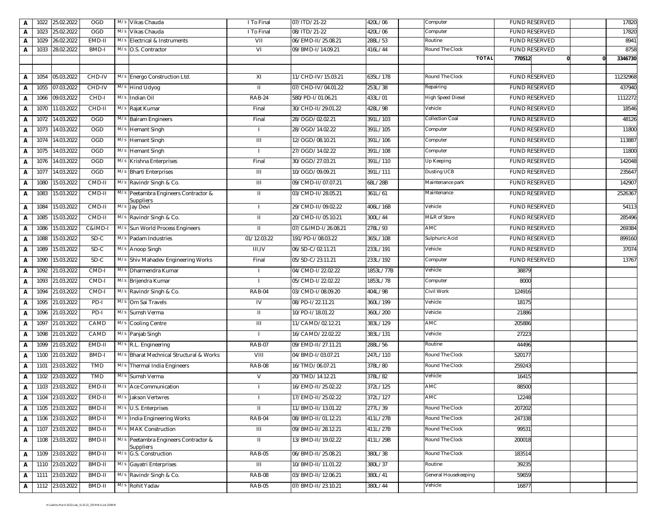| А            |      | 1022 25.02.2022 | OGD        |     | M/s Vikas Chauda                                  | I To Final     | 07/ITD/21-22        | 420L/06   | Computer                 |        | <b>FUND RESERVED</b> |   | 17820    |
|--------------|------|-----------------|------------|-----|---------------------------------------------------|----------------|---------------------|-----------|--------------------------|--------|----------------------|---|----------|
| A            | 1023 | 25.02.2022      | <b>OGD</b> | M/s | Vikas Chauda                                      | I To Final     | 08/ITD/21-22        | 420L/06   | Computer                 |        | <b>FUND RESERVED</b> |   | 17820    |
| Α            | 1029 | 26.02.2022      | EMD-II     | M/s | Electrical & Instruments                          | VII            | 06/EMD-II/25.08.21  | 288L/53   | Routine                  |        | <b>FUND RESERVED</b> |   | 8941     |
| Α            | 1033 | 28.02.2022      | BMD-I      | M/s | O.S. Contractor                                   | VI             | 09/BMD-I/14.09.21   | 416L/44   | Round The Clock          |        | <b>FUND RESERVED</b> |   | 8758     |
|              |      |                 |            |     |                                                   |                |                     |           | <b>TOTAL</b>             | 770512 |                      | n | 3346730  |
|              | 1054 |                 | CHD-IV     |     | M/s Energo Construction Ltd.                      | XI             | 11/CHD-IV/15.03.21  | 635L/178  | Round The Clock          |        | <b>FUND RESERVED</b> |   | 11232968 |
| Α            |      | 05.03.2022      |            |     |                                                   |                |                     |           |                          |        |                      |   |          |
| Α            | 1055 | 07.03.2022      | CHD-IV     |     | M/s Hind Udyog                                    | Ш.             | 07/CHD-IV/04.01.22  | 253L/38   | Repairing                |        | <b>FUND RESERVED</b> |   | 437940   |
| Α            | 1066 | 09.03.2022      | CHD-I      |     | M/s Indian Oil                                    | <b>RAB-24</b>  | 580/PD-I/01.06.21   | 433L/01   | <b>High Speed Diesel</b> |        | <b>FUND RESERVED</b> |   | 1112272  |
| Α            | 1070 | 11.03.2022      | CHD-II     |     | M/s Rajat Kumar                                   | Final          | 30/CHD-II/29.01.22  | 428L/9B   | Vehicle                  |        | <b>FUND RESERVED</b> |   | 18546    |
| Α            | 1072 | 14.03.2022      | <b>OGD</b> |     | M/s Balram Engineers                              | Final          | 28/OGD/02.02.21     | 391L/103  | <b>Collection Coal</b>   |        | <b>FUND RESERVED</b> |   | 48126    |
| Α            | 1073 | 14.03.2022      | OGD        |     | M/s Hemant Singh                                  |                | 28/OGD/14.02.22     | 391L/105  | Computer                 |        | <b>FUND RESERVED</b> |   | 11800    |
| Α            | 1074 | 14.03.2022      | OGD        | M/s | <b>Hemant Singh</b>                               | $\mathbf{III}$ | 12/OGD/08.10.21     | 391L/106  | Computer                 |        | <b>FUND RESERVED</b> |   | 113887   |
| Α            | 1075 | 14.03.2022      | OGD        |     | M/s Hemant Singh                                  |                | 27/OGD/14.02.22     | 391L/108  | Computer                 |        | <b>FUND RESERVED</b> |   | 11800    |
| Α            | 1076 | 14.03.2022      | OGD        |     | M/s Krishna Enterprises                           | Final          | 30/OGD/27.03.21     | 391L/110  | Up Keeping               |        | <b>FUND RESERVED</b> |   | 142048   |
| A            | 1077 | 14.03.2022      | <b>OGD</b> |     | M/s Bharti Enterprises                            | Ш              | 10/OGD/09.09.21     | 391L/111  | Dusting UCB              |        | <b>FUND RESERVED</b> |   | 235647   |
| Α            | 1080 | 15.03.2022      | CMD-II     |     | M/s Ravindr Singh & Co.                           | Ш              | 09/CMD-II/07.07.21  | 68L/28B   | Maintenance park         |        | <b>FUND RESERVED</b> |   | 142907   |
| Α            | 1083 | 15.03.2022      | CMD-II     | M/s | Peetambra Engineers Contractor &                  | Ш              | 03/CMD-II/28.05.21  | 361L/61   | Maintenance              |        | <b>FUND RESERVED</b> |   | 2526367  |
|              |      |                 |            |     | Suppliers                                         |                |                     |           |                          |        |                      |   |          |
| Α            | 1084 | 15.03.2022      | CMD-II     |     | M/s Jay Devi                                      |                | 29/CMD-II/09.02.22  | 406L/16B  | Vehicle                  |        | <b>FUND RESERVED</b> |   | 54113    |
| Α            | 1085 | 15.03.2022      | CMD-II     |     | M/s Ravindr Singh & Co.                           | Ш.             | 20/CMD-II/05.10.21  | 300L/44   | M&R of Store             |        | <b>FUND RESERVED</b> |   | 285496   |
| Α            | 1086 | 15.03.2022      | C&IMD-I    |     | M/s Sun World Process Engineers                   | Ш.             | 07/C&IMD-I/26.08.21 | 278L/93   | AMC                      |        | <b>FUND RESERVED</b> |   | 269384   |
| Α            | 1088 | 15.03.2022      | SD-C       |     | M/s Padam Industries                              | 01/12.03.22    | 191/PD-I/08.03.22   | 365L/108  | Sulphuric Acid           |        | <b>FUND RESERVED</b> |   | 899160   |
| Α            | 1089 | 15.03.2022      | SD-C       |     | M/s Anoop Singh                                   | <b>III,IV</b>  | 06/SD-C/02.11.21    | 233L/191  | Vehicle                  |        | FUND RESERVED        |   | 37074    |
| Α            | 1090 | 15.03.2022      | SD-C       |     | M/s Shiv Mahadev Engineering Works                | Final          | 05/SD-C/23.11.21    | 233L/192  | Computer                 |        | <b>FUND RESERVED</b> |   | 13767    |
| Α            | 1092 | 21.03.2022      | CMD-I      |     | M/s Dharmendra Kumar                              |                | 04/CMD-I/22.02.22   | 1853L/77B | Vehicle                  | 38879  |                      |   |          |
| Α            | 1093 | 21.03.2022      | CMD-I      |     | M/s Brijendra Kumar                               |                | 05/CMD-I/22.02.22   | 1853L/78  | Computer                 | 8000   |                      |   |          |
| Α            | 1094 | 21.03.2022      | CMD-I      |     | M/s Ravindr Singh & Co.                           | RAB-04         | 03/CMD-I/08.09.20   | 404L/9B   | Civil Work               | 124916 |                      |   |          |
| Α            | 1095 | 21.03.2022      | PD-I       |     | M/s Om Sai Travels                                | IV             | 08/PD-I/22.11.21    | 360L/199  | Vehicle                  | 18175  |                      |   |          |
| Α            | 1096 | 21.03.2022      | PD-I       |     | M/s Sumsh Verma                                   | Ш.             | 10/PD-I/18.01.22    | 360L/200  | Vehicle                  | 21886  |                      |   |          |
| Α            | 1097 | 21.03.2022      | CAMD       | M/s | <b>Cooling Centre</b>                             | Ш              | 11/CAMD/02.12.21    | 383L/129  | <b>AMC</b>               | 205886 |                      |   |          |
| Α            | 1098 | 21.03.2022      | CAMD       |     | M/s Panjab Singh                                  |                | 16/CAMD/22.02.22    | 383L/131  | Vehicle                  | 27223  |                      |   |          |
| Α            | 1099 | 21.03.2022      | EMD-II     |     | M/s R.L. Engineering                              | <b>RAB-07</b>  | 09/EMD-II/27.11.21  | 288L/56   | Routine                  | 44496  |                      |   |          |
| Α            | 1100 | 21.03.2022      | BMD-I      | M/s | Bharat Mechnical Structural & Works               | VIII           | 04/BMD-I/03.07.21   | 247L/110  | Round The Clock          | 520177 |                      |   |          |
| Α            | 1101 | 23.03.2022      | TMD        |     | M/s Thermal India Engineers                       | <b>RAB-08</b>  | 16/TMD/06.07.21     | 378L/80   | Round The Clock          | 259243 |                      |   |          |
| Α            | 1102 | 23.03.2022      | TMD        |     | M/s Sumsh Verma                                   | V              | 20/TMD/14.12.21     | 378L/82   | Vehicle                  | 16415  |                      |   |          |
| Α            | 1103 | 23.03.2022      | EMD-II     |     | M/s Ace Communication                             |                | 16/EMD-II/25.02.22  | 372L/125  | AMC                      | 88500  |                      |   |          |
| $\mathbf{A}$ |      | 1104 23.03.2022 | EMD-II     |     | M/s Jakson Vertwres                               |                | 17/EMD-II/25.02.22  | 372L/127  | AMC                      | 12248  |                      |   |          |
| A            | 1105 | 23.03.2022      | BMD-II     |     | M/s U.S. Enterprises                              | Ш.             | 11/BMD-II/13.01.22  | 277L/39   | Round The Clock          | 207202 |                      |   |          |
|              |      |                 | BMD-II     |     |                                                   |                |                     | 411L/27B  |                          |        |                      |   |          |
| Α            |      | 1106 23.03.2022 |            |     | M/s India Engineering Works                       | RAB-04         | 08/BMD-II/01.12.21  |           | Round The Clock          | 247338 |                      |   |          |
| Α            | 1107 | 23.03.2022      | BMD-II     |     | M/s MAK Construction                              | Ш              | 09/BMD-II/28.12.21  | 411L/27B  | Round The Clock          | 99531  |                      |   |          |
| Α            |      | 1108 23.03.2022 | BMD-II     |     | M/s Peetambra Engineers Contractor &<br>Suppliers | Ш.             | 13/BMD-II/19.02.22  | 411L/29B  | Round The Clock          | 200018 |                      |   |          |
| Α            | 1109 | 23.03.2022      | BMD-II     |     | M/s G.S. Construction                             | <b>RAB-05</b>  | 06/BMD-II/25.08.21  | 380L/38   | Round The Clock          | 183514 |                      |   |          |
| Α            | 1110 | 23.03.2022      | BMD-II     |     | M/s Gayatri Enterprises                           | Ш              | 10/BMD-II/11.01.22  | 380L/37   | Routine                  | 39235  |                      |   |          |
| Α            | 1111 | 23.03.2022      | BMD-II     |     | M/s Ravindr Singh & Co.                           | <b>RAB-08</b>  | 03/BMD-II/12.06.21  | 380L/41   | General Housekeeping     | 59659  |                      |   |          |
| Α            |      | 1112 23.03.2022 | BMD-II     |     | M/s Rohit Yadav                                   | <b>RAB-05</b>  | 07/BMD-II/23.10.21  | 380L/44   | Vehicle                  | 16877  |                      |   |          |
|              |      |                 |            |     |                                                   |                |                     |           |                          |        |                      |   |          |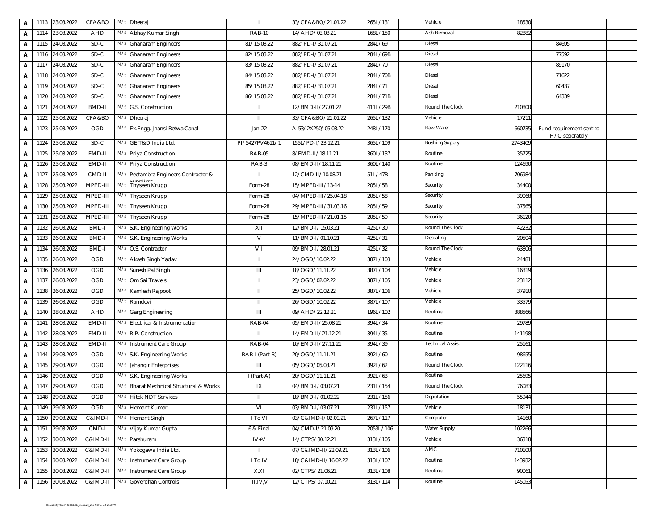|   |      | 1113 23.03.2022 | CFA&BO       |     | M/s Dheeraj                         |                 | 33/CFA&BO/21.01.22   | 265L/131  | Vehicle               | 18530   |                                            |  |
|---|------|-----------------|--------------|-----|-------------------------------------|-----------------|----------------------|-----------|-----------------------|---------|--------------------------------------------|--|
| А | 1114 | 23.03.2022      | AHD          |     | M/s Abhay Kumar Singh               | <b>RAB-10</b>   | 14/AHD/03.03.21      | 168L/150  | <b>Ash Removal</b>    | 82882   |                                            |  |
| A |      | 1115 24.03.2022 | $SD-C$       |     | M/s Ghanaram Engineers              | 81/15.03.22     | 882/PD-I/31.07.21    | 284L/69   | Diesel                |         | 84695                                      |  |
| A | 1116 | 24.03.2022      | $SD-C$       |     | M/s Ghanaram Engineers              | 82/15.03.22     | 882/PD-I/31.07.21    | 284L/69B  | Diesel                |         | 77592                                      |  |
| А | 1117 | 24.03.2022      | $SD-C$       |     | M/s Ghanaram Engineers              | 83/15.03.22     | 882/PD-I/31.07.21    | 284L/70   | Diesel                |         | 89170                                      |  |
| А |      | 1118 24.03.2022 | $SD-C$       |     | M/s Ghanaram Engineers              | 84/15.03.22     | 882/PD-I/31.07.21    | 284L/70B  | Diesel                |         | 71622                                      |  |
| Α | 1119 | 24.03.2022      | $SD-C$       | M/s | <b>Ghanaram Engineers</b>           | 85/15.03.22     | 882/PD-I/31.07.21    | 284L/71   | Diesel                |         | 60437                                      |  |
| А | 1120 | 24.03.2022      | SD-C         | M/s | <b>Ghanaram Engineers</b>           | 86/15.03.22     | 882/PD-I/31.07.21    | 284L/71B  | Diesel                |         | 64339                                      |  |
| А | 1121 | 24.03.2022      | BMD-II       |     | M/s G.S. Construction               |                 | 12/BMD-II/27.01.22   | 411L/29B  | Round The Clock       | 210800  |                                            |  |
| А | 1122 | 25.03.2022      | CFA&BO       | M/s | Dheeraj                             | $\mathbf{H}$    | 33/CFA&BO/21.01.22   | 265L/132  | Vehicle               | 17211   |                                            |  |
| А |      | 1123 25.03.2022 | OGD          |     | M/s Ex.Engg. Jhansi Betwa Canal     | Jan-22          | A-53/2X250/05.03.22  | 248L/170  | Raw Water             | 660735  | Fund requirement sent to<br>H/Q seperately |  |
| А | 1124 | 25.03.2022      | $SD-C$       | M/s | GE T&D India Ltd.                   | PI/5427PV4611/1 | 1551/PD-I/23.12.21   | 365L/109  | <b>Bushing Supply</b> | 2743409 |                                            |  |
| А | 1125 | 25.03.2022      | EMD-II       |     | M/s Priya Construction              | <b>RAB-05</b>   | 8/EMD-II/18.11.21    | 360L/137  | Routine               | 35725   |                                            |  |
| А | 1126 | 25.03.2022      | EMD-II       |     | M/s Priya Construction              | RAB-3           | 08/EMD-II/18.11.21   | 360L/140  | Routine               | 124690  |                                            |  |
| А | 1127 | 25.03.2022      | CMD-II       | M/s | Peetambra Engineers Contractor &    |                 | 12/CMD-II/10.08.21   | 51L/47B   | Paniting              | 706984  |                                            |  |
| А | 1128 | 25.03.2022      | MPED-III     | M/s | Thyseen Krupp                       | Form-28         | 15/MPED-III/13-14    | 205L/58   | Security              | 34400   |                                            |  |
| A | 1129 | 25.03.2022      | MPED-III     | M/s | Thyseen Krupp                       | Form-28         | 04/MPED-III/25.04.18 | 205L/58   | Security              | 39068   |                                            |  |
| A | 1130 | 25.03.2022      | MPED-III     | M/s | Thyseen Krupp                       | Form-28         | 29/MPED-III/31.03.16 | 205L/59   | Security              | 37565   |                                            |  |
| А | 1131 | 25.03.2022      | MPED-III     |     | M/s Thyseen Krupp                   | Form-28         | 15/MPED-III/21.01.15 | 205L/59   | Security              | 36120   |                                            |  |
| А | 1132 | 26.03.2022      | BMD-I        |     | M/s S.K. Engineering Works          | XII             | 12/BMD-I/15.03.21    | 425L/30   | Round The Clock       | 42232   |                                            |  |
| А | 1133 | 26.03.2022      | BMD-I        |     | M/s S.K. Engineering Works          | V               | 11/BMD-I/01.10.21    | 425L/31   | Descaling             | 20504   |                                            |  |
| А | 1134 | 26.03.2022      | <b>BMD-I</b> |     | M/s O.S. Contractor                 | VII             | 09/BMD-I/28.01.21    | 425L/32   | Round The Clock       | 63806   |                                            |  |
| А | 1135 | 26.03.2022      | <b>OGD</b>   |     | M/s Akash Singh Yadav               | $\mathbf{I}$    | 24/OGD/10.02.22      | 387L/103  | Vehicle               | 24481   |                                            |  |
| Α | 1136 | 26.03.2022      | OGD          | M/s | Suresh Pal Singh                    | Ш               | 18/OGD/11.11.22      | 387L/104  | Vehicle               | 16319   |                                            |  |
| А | 1137 | 26.03.2022      | OGD          | M/s | Om Sai Travels                      |                 | 23/OGD/02.02.22      | 387L/105  | Vehicle               | 23112   |                                            |  |
| Α | 1138 | 26.03.2022      | <b>OGD</b>   |     | M/s Kamlesh Rajpoot                 | Ш.              | 25/OGD/10.02.22      | 387L/106  | Vehicle               | 37910   |                                            |  |
| А | 1139 | 26.03.2022      | OGD          | M/s | Ramdevi                             | $\mathbf{II}$   | 26/OGD/10.02.22      | 387L/107  | Vehicle               | 33579   |                                            |  |
| Α | 1140 | 28.03.2022      | AHD          | M/s | Garg Engineering                    | $\mathbf{III}$  | 09/AHD/22.12.21      | 196L/102  | Routine               | 388566  |                                            |  |
| A | 1141 | 28.03.2022      | EMD-II       | M/s | Electrical & Instrumentation        | RAB-04          | 05/EMD-II/25.08.21   | 394L/34   | Routine               | 29789   |                                            |  |
| A | 1142 | 28.03.2022      | EMD-II       |     | M/s R.P. Construction               | H.              | 14/EMD-II/21.12.21   | 394L/35   | Routine               | 141198  |                                            |  |
| А | 1143 | 28.03.2022      | EMD-II       |     | M/s Instrument Care Group           | RAB-04          | 10/EMD-II/27.11.21   | 394L/39   | Technical Assist      | 25161   |                                            |  |
| А | 1144 | 29.03.2022      | <b>OGD</b>   |     | M/s S.K. Engineering Works          | RAB-I (Part-B)  | 20/OGD/11.11.21      | 392L/60   | Routine               | 98655   |                                            |  |
| А | 1145 | 29.03.2022      | OGD          | M/s | Jahangir Enterprises                | Ш               | 05/OGD/05.08.21      | 392L/62   | Round The Clock       | 122116  |                                            |  |
| А | 1146 | 29.03.2022      | <b>OGD</b>   | M/s | S.K. Engineering Works              | I (Part-A)      | 20/OGD/11.11.21      | 392L/63   | Routine               | 25695   |                                            |  |
| А | 1147 | 29.03.2022      | <b>OGD</b>   | M/s | Bharat Mechnical Structural & Works | IX              | 04/BMD-I/03.07.21    | 231L/154  | Round The Clock       | 76083   |                                            |  |
| A |      | 1148 29.03.2022 | OGD          |     | M/s Hitek NDT Services              | Ш               | 18/BMD-I/01.02.22    | 231L/156  | Deputation            | 55944   |                                            |  |
| А |      | 1149 29.03.2022 | <b>OGD</b>   | M/s | Hemant Kumar                        | VI              | 03/BMD-I/03.07.21    | 231L/157  | Vehicle               | 18131   |                                            |  |
| Α | 1150 | 29.03.2022      | C&IMD-I      | M/s | <b>Hemant Singh</b>                 | I To VI         | 03/C&IMD-I/02.09.21  | 267L/117  | Computer              | 14160   |                                            |  |
| Α | 1151 | 29.03.2022      | CMD-I        |     | M/s Vijay Kumar Gupta               | 6 & Final       | 04/CMD-I/21.09.20    | 2053L/106 | Water Supply          | 102266  |                                            |  |
| А |      | 1152 30.03.2022 | C&IMD-II     |     | M/s Parshuram                       | $IV+V$          | 14/CTPS/30.12.21     | 313L/105  | Vehicle               | 36318   |                                            |  |
| А | 1153 | 30.03.2022      | C&IMD-II     | M/s | Yokogawa India Ltd.                 |                 | 07/C&IMD-II/22.09.21 | 313L/106  | AMC                   | 710100  |                                            |  |
| А | 1154 | 30.03.2022      | C&IMD-II     |     | M/s Instrument Care Group           | I To IV         | 18/C&IMD-II/16.02.22 | 313L/107  | Routine               | 143932  |                                            |  |
| А |      | 1155 30.03.2022 | C&IMD-II     | M/s | Instrument Care Group               | X,XI            | 02/CTPS/21.06.21     | 313L/108  | Routine               | 90061   |                                            |  |
| Α |      | 1156 30.03.2022 | C&IMD-II     | M/s | Goverdhan Controls                  | III, IV, V      | 12/CTPS/07.10.21     | 313L/114  | Routine               | 145053  |                                            |  |